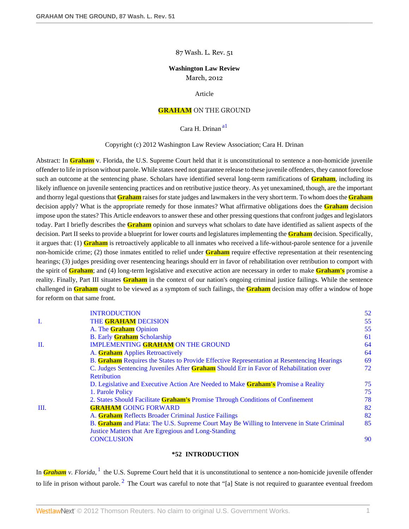87 Wash. L. Rev. 51

# **Washington Law Review** March, 2012

<span id="page-0-1"></span>Article

## **GRAHAM** ON THE GROUND

Cara H. Drinan [a1](#page-14-0)

Copyright (c) 2012 Washington Law Review Association; Cara H. Drinan

Abstract: In **Graham** v. Florida, the U.S. Supreme Court held that it is unconstitutional to sentence a non-homicide juvenile offender to life in prison without parole. While states need not guarantee release to these juvenile offenders, they cannot foreclose such an outcome at the sentencing phase. Scholars have identified several long-term ramifications of **Graham**, including its likely influence on juvenile sentencing practices and on retributive justice theory. As yet unexamined, though, are the important and thorny legal questions that **Graham** raises for state judges and lawmakers in the very short term. To whom does the **Graham** decision apply? What is the appropriate remedy for those inmates? What affirmative obligations does the **Graham** decision impose upon the states? This Article endeavors to answer these and other pressing questions that confront judges and legislators today. Part I briefly describes the **Graham** opinion and surveys what scholars to date have identified as salient aspects of the decision. Part II seeks to provide a blueprint for lower courts and legislatures implementing the **Graham** decision. Specifically, it argues that: (1) **Graham** is retroactively applicable to all inmates who received a life-without-parole sentence for a juvenile non-homicide crime; (2) those inmates entitled to relief under **Graham** require effective representation at their resentencing hearings; (3) judges presiding over resentencing hearings should err in favor of rehabilitation over retribution to comport with the spirit of **Graham**; and (4) long-term legislative and executive action are necessary in order to make **Graham's** promise a reality. Finally, Part III situates **Graham** in the context of our nation's ongoing criminal justice failings. While the sentence challenged in **Graham** ought to be viewed as a symptom of such failings, the **Graham** decision may offer a window of hope for reform on that same front.

|      | <b>INTRODUCTION</b>                                                                        | 52 |
|------|--------------------------------------------------------------------------------------------|----|
| I.   | <b>THE GRAHAM DECISION</b>                                                                 | 55 |
|      | A. The <b>Graham</b> Opinion                                                               | 55 |
|      | <b>B.</b> Early <b>Graham</b> Scholarship                                                  | 61 |
| Π.   | <b>IMPLEMENTING GRAHAM ON THE GROUND</b>                                                   | 64 |
|      | A. Graham Applies Retroactively                                                            | 64 |
|      | B. Graham Requires the States to Provide Effective Representation at Resentencing Hearings | 69 |
|      | C. Judges Sentencing Juveniles After Graham Should Err in Favor of Rehabilitation over     | 72 |
|      | Retribution                                                                                |    |
|      | D. Legislative and Executive Action Are Needed to Make Graham's Promise a Reality          | 75 |
|      | 1. Parole Policy                                                                           | 75 |
|      | 2. States Should Facilitate Graham's Promise Through Conditions of Confinement             | 78 |
| III. | <b>GRAHAM GOING FORWARD</b>                                                                | 82 |
|      | A. Graham Reflects Broader Criminal Justice Failings                                       | 82 |
|      | B. Graham and Plata: The U.S. Supreme Court May Be Willing to Intervene in State Criminal  | 85 |
|      | Justice Matters that Are Egregious and Long-Standing                                       |    |
|      | <b>CONCLUSION</b>                                                                          | 90 |
|      |                                                                                            |    |

## <span id="page-0-3"></span>**\*52 INTRODUCTION**

<span id="page-0-2"></span><span id="page-0-0"></span>In *Graham v. Florida*, <sup>[1](#page-14-1)</sup> the U.S. Supreme Court held that it is unconstitutional to sentence a non-homicide juvenile offender to life in prison without parole.<sup>[2](#page-14-2)</sup> The Court was careful to note that "[a] State is not required to guarantee eventual freedom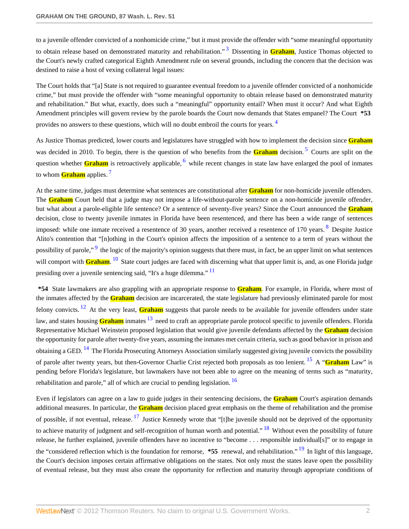<span id="page-1-0"></span>to a juvenile offender convicted of a nonhomicide crime," but it must provide the offender with "some meaningful opportunity to obtain release based on demonstrated maturity and rehabilitation." [3](#page-14-3) Dissenting in **Graham**, Justice Thomas objected to the Court's newly crafted categorical Eighth Amendment rule on several grounds, including the concern that the decision was destined to raise a host of vexing collateral legal issues:

The Court holds that "[a] State is not required to guarantee eventual freedom to a juvenile offender convicted of a nonhomicide crime," but must provide the offender with "some meaningful opportunity to obtain release based on demonstrated maturity and rehabilitation." But what, exactly, does such a "meaningful" opportunity entail? When must it occur? And what Eighth Amendment principles will govern review by the parole boards the Court now demands that States empanel? The Court **\*53** provides no answers to these questions, which will no doubt embroil the courts for years. [4](#page-14-4)

<span id="page-1-3"></span><span id="page-1-2"></span><span id="page-1-1"></span>As Justice Thomas predicted, lower courts and legislatures have struggled with how to implement the decision since **Graham** was decided in 2010. To begin, there is the question of who benefits from the **Graham** decision.<sup>[5](#page-14-5)</sup> Courts are split on the question whether **Graham** is retroactively applicable, <sup>[6](#page-14-6)</sup> while recent changes in state law have enlarged the pool of inmates to whom **Graham** applies. [7](#page-15-0)

<span id="page-1-5"></span><span id="page-1-4"></span>At the same time, judges must determine what sentences are constitutional after **Graham** for non-homicide juvenile offenders. The **Graham** Court held that a judge may not impose a life-without-parole sentence on a non-homicide juvenile offender, but what about a parole-eligible life sentence? Or a sentence of seventy-five years? Since the Court announced the **Graham** decision, close to twenty juvenile inmates in Florida have been resentenced, and there has been a wide range of sentences imposed: while one inmate received a resentence of 30 years, another received a resentence of 170 years. <sup>[8](#page-15-1)</sup> Despite Justice Alito's contention that "[n]othing in the Court's opinion affects the imposition of a sentence to a term of years without the possibility of parole,"<sup>[9](#page-15-2)</sup> the logic of the majority's opinion suggests that there must, in fact, be an upper limit on what sentences will comport with **Graham**. <sup>[10](#page-15-3)</sup> State court judges are faced with discerning what that upper limit is, and, as one Florida judge presiding over a juvenile sentencing said, "It's a huge dilemma."<sup>[11](#page-15-4)</sup>

<span id="page-1-10"></span><span id="page-1-9"></span><span id="page-1-8"></span><span id="page-1-7"></span><span id="page-1-6"></span>**\*54** State lawmakers are also grappling with an appropriate response to **Graham**. For example, in Florida, where most of the inmates affected by the **Graham** decision are incarcerated, the state legislature had previously eliminated parole for most felony convicts. [12](#page-15-5) At the very least, **Graham** suggests that parole needs to be available for juvenile offenders under state law, and states housing **Graham** inmates <sup>[13](#page-15-6)</sup> need to craft an appropriate parole protocol specific to juvenile offenders. Florida Representative Michael Weinstein proposed legislation that would give juvenile defendants affected by the **Graham** decision the opportunity for parole after twenty-five years, assuming the inmates met certain criteria, such as good behavior in prison and obtaining a GED. <sup>[14](#page-15-7)</sup> The Florida Prosecuting Attorneys Association similarly suggested giving juvenile convicts the possibility of parole after twenty years, but then-Governor Charlie Crist rejected both proposals as too lenient. [15](#page-15-8) A "**Graham** Law" is pending before Florida's legislature, but lawmakers have not been able to agree on the meaning of terms such as "maturity, rehabilitation and parole," all of which are crucial to pending legislation.<sup>[16](#page-15-9)</sup>

<span id="page-1-16"></span><span id="page-1-15"></span><span id="page-1-14"></span><span id="page-1-13"></span><span id="page-1-12"></span><span id="page-1-11"></span>Even if legislators can agree on a law to guide judges in their sentencing decisions, the **Graham** Court's aspiration demands additional measures. In particular, the **Graham** decision placed great emphasis on the theme of rehabilitation and the promise of possible, if not eventual, release.  $^{17}$  $^{17}$  $^{17}$  Justice Kennedy wrote that "[t]he juvenile should not be deprived of the opportunity to achieve maturity of judgment and self-recognition of human worth and potential." <sup>[18](#page-15-11)</sup> Without even the possibility of future release, he further explained, juvenile offenders have no incentive to "become . . . responsible individual[s]" or to engage in the "considered reflection which is the foundation for remorse, **\*55** renewal, and rehabilitation." [19](#page-15-12) In light of this language, the Court's decision imposes certain affirmative obligations on the states. Not only must the states leave open the possibility of eventual release, but they must also create the opportunity for reflection and maturity through appropriate conditions of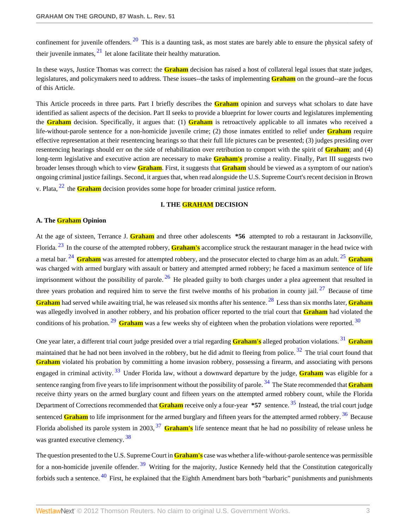<span id="page-2-3"></span><span id="page-2-2"></span>confinement for juvenile offenders.<sup>[20](#page-15-13)</sup> This is a daunting task, as most states are barely able to ensure the physical safety of their juvenile inmates,  $21$  let alone facilitate their healthy maturation.

In these ways, Justice Thomas was correct: the **Graham** decision has raised a host of collateral legal issues that state judges, legislatures, and policymakers need to address. These issues--the tasks of implementing **Graham** on the ground--are the focus of this Article.

This Article proceeds in three parts. Part I briefly describes the **Graham** opinion and surveys what scholars to date have identified as salient aspects of the decision. Part II seeks to provide a blueprint for lower courts and legislatures implementing the **Graham** decision. Specifically, it argues that: (1) **Graham** is retroactively applicable to all inmates who received a life-without-parole sentence for a non-homicide juvenile crime; (2) those inmates entitled to relief under **Graham** require effective representation at their resentencing hearings so that their full life pictures can be presented; (3) judges presiding over resentencing hearings should err on the side of rehabilitation over retribution to comport with the spirit of **Graham**; and (4) long-term legislative and executive action are necessary to make **Graham's** promise a reality. Finally, Part III suggests two broader lenses through which to view **Graham**. First, it suggests that **Graham** should be viewed as a symptom of our nation's ongoing criminal justice failings. Second, it argues that, when read alongside the U.S. Supreme Court's recent decision in Brown v. Plata, [22](#page-15-15) the **Graham** decision provides some hope for broader criminal justice reform.

#### <span id="page-2-18"></span><span id="page-2-17"></span><span id="page-2-16"></span><span id="page-2-14"></span><span id="page-2-13"></span><span id="page-2-12"></span><span id="page-2-10"></span><span id="page-2-9"></span><span id="page-2-8"></span><span id="page-2-7"></span>**I. THE GRAHAM DECISION**

## <span id="page-2-4"></span><span id="page-2-1"></span><span id="page-2-0"></span>**A. The Graham Opinion**

<span id="page-2-6"></span><span id="page-2-5"></span>At the age of sixteen, Terrance J. **Graham** and three other adolescents **\*56** attempted to rob a restaurant in Jacksonville, Florida. [23](#page-15-16) In the course of the attempted robbery, **Graham's** accomplice struck the restaurant manager in the head twice with a metal bar. [24](#page-15-17) **Graham** was arrested for attempted robbery, and the prosecutor elected to charge him as an adult. [25](#page-15-18) **Graham** was charged with armed burglary with assault or battery and attempted armed robbery; he faced a maximum sentence of life imprisonment without the possibility of parole.  $26$  He pleaded guilty to both charges under a plea agreement that resulted in three years probation and required him to serve the first twelve months of his probation in county jail.  $27$  Because of time **Graham** had served while awaiting trial, he was released six months after his sentence. [28](#page-15-21) Less than six months later, **Graham** was allegedly involved in another robbery, and his probation officer reported to the trial court that **Graham** had violated the conditions of his probation.<sup>[29](#page-15-22)</sup> Graham was a few weeks shy of eighteen when the probation violations were reported.<sup>[30](#page-15-23)</sup>

<span id="page-2-15"></span><span id="page-2-11"></span>One year later, a different trial court judge presided over a trial regarding **Graham's** alleged probation violations. [31](#page-15-24) **Graham** maintained that he had not been involved in the robbery, but he did admit to fleeing from police.  $32$  The trial court found that **Graham** violated his probation by committing a home invasion robbery, possessing a firearm, and associating with persons engaged in criminal activity. [33](#page-16-1) Under Florida law, without a downward departure by the judge, **Graham** was eligible for a sentence ranging from five years to life imprisonment without the possibility of parole.<sup>[34](#page-16-2)</sup> The State recommended that **Graham** receive thirty years on the armed burglary count and fifteen years on the attempted armed robbery count, while the Florida Department of Corrections recommended that **Graham** receive only a four-year **\*57** sentence. [35](#page-16-3) Instead, the trial court judge sentenced **Graham** to life imprisonment for the armed burglary and fifteen years for the attempted armed robbery. <sup>[36](#page-16-4)</sup> Because Florida abolished its parole system in 2003, [37](#page-16-5) **Graham's** life sentence meant that he had no possibility of release unless he was granted executive clemency.  $\frac{38}{9}$  $\frac{38}{9}$  $\frac{38}{9}$ 

<span id="page-2-22"></span><span id="page-2-21"></span><span id="page-2-20"></span><span id="page-2-19"></span>The question presented to the U.S. Supreme Court in **Graham's** case was whether a life-without-parole sentence was permissible for a non-homicide juvenile offender.<sup>[39](#page-16-7)</sup> Writing for the majority, Justice Kennedy held that the Constitution categorically forbids such a sentence. [40](#page-16-8) First, he explained that the Eighth Amendment bars both "barbaric" punishments and punishments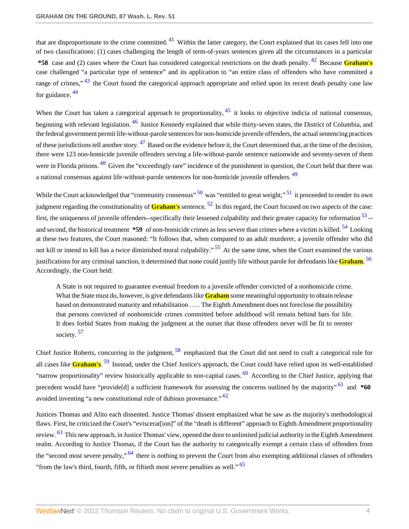<span id="page-3-0"></span>that are disproportionate to the crime committed.  $41$  Within the latter category, the Court explained that its cases fell into one of two classifications: (1) cases challenging the length of term-of-years sentences given all the circumstances in a particular

<span id="page-3-2"></span><span id="page-3-1"></span>**\*58** case and (2) cases where the Court has considered categorical restrictions on the death penalty. [42](#page-16-10) Because **Graham's** case challenged "a particular type of sentence" and its application to "an entire class of offenders who have committed a range of crimes,"  $43$  the Court found the categorical approach appropriate and relied upon its recent death penalty case law for guidance. [44](#page-16-12)

<span id="page-3-6"></span><span id="page-3-5"></span><span id="page-3-4"></span><span id="page-3-3"></span>When the Court has taken a categorical approach to proportionality,  $^{45}$  $^{45}$  $^{45}$  it looks to objective indicia of national consensus, beginning with relevant legislation. <sup>[46](#page-16-14)</sup> Justice Kennedy explained that while thirty-seven states, the District of Columbia, and the federal government permit life-without-parole sentences for non-homicide juvenile offenders, the actual sentencing practices of these jurisdictions tell another story. <sup>[47](#page-16-15)</sup> Based on the evidence before it, the Court determined that, at the time of the decision, there were 123 non-homicide juvenile offenders serving a life-without-parole sentence nationwide and seventy-seven of them were in Florida prisons. <sup>[48](#page-16-16)</sup> Given the "exceedingly rare" incidence of the punishment in question, the Court held that there was a national consensus against life-without-parole sentences for non-homicide juvenile offenders. <sup>[49](#page-16-17)</sup>

<span id="page-3-11"></span><span id="page-3-9"></span><span id="page-3-8"></span><span id="page-3-7"></span>While the Court acknowledged that "community consensus"  $50$  was "entitled to great weight,"  $51$  it proceeded to render its own judgment regarding the constitutionality of **Graham's** sentence. [52](#page-17-1) In this regard, the Court focused on two aspects of the case: first, the uniqueness of juvenile offenders--specifically their lessened culpability and their greater capacity for reformation  $^{53}$  $^{53}$  $^{53}$ -and second, the historical treatment **\*59** of non-homicide crimes as less severe than crimes where a victim is killed. [54](#page-17-3) Looking at these two features, the Court reasoned: "It follows that, when compared to an adult murderer, a juvenile offender who did not kill or intend to kill has a twice diminished moral culpability."<sup>[55](#page-17-4)</sup> At the same time, when the Court examined the various justifications for any criminal sanction, it determined that none could justify life without parole for defendants like **Graham**. [56](#page-17-5) Accordingly, the Court held:

<span id="page-3-20"></span><span id="page-3-19"></span><span id="page-3-17"></span><span id="page-3-15"></span><span id="page-3-14"></span><span id="page-3-13"></span><span id="page-3-12"></span><span id="page-3-10"></span>A State is not required to guarantee eventual freedom to a juvenile offender convicted of a nonhomicide crime. What the State must do, however, is give defendants like **Graham** some meaningful opportunity to obtain release based on demonstrated maturity and rehabilitation . . . . The Eighth Amendment does not foreclose the possibility that persons convicted of nonhomicide crimes committed before adulthood will remain behind bars for life. It does forbid States from making the judgment at the outset that those offenders never will be fit to reenter society.<sup>[57](#page-17-6)</sup>

<span id="page-3-18"></span><span id="page-3-16"></span>Chief Justice Roberts, concurring in the judgment, <sup>[58](#page-17-7)</sup> emphasized that the Court did not need to craft a categorical rule for all cases like **Graham's**. [59](#page-17-8) Instead, under the Chief Justice's approach, the Court could have relied upon its well-established "narrow proportionality" review historically applicable to non-capital cases. <sup>[60](#page-17-9)</sup> According to the Chief Justice, applying that precedent would have "provide[d] a sufficient framework for assessing the concerns outlined by the majority" [61](#page-17-10) and **\*60** avoided inventing "a new constitutional rule of dubious provenance."  $62$ 

<span id="page-3-24"></span><span id="page-3-23"></span><span id="page-3-22"></span><span id="page-3-21"></span>Justices Thomas and Alito each dissented. Justice Thomas' dissent emphasized what he saw as the majority's methodological flaws. First, he criticized the Court's "eviscerat[ion]" of the "death is different" approach to Eighth Amendment proportionality review. <sup>[63](#page-17-12)</sup> This new approach, in Justice Thomas' view, opened the door to unlimited judicial authority in the Eighth Amendment realm. According to Justice Thomas, if the Court has the authority to categorically exempt a certain class of offenders from the "second most severe penalty," <sup>[64](#page-17-13)</sup> there is nothing to prevent the Court from also exempting additional classes of offenders "from the law's third, fourth, fifth, or fiftieth most severe penalties as well."  $65$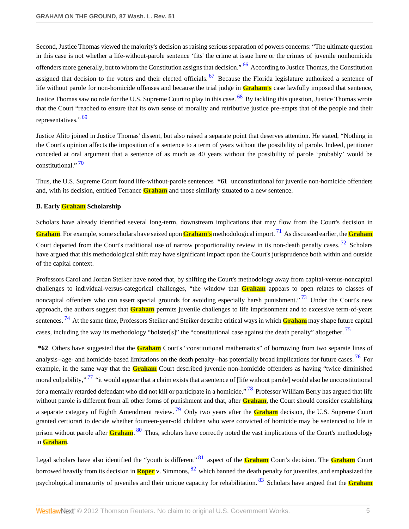<span id="page-4-2"></span><span id="page-4-1"></span>Second, Justice Thomas viewed the majority's decision as raising serious separation of powers concerns: "The ultimate question in this case is not whether a life-without-parole sentence 'fits' the crime at issue here or the crimes of juvenile nonhomicide offenders more generally, but to whom the Constitution assigns that decision." <sup>[66](#page-17-15)</sup> According to Justice Thomas, the Constitution assigned that decision to the voters and their elected officials.  $67$  Because the Florida legislature authorized a sentence of life without parole for non-homicide offenses and because the trial judge in **Graham's** case lawfully imposed that sentence, Justice Thomas saw no role for the U.S. Supreme Court to play in this case. <sup>[68](#page-17-17)</sup> By tackling this question, Justice Thomas wrote that the Court "reached to ensure that its own sense of morality and retributive justice pre-empts that of the people and their representatives."<sup>[69](#page-17-18)</sup>

<span id="page-4-4"></span><span id="page-4-3"></span>Justice Alito joined in Justice Thomas' dissent, but also raised a separate point that deserves attention. He stated, "Nothing in the Court's opinion affects the imposition of a sentence to a term of years without the possibility of parole. Indeed, petitioner conceded at oral argument that a sentence of as much as 40 years without the possibility of parole 'probably' would be constitutional." [70](#page-17-19)

<span id="page-4-5"></span>Thus, the U.S. Supreme Court found life-without-parole sentences **\*61** unconstitutional for juvenile non-homicide offenders and, with its decision, entitled Terrance **Graham** and those similarly situated to a new sentence.

#### <span id="page-4-0"></span>**B. Early Graham Scholarship**

<span id="page-4-7"></span><span id="page-4-6"></span>Scholars have already identified several long-term, downstream implications that may flow from the Court's decision in **Graham**. For example, some scholars have seized upon **Graham's** methodological import. [71](#page-17-20) As discussed earlier, the **Graham** Court departed from the Court's traditional use of narrow proportionality review in its non-death penalty cases.  $^{72}$  $^{72}$  $^{72}$  Scholars have argued that this methodological shift may have significant impact upon the Court's jurisprudence both within and outside of the capital context.

<span id="page-4-8"></span>Professors Carol and Jordan Steiker have noted that, by shifting the Court's methodology away from capital-versus-noncapital challenges to individual-versus-categorical challenges, "the window that **Graham** appears to open relates to classes of noncapital offenders who can assert special grounds for avoiding especially harsh punishment."<sup>[73](#page-17-22)</sup> Under the Court's new approach, the authors suggest that **Graham** permits juvenile challenges to life imprisonment and to excessive term-of-years sentences. [74](#page-18-0) At the same time, Professors Steiker and Steiker describe critical ways in which **Graham** may shape future capital cases, including the way its methodology "bolster[s]" the "constitutional case against the death penalty" altogether.  $^{75}$  $^{75}$  $^{75}$ 

<span id="page-4-13"></span><span id="page-4-12"></span><span id="page-4-11"></span><span id="page-4-10"></span><span id="page-4-9"></span>**\*62** Others have suggested that the **Graham** Court's "constitutional mathematics" of borrowing from two separate lines of analysis--age- and homicide-based limitations on the death penalty--has potentially broad implications for future cases. <sup>[76](#page-18-2)</sup> For example, in the same way that the **Graham** Court described juvenile non-homicide offenders as having "twice diminished moral culpability,"<sup>[77](#page-18-3)</sup> "it would appear that a claim exists that a sentence of [life without parole] would also be unconstitutional for a mentally retarded defendant who did not kill or participate in a homicide." <sup>[78](#page-18-4)</sup> Professor William Berry has argued that life without parole is different from all other forms of punishment and that, after **Graham**, the Court should consider establishing a separate category of Eighth Amendment review. [79](#page-18-5) Only two years after the **Graham** decision, the U.S. Supreme Court granted certiorari to decide whether fourteen-year-old children who were convicted of homicide may be sentenced to life in prison without parole after **Graham**. [80](#page-18-6) Thus, scholars have correctly noted the vast implications of the Court's methodology in **Graham**.

<span id="page-4-18"></span><span id="page-4-17"></span><span id="page-4-16"></span><span id="page-4-15"></span><span id="page-4-14"></span>Legal scholars have also identified the "youth is different" [81](#page-18-7) aspect of the **Graham** Court's decision. The **Graham** Court borrowed heavily from its decision in **Roper** v. Simmons, [82](#page-18-8) which banned the death penalty for juveniles, and emphasized the psychological immaturity of juveniles and their unique capacity for rehabilitation. [83](#page-18-9) Scholars have argued that the **Graham**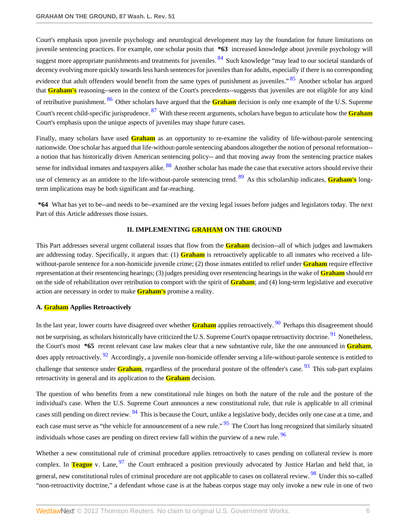<span id="page-5-2"></span>Court's emphasis upon juvenile psychology and neurological development may lay the foundation for future limitations on juvenile sentencing practices. For example, one scholar posits that **\*63** increased knowledge about juvenile psychology will suggest more appropriate punishments and treatments for juveniles. <sup>[84](#page-18-10)</sup> Such knowledge "may lead to our societal standards of decency evolving more quickly towards less harsh sentences for juveniles than for adults, especially if there is no corresponding evidence that adult offenders would benefit from the same types of punishment as juveniles."<sup>[85](#page-18-11)</sup> Another scholar has argued that **Graham's** reasoning--seen in the context of the Court's precedents--suggests that juveniles are not eligible for any kind of retributive punishment. [86](#page-18-12) Other scholars have argued that the **Graham** decision is only one example of the U.S. Supreme Court's recent child-specific jurisprudence. [87](#page-18-13) With these recent arguments, scholars have begun to articulate how the **Graham** Court's emphasis upon the unique aspects of juveniles may shape future cases.

<span id="page-5-5"></span><span id="page-5-4"></span>Finally, many scholars have used **Graham** as an opportunity to re-examine the validity of life-without-parole sentencing nationwide. One scholar has argued that life-without-parole sentencing abandons altogether the notion of personal reformation- a notion that has historically driven American sentencing policy-- and that moving away from the sentencing practice makes sense for individual inmates and taxpayers alike. <sup>[88](#page-18-14)</sup> Another scholar has made the case that executive actors should revive their use of clemency as an antidote to the life-without-parole sentencing trend. [89](#page-18-15) As this scholarship indicates, **Graham's** longterm implications may be both significant and far-reaching.

**\*64** What has yet to be--and needs to be--examined are the vexing legal issues before judges and legislators today. The next Part of this Article addresses those issues.

#### <span id="page-5-11"></span><span id="page-5-9"></span><span id="page-5-8"></span><span id="page-5-7"></span><span id="page-5-6"></span><span id="page-5-3"></span>**II. IMPLEMENTING GRAHAM ON THE GROUND**

<span id="page-5-0"></span>This Part addresses several urgent collateral issues that flow from the **Graham** decision--all of which judges and lawmakers are addressing today. Specifically, it argues that: (1) **Graham** is retroactively applicable to all inmates who received a lifewithout-parole sentence for a non-homicide juvenile crime; (2) those inmates entitled to relief under **Graham** require effective representation at their resentencing hearings; (3) judges presiding over resentencing hearings in the wake of **Graham** should err on the side of rehabilitation over retribution to comport with the spirit of **Graham**; and (4) long-term legislative and executive action are necessary in order to make **Graham's** promise a reality.

#### <span id="page-5-1"></span>**A. Graham Applies Retroactively**

<span id="page-5-10"></span>In the last year, lower courts have disagreed over whether **Graham** applies retroactively.<sup>[90](#page-18-16)</sup> Perhaps this disagreement should not be surprising, as scholars historically have criticized the U.S. Supreme Court's opaque retroactivity doctrine. <sup>[91](#page-19-0)</sup> Nonetheless, the Court's most **\*65** recent relevant case law makes clear that a new substantive rule, like the one announced in **Graham**, does apply retroactively.  $92$  Accordingly, a juvenile non-homicide offender serving a life-without-parole sentence is entitled to challenge that sentence under **Graham**, regardless of the procedural posture of the offender's case. <sup>[93](#page-19-2)</sup> This sub-part explains retroactivity in general and its application to the **Graham** decision.

<span id="page-5-13"></span><span id="page-5-12"></span>The question of who benefits from a new constitutional rule hinges on both the nature of the rule and the posture of the individual's case. When the U.S. Supreme Court announces a new constitutional rule, that rule is applicable to all criminal cases still pending on direct review. <sup>[94](#page-19-3)</sup> This is because the Court, unlike a legislative body, decides only one case at a time, and each case must serve as "the vehicle for announcement of a new rule." <sup>[95](#page-19-4)</sup> The Court has long recognized that similarly situated individuals whose cases are pending on direct review fall within the purview of a new rule.  $96$ 

<span id="page-5-16"></span><span id="page-5-15"></span><span id="page-5-14"></span>Whether a new constitutional rule of criminal procedure applies retroactively to cases pending on collateral review is more complex. In **Teague** v. Lane, <sup>[97](#page-19-6)</sup> the Court embraced a position previously advocated by Justice Harlan and held that, in general, new constitutional rules of criminal procedure are not applicable to cases on collateral review. <sup>[98](#page-19-7)</sup> Under this so-called "non-retroactivity doctrine," a defendant whose case is at the habeas corpus stage may only invoke a new rule in one of two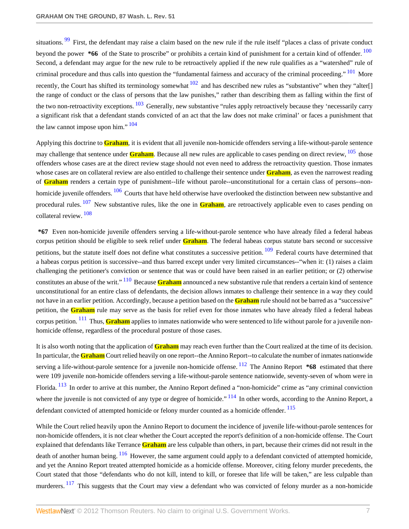<span id="page-6-3"></span><span id="page-6-2"></span><span id="page-6-1"></span><span id="page-6-0"></span>situations. <sup>[99](#page-19-8)</sup> First, the defendant may raise a claim based on the new rule if the rule itself "places a class of private conduct beyond the power **\*66** of the State to proscribe" or prohibits a certain kind of punishment for a certain kind of offender. <sup>[100](#page-19-9)</sup> Second, a defendant may argue for the new rule to be retroactively applied if the new rule qualifies as a "watershed" rule of criminal procedure and thus calls into question the "fundamental fairness and accuracy of the criminal proceeding." <sup>[101](#page-19-10)</sup> More recently, the Court has shifted its terminology somewhat  $102$  and has described new rules as "substantive" when they "alter[] the range of conduct or the class of persons that the law punishes," rather than describing them as falling within the first of the two non-retroactivity exceptions.  $\frac{103}{2}$  $\frac{103}{2}$  $\frac{103}{2}$  Generally, new substantive "rules apply retroactively because they 'necessarily carry a significant risk that a defendant stands convicted of an act that the law does not make criminal' or faces a punishment that the law cannot impose upon him."  $104$ 

<span id="page-6-6"></span><span id="page-6-5"></span><span id="page-6-4"></span>Applying this doctrine to **Graham**, it is evident that all juvenile non-homicide offenders serving a life-without-parole sentence may challenge that sentence under **Graham**. Because all new rules are applicable to cases pending on direct review. <sup>[105](#page-19-14)</sup> those offenders whose cases are at the direct review stage should not even need to address the retroactivity question. Those inmates whose cases are on collateral review are also entitled to challenge their sentence under **Graham**, as even the narrowest reading of **Graham** renders a certain type of punishment--life without parole--unconstitutional for a certain class of persons--non-homicide juvenile offenders. <sup>[106](#page-19-15)</sup> Courts that have held otherwise have overlooked the distinction between new substantive and procedural rules. [107](#page-19-16) New substantive rules, like the one in **Graham**, are retroactively applicable even to cases pending on collateral review. [108](#page-19-17)

<span id="page-6-11"></span><span id="page-6-10"></span><span id="page-6-9"></span><span id="page-6-8"></span><span id="page-6-7"></span>**\*67** Even non-homicide juvenile offenders serving a life-without-parole sentence who have already filed a federal habeas corpus petition should be eligible to seek relief under **Graham**. The federal habeas corpus statute bars second or successive petitions, but the statute itself does not define what constitutes a successive petition. <sup>[109](#page-20-0)</sup> Federal courts have determined that a habeas corpus petition is successive--and thus barred except under very limited circumstances--"when it: (1) raises a claim challenging the petitioner's conviction or sentence that was or could have been raised in an earlier petition; or (2) otherwise constitutes an abuse of the writ." [110](#page-20-1) Because **Graham** announced a new substantive rule that renders a certain kind of sentence unconstitutional for an entire class of defendants, the decision allows inmates to challenge their sentence in a way they could not have in an earlier petition. Accordingly, because a petition based on the **Graham** rule should not be barred as a "successive" petition, the **Graham** rule may serve as the basis for relief even for those inmates who have already filed a federal habeas corpus petition. <sup>[111](#page-20-2)</sup> Thus, **Graham** applies to inmates nationwide who were sentenced to life without parole for a juvenile nonhomicide offense, regardless of the procedural posture of those cases.

<span id="page-6-14"></span><span id="page-6-13"></span><span id="page-6-12"></span>It is also worth noting that the application of **Graham** may reach even further than the Court realized at the time of its decision. In particular, the **Graham** Court relied heavily on one report--the Annino Report--to calculate the number of inmates nationwide serving a life-without-parole sentence for a juvenile non-homicide offense. <sup>[112](#page-20-3)</sup> The Annino Report \*68 estimated that there were 109 juvenile non-homicide offenders serving a life-without-parole sentence nationwide, seventy-seven of whom were in Florida. <sup>[113](#page-20-4)</sup> In order to arrive at this number, the Annino Report defined a "non-homicide" crime as "any criminal conviction where the juvenile is not convicted of any type or degree of homicide."  $^{114}$  $^{114}$  $^{114}$  In other words, according to the Annino Report, a defendant convicted of attempted homicide or felony murder counted as a homicide offender. <sup>[115](#page-20-6)</sup>

<span id="page-6-18"></span><span id="page-6-17"></span><span id="page-6-16"></span><span id="page-6-15"></span>While the Court relied heavily upon the Annino Report to document the incidence of juvenile life-without-parole sentences for non-homicide offenders, it is not clear whether the Court accepted the report's definition of a non-homicide offense. The Court explained that defendants like Terrance **Graham** are less culpable than others, in part, because their crimes did not result in the death of another human being. <sup>[116](#page-20-7)</sup> However, the same argument could apply to a defendant convicted of attempted homicide, and yet the Annino Report treated attempted homicide as a homicide offense. Moreover, citing felony murder precedents, the Court stated that those "defendants who do not kill, intend to kill, or foresee that life will be taken," are less culpable than murderers. <sup>[117](#page-20-8)</sup> This suggests that the Court may view a defendant who was convicted of felony murder as a non-homicide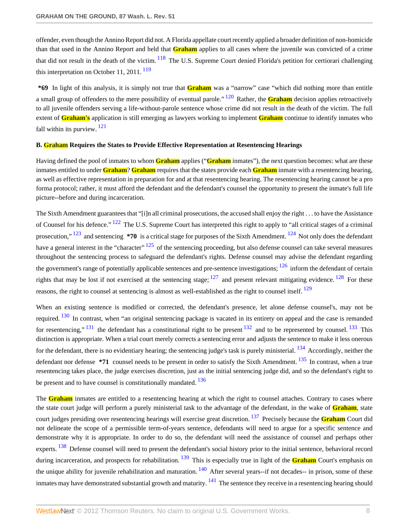<span id="page-7-1"></span>offender, even though the Annino Report did not. A Florida appellate court recently applied a broader definition of non-homicide than that used in the Annino Report and held that **Graham** applies to all cases where the juvenile was convicted of a crime that did not result in the death of the victim.  $^{118}$  $^{118}$  $^{118}$  The U.S. Supreme Court denied Florida's petition for certiorari challenging this interpretation on October 11, 2011.  $\frac{119}{119}$  $\frac{119}{119}$  $\frac{119}{119}$ 

<span id="page-7-3"></span><span id="page-7-2"></span>**\*69** In light of this analysis, it is simply not true that **Graham** was a "narrow" case "which did nothing more than entitle a small group of offenders to the mere possibility of eventual parole." [120](#page-20-11) Rather, the **Graham** decision applies retroactively to all juvenile offenders serving a life-without-parole sentence whose crime did not result in the death of the victim. The full extent of **Graham's** application is still emerging as lawyers working to implement **Graham** continue to identify inmates who fall within its purview.<sup>[121](#page-20-12)</sup>

## <span id="page-7-4"></span><span id="page-7-0"></span>**B. Graham Requires the States to Provide Effective Representation at Resentencing Hearings**

Having defined the pool of inmates to whom **Graham** applies ("**Graham** inmates"), the next question becomes: what are these inmates entitled to under **Graham**? **Graham** requires that the states provide each **Graham** inmate with a resentencing hearing, as well as effective representation in preparation for and at that resentencing hearing. The resentencing hearing cannot be a pro forma protocol; rather, it must afford the defendant and the defendant's counsel the opportunity to present the inmate's full life picture--before and during incarceration.

<span id="page-7-8"></span><span id="page-7-7"></span><span id="page-7-6"></span><span id="page-7-5"></span>The Sixth Amendment guarantees that "[i]n all criminal prosecutions, the accused shall enjoy the right . . . to have the Assistance of Counsel for his defence."  $^{122}$  $^{122}$  $^{122}$  The U.S. Supreme Court has interpreted this right to apply to "all critical stages of a criminal prosecution," [123](#page-20-14) and sentencing **\*70** is a critical stage for purposes of the Sixth Amendment. [124](#page-20-15) Not only does the defendant have a general interest in the "character"  $125$  of the sentencing proceeding, but also defense counsel can take several measures throughout the sentencing process to safeguard the defendant's rights. Defense counsel may advise the defendant regarding the government's range of potentially applicable sentences and pre-sentence investigations;  $126$  inform the defendant of certain rights that may be lost if not exercised at the sentencing stage;  $127$  and present relevant mitigating evidence.  $128$  For these reasons, the right to counsel at sentencing is almost as well-established as the right to counsel itself. <sup>[129](#page-21-4)</sup>

<span id="page-7-17"></span><span id="page-7-16"></span><span id="page-7-15"></span><span id="page-7-14"></span><span id="page-7-13"></span><span id="page-7-12"></span><span id="page-7-11"></span><span id="page-7-10"></span><span id="page-7-9"></span>When an existing sentence is modified or corrected, the defendant's presence, let alone defense counsel's, may not be required. <sup>[130](#page-21-5)</sup> In contrast, when "an original sentencing package is vacated in its entirety on appeal and the case is remanded for resentencing,"  $^{131}$  $^{131}$  $^{131}$  the defendant has a constitutional right to be present  $^{132}$  $^{132}$  $^{132}$  and to be represented by counsel.  $^{133}$  $^{133}$  $^{133}$  This distinction is appropriate. When a trial court merely corrects a sentencing error and adjusts the sentence to make it less onerous for the defendant, there is no evidentiary hearing; the sentencing judge's task is purely ministerial.  $^{134}$  $^{134}$  $^{134}$  Accordingly, neither the defendant nor defense \*71 counsel needs to be present in order to satisfy the Sixth Amendment. <sup>[135](#page-21-10)</sup> In contrast, when a true resentencing takes place, the judge exercises discretion, just as the initial sentencing judge did, and so the defendant's right to be present and to have counsel is constitutionally mandated. <sup>[136](#page-21-11)</sup>

<span id="page-7-24"></span><span id="page-7-23"></span><span id="page-7-22"></span><span id="page-7-21"></span><span id="page-7-20"></span><span id="page-7-19"></span><span id="page-7-18"></span>The **Graham** inmates are entitled to a resentencing hearing at which the right to counsel attaches. Contrary to cases where the state court judge will perform a purely ministerial task to the advantage of the defendant, in the wake of **Graham**, state court judges presiding over resentencing hearings will exercise great discretion. [137](#page-21-12) Precisely because the **Graham** Court did not delineate the scope of a permissible term-of-years sentence, defendants will need to argue for a specific sentence and demonstrate why it is appropriate. In order to do so, the defendant will need the assistance of counsel and perhaps other experts. <sup>[138](#page-21-13)</sup> Defense counsel will need to present the defendant's social history prior to the initial sentence, behavioral record during incarceration, and prospects for rehabilitation. [139](#page-21-14) This is especially true in light of the **Graham** Court's emphasis on the unique ability for juvenile rehabilitation and maturation.  $140$  After several years--if not decades-- in prison, some of these inmates may have demonstrated substantial growth and maturity.  $^{141}$  $^{141}$  $^{141}$  The sentence they receive in a resentencing hearing should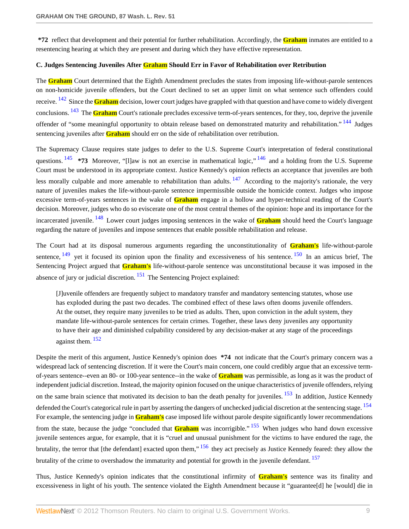**\*72** reflect that development and their potential for further rehabilitation. Accordingly, the **Graham** inmates are entitled to a resentencing hearing at which they are present and during which they have effective representation.

#### <span id="page-8-0"></span>**C. Judges Sentencing Juveniles After Graham Should Err in Favor of Rehabilitation over Retribution**

<span id="page-8-2"></span><span id="page-8-1"></span>The **Graham** Court determined that the Eighth Amendment precludes the states from imposing life-without-parole sentences on non-homicide juvenile offenders, but the Court declined to set an upper limit on what sentence such offenders could receive. [142](#page-22-0) Since the **Graham** decision, lower court judges have grappled with that question and have come to widely divergent conclusions. [143](#page-22-1) The **Graham** Court's rationale precludes excessive term-of-years sentences, for they, too, deprive the juvenile offender of "some meaningful opportunity to obtain release based on demonstrated maturity and rehabilitation." <sup>[144](#page-22-2)</sup> Judges sentencing juveniles after **Graham** should err on the side of rehabilitation over retribution.

<span id="page-8-6"></span><span id="page-8-5"></span><span id="page-8-4"></span><span id="page-8-3"></span>The Supremacy Clause requires state judges to defer to the U.S. Supreme Court's interpretation of federal constitutional questions. <sup>[145](#page-22-3)</sup> \*73 Moreover, "[l]aw is not an exercise in mathematical logic," <sup>[146](#page-22-4)</sup> and a holding from the U.S. Supreme Court must be understood in its appropriate context. Justice Kennedy's opinion reflects an acceptance that juveniles are both less morally culpable and more amenable to rehabilitation than adults.  $147$  According to the majority's rationale, the very nature of juveniles makes the life-without-parole sentence impermissible outside the homicide context. Judges who impose excessive term-of-years sentences in the wake of **Graham** engage in a hollow and hyper-technical reading of the Court's decision. Moreover, judges who do so eviscerate one of the most central themes of the opinion: hope and its importance for the incarcerated juvenile. [148](#page-22-6) Lower court judges imposing sentences in the wake of **Graham** should heed the Court's language regarding the nature of juveniles and impose sentences that enable possible rehabilitation and release.

<span id="page-8-8"></span><span id="page-8-7"></span>The Court had at its disposal numerous arguments regarding the unconstitutionality of **Graham's** life-without-parole sentence,  $^{149}$  $^{149}$  $^{149}$  yet it focused its opinion upon the finality and excessiveness of his sentence.  $^{150}$  $^{150}$  $^{150}$  In an amicus brief, The Sentencing Project argued that **Graham's** life-without-parole sentence was unconstitutional because it was imposed in the absence of jury or judicial discretion.  $151$  The Sentencing Project explained:

<span id="page-8-13"></span><span id="page-8-12"></span><span id="page-8-11"></span><span id="page-8-10"></span><span id="page-8-9"></span>[J]uvenile offenders are frequently subject to mandatory transfer and mandatory sentencing statutes, whose use has exploded during the past two decades. The combined effect of these laws often dooms juvenile offenders. At the outset, they require many juveniles to be tried as adults. Then, upon conviction in the adult system, they mandate life-without-parole sentences for certain crimes. Together, these laws deny juveniles any opportunity to have their age and diminished culpability considered by any decision-maker at any stage of the proceedings against them. [152](#page-22-10)

Despite the merit of this argument, Justice Kennedy's opinion does **\*74** not indicate that the Court's primary concern was a widespread lack of sentencing discretion. If it were the Court's main concern, one could credibly argue that an excessive termof-years sentence--even an 80- or 100-year sentence--in the wake of **Graham** was permissible, as long as it was the product of independent judicial discretion. Instead, the majority opinion focused on the unique characteristics of juvenile offenders, relying on the same brain science that motivated its decision to ban the death penalty for juveniles. <sup>[153](#page-22-11)</sup> In addition, Justice Kennedy defended the Court's categorical rule in part by asserting the dangers of unchecked judicial discretion at the sentencing stage. <sup>[154](#page-22-12)</sup> For example, the sentencing judge in **Graham's** case imposed life without parole despite significantly lower recommendations from the state, because the judge "concluded that **Graham** was incorrigible." [155](#page-22-13) When judges who hand down excessive juvenile sentences argue, for example, that it is "cruel and unusual punishment for the victims to have endured the rage, the brutality, the terror that [the defendant] exacted upon them,"  $156$  they act precisely as Justice Kennedy feared: they allow the brutality of the crime to overshadow the immaturity and potential for growth in the juvenile defendant. <sup>[157](#page-22-15)</sup>

<span id="page-8-16"></span><span id="page-8-15"></span><span id="page-8-14"></span>Thus, Justice Kennedy's opinion indicates that the constitutional infirmity of **Graham's** sentence was its finality and excessiveness in light of his youth. The sentence violated the Eighth Amendment because it "guarantee[d] he [would] die in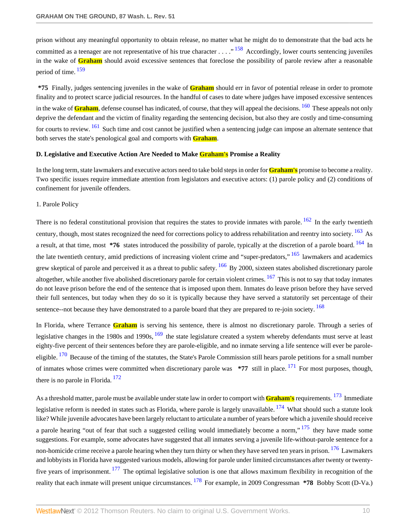<span id="page-9-2"></span>prison without any meaningful opportunity to obtain release, no matter what he might do to demonstrate that the bad acts he committed as a teenager are not representative of his true character  $\dots$ ."<sup>[158](#page-22-16)</sup> Accordingly, lower courts sentencing juveniles in the wake of **Graham** should avoid excessive sentences that foreclose the possibility of parole review after a reasonable period of time. [159](#page-22-17)

<span id="page-9-4"></span><span id="page-9-3"></span>**\*75** Finally, judges sentencing juveniles in the wake of **Graham** should err in favor of potential release in order to promote finality and to protect scarce judicial resources. In the handful of cases to date where judges have imposed excessive sentences in the wake of **Graham**, defense counsel has indicated, of course, that they will appeal the decisions. <sup>[160](#page-23-0)</sup> These appeals not only deprive the defendant and the victim of finality regarding the sentencing decision, but also they are costly and time-consuming for courts to review. <sup>[161](#page-23-1)</sup> Such time and cost cannot be justified when a sentencing judge can impose an alternate sentence that both serves the state's penological goal and comports with **Graham**.

### <span id="page-9-5"></span><span id="page-9-0"></span>**D. Legislative and Executive Action Are Needed to Make Graham's Promise a Reality**

In the long term, state lawmakers and executive actors need to take bold steps in order for **Graham's** promise to become a reality. Two specific issues require immediate attention from legislators and executive actors: (1) parole policy and (2) conditions of confinement for juvenile offenders.

#### <span id="page-9-6"></span><span id="page-9-1"></span>1. Parole Policy

<span id="page-9-10"></span><span id="page-9-9"></span><span id="page-9-8"></span><span id="page-9-7"></span>There is no federal constitutional provision that requires the states to provide inmates with parole.  $^{162}$  $^{162}$  $^{162}$  In the early twentieth century, though, most states recognized the need for corrections policy to address rehabilitation and reentry into society. <sup>[163](#page-23-3)</sup> As a result, at that time, most **\*76** states introduced the possibility of parole, typically at the discretion of a parole board. [164](#page-23-4) In the late twentieth century, amid predictions of increasing violent crime and "super-predators,"  $\frac{165}{165}$  $\frac{165}{165}$  $\frac{165}{165}$  lawmakers and academics grew skeptical of parole and perceived it as a threat to public safety. <sup>[166](#page-23-6)</sup> By 2000, sixteen states abolished discretionary parole altogether, while another five abolished discretionary parole for certain violent crimes.  $167$  This is not to say that today inmates do not leave prison before the end of the sentence that is imposed upon them. Inmates do leave prison before they have served their full sentences, but today when they do so it is typically because they have served a statutorily set percentage of their sentence--not because they have demonstrated to a parole board that they are prepared to re-join society. <sup>[168](#page-23-8)</sup>

<span id="page-9-14"></span><span id="page-9-13"></span><span id="page-9-12"></span><span id="page-9-11"></span>In Florida, where Terrance **Graham** is serving his sentence, there is almost no discretionary parole. Through a series of legislative changes in the 1980s and 1990s,  $\frac{169}{16}$  $\frac{169}{16}$  $\frac{169}{16}$  the state legislature created a system whereby defendants must serve at least eighty-five percent of their sentences before they are parole-eligible, and no inmate serving a life sentence will ever be paroleeligible.  $170$  Because of the timing of the statutes, the State's Parole Commission still hears parole petitions for a small number of inmates whose crimes were committed when discretionary parole was **\*77** still in place. <sup>[171](#page-23-11)</sup> For most purposes, though, there is no parole in Florida.  $172$ 

<span id="page-9-22"></span><span id="page-9-21"></span><span id="page-9-20"></span><span id="page-9-19"></span><span id="page-9-18"></span><span id="page-9-17"></span><span id="page-9-16"></span><span id="page-9-15"></span>As a threshold matter, parole must be available under state law in order to comport with **Graham's** requirements. [173](#page-23-13) Immediate legislative reform is needed in states such as Florida, where parole is largely unavailable. <sup>[174](#page-23-14)</sup> What should such a statute look like? While juvenile advocates have been largely reluctant to articulate a number of years before which a juvenile should receive a parole hearing "out of fear that such a suggested ceiling would immediately become a norm,"  $^{175}$  $^{175}$  $^{175}$  they have made some suggestions. For example, some advocates have suggested that all inmates serving a juvenile life-without-parole sentence for a non-homicide crime receive a parole hearing when they turn thirty or when they have served ten years in prison. <sup>[176](#page-23-16)</sup> Lawmakers and lobbyists in Florida have suggested various models, allowing for parole under limited circumstances after twenty or twentyfive years of imprisonment.  $177$  The optimal legislative solution is one that allows maximum flexibility in recognition of the reality that each inmate will present unique circumstances. [178](#page-24-1) For example, in 2009 Congressman **\*78** Bobby Scott (D-Va.)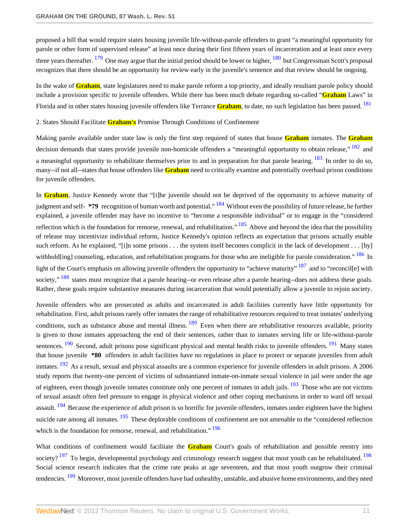<span id="page-10-2"></span><span id="page-10-1"></span>proposed a bill that would require states housing juvenile life-without-parole offenders to grant "a meaningful opportunity for parole or other form of supervised release" at least once during their first fifteen years of incarceration and at least once every three years thereafter.  $179$  One may argue that the initial period should be lower or higher,  $180$  but Congressman Scott's proposal recognizes that there should be an opportunity for review early in the juvenile's sentence and that review should be ongoing.

<span id="page-10-3"></span>In the wake of **Graham**, state legislatures need to make parole reform a top priority, and ideally resultant parole policy should include a provision specific to juvenile offenders. While there has been much debate regarding so-called "**Graham** Laws" in Florida and in other states housing juvenile offenders like Terrance **Graham**, to date, no such legislation has been passed. <sup>[181](#page-24-4)</sup>

<span id="page-10-0"></span>2. States Should Facilitate **Graham's** Promise Through Conditions of Confinement

<span id="page-10-5"></span><span id="page-10-4"></span>Making parole available under state law is only the first step required of states that house **Graham** inmates. The **Graham** decision demands that states provide juvenile non-homicide offenders a "meaningful opportunity to obtain release," <sup>[182](#page-24-5)</sup> and a meaningful opportunity to rehabilitate themselves prior to and in preparation for that parole hearing. <sup>[183](#page-24-6)</sup> In order to do so, many--if not all--states that house offenders like **Graham** need to critically examine and potentially overhaul prison conditions for juvenile offenders.

<span id="page-10-7"></span><span id="page-10-6"></span>In **Graham**, Justice Kennedy wrote that "[t]he juvenile should not be deprived of the opportunity to achieve maturity of judgment and self- **\*79** recognition of human worth and potential." [184](#page-24-7) Without even the possibility of future release, he further explained, a juvenile offender may have no incentive to "become a responsible individual" or to engage in the "considered reflection which is the foundation for remorse, renewal, and rehabilitation."  $185$  Above and beyond the idea that the possibility of release may incentivize individual reform, Justice Kennedy's opinion reflects an expectation that prisons actually enable such reform. As he explained, "[i]n some prisons . . . the system itself becomes complicit in the lack of development . . . [by] withhold[ing] counseling, education, and rehabilitation programs for those who are ineligible for parole consideration." <sup>[186](#page-24-9)</sup> In light of the Court's emphasis on allowing juvenile offenders the opportunity to "achieve maturity" <sup>[187](#page-24-10)</sup> and to "reconcil[e] with society," <sup>[188](#page-24-11)</sup> states must recognize that a parole hearing--or even release after a parole hearing--does not address these goals. Rather, these goals require substantive measures during incarceration that would potentially allow a juvenile to rejoin society.

<span id="page-10-14"></span><span id="page-10-13"></span><span id="page-10-12"></span><span id="page-10-11"></span><span id="page-10-10"></span><span id="page-10-9"></span><span id="page-10-8"></span>Juvenile offenders who are prosecuted as adults and incarcerated in adult facilities currently have little opportunity for rehabilitation. First, adult prisons rarely offer inmates the range of rehabilitative resources required to treat inmates' underlying conditions, such as substance abuse and mental illness.  $189$  Even when there are rehabilitative resources available, priority is given to those inmates approaching the end of their sentences, rather than to inmates serving life or life-without-parole sentences.  $\frac{190}{191}$  $\frac{190}{191}$  $\frac{190}{191}$  $\frac{190}{191}$  $\frac{190}{191}$  Second, adult prisons pose significant physical and mental health risks to juvenile offenders.  $\frac{191}{191}$  Many states that house juvenile **\*80** offenders in adult facilities have no regulations in place to protect or separate juveniles from adult inmates.  $\frac{192}{12}$  $\frac{192}{12}$  $\frac{192}{12}$  As a result, sexual and physical assaults are a common experience for juvenile offenders in adult prisons. A 2006 study reports that twenty-one percent of victims of substantiated inmate-on-inmate sexual violence in jail were under the age of eighteen, even though juvenile inmates constitute only one percent of inmates in adult jails. <sup>[193](#page-24-16)</sup> Those who are not victims of sexual assault often feel pressure to engage in physical violence and other coping mechanisms in order to ward off sexual assault. <sup>[194](#page-24-17)</sup> Because the experience of adult prison is so horrific for juvenile offenders, inmates under eighteen have the highest suicide rate among all inmates. <sup>[195](#page-24-18)</sup> These deplorable conditions of confinement are not amenable to the "considered reflection" which is the foundation for remorse, renewal, and rehabilitation." <sup>[196](#page-24-19)</sup>

<span id="page-10-21"></span><span id="page-10-20"></span><span id="page-10-19"></span><span id="page-10-18"></span><span id="page-10-17"></span><span id="page-10-16"></span><span id="page-10-15"></span>What conditions of confinement would facilitate the **Graham** Court's goals of rehabilitation and possible reentry into society?  $197$  To begin, developmental psychology and criminology research suggest that most youth can be rehabilitated.  $198$ Social science research indicates that the crime rate peaks at age seventeen, and that most youth outgrow their criminal tendencies. <sup>[199](#page-25-2)</sup> Moreover, most juvenile offenders have had unhealthy, unstable, and abusive home environments, and they need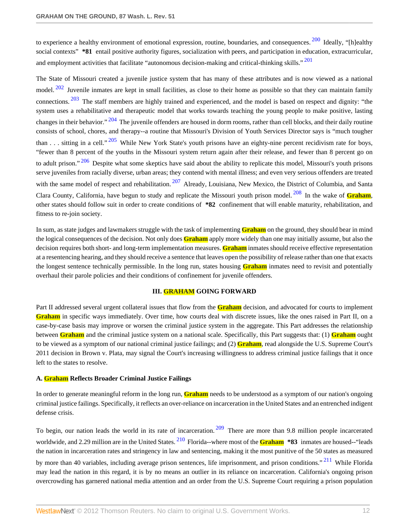<span id="page-11-3"></span><span id="page-11-2"></span>to experience a healthy environment of emotional expression, routine, boundaries, and consequences. <sup>[200](#page-25-3)</sup> Ideally, "[h]ealthy social contexts" **\*81** entail positive authority figures, socialization with peers, and participation in education, extracurricular, and employment activities that facilitate "autonomous decision-making and critical-thinking skills." <sup>[201](#page-25-4)</sup>

<span id="page-11-7"></span><span id="page-11-6"></span><span id="page-11-5"></span><span id="page-11-4"></span>The State of Missouri created a juvenile justice system that has many of these attributes and is now viewed as a national model.  $202$  Juvenile inmates are kept in small facilities, as close to their home as possible so that they can maintain family connections. [203](#page-25-6) The staff members are highly trained and experienced, and the model is based on respect and dignity: "the system uses a rehabilitative and therapeutic model that works towards teaching the young people to make positive, lasting changes in their behavior." <sup>[204](#page-25-7)</sup> The juvenile offenders are housed in dorm rooms, rather than cell blocks, and their daily routine consists of school, chores, and therapy--a routine that Missouri's Division of Youth Services Director says is "much tougher than . . . sitting in a cell."  $^{205}$  $^{205}$  $^{205}$  While New York State's youth prisons have an eighty-nine percent recidivism rate for boys, "fewer than 8 percent of the youths in the Missouri system return again after their release, and fewer than 8 percent go on to adult prison." <sup>[206](#page-25-9)</sup> Despite what some skeptics have said about the ability to replicate this model, Missouri's youth prisons serve juveniles from racially diverse, urban areas; they contend with mental illness; and even very serious offenders are treated with the same model of respect and rehabilitation. <sup>[207](#page-25-10)</sup> Already, Louisiana, New Mexico, the District of Columbia, and Santa Clara County, California, have begun to study and replicate the Missouri youth prison model. [208](#page-25-11) In the wake of **Graham**, other states should follow suit in order to create conditions of **\*82** confinement that will enable maturity, rehabilitation, and fitness to re-join society.

<span id="page-11-8"></span>In sum, as state judges and lawmakers struggle with the task of implementing **Graham** on the ground, they should bear in mind the logical consequences of the decision. Not only does **Graham** apply more widely than one may initially assume, but also the decision requires both short- and long-term implementation measures. **Graham** inmates should receive effective representation at a resentencing hearing, and they should receive a sentence that leaves open the possibility of release rather than one that exacts the longest sentence technically permissible. In the long run, states housing **Graham** inmates need to revisit and potentially overhaul their parole policies and their conditions of confinement for juvenile offenders.

### <span id="page-11-13"></span><span id="page-11-11"></span><span id="page-11-10"></span><span id="page-11-9"></span>**III. GRAHAM GOING FORWARD**

<span id="page-11-0"></span>Part II addressed several urgent collateral issues that flow from the **Graham** decision, and advocated for courts to implement **Graham** in specific ways immediately. Over time, how courts deal with discrete issues, like the ones raised in Part II, on a case-by-case basis may improve or worsen the criminal justice system in the aggregate. This Part addresses the relationship between **Graham** and the criminal justice system on a national scale. Specifically, this Part suggests that: (1) **Graham** ought to be viewed as a symptom of our national criminal justice failings; and (2) **Graham**, read alongside the U.S. Supreme Court's 2011 decision in Brown v. Plata, may signal the Court's increasing willingness to address criminal justice failings that it once left to the states to resolve.

#### <span id="page-11-1"></span>**A. Graham Reflects Broader Criminal Justice Failings**

In order to generate meaningful reform in the long run, **Graham** needs to be understood as a symptom of our nation's ongoing criminal justice failings. Specifically, it reflects an over-reliance on incarceration in the United States and an entrenched indigent defense crisis.

<span id="page-11-12"></span>To begin, our nation leads the world in its rate of incarceration.  $209$  There are more than 9.8 million people incarcerated worldwide, and 2.29 million are in the United States. [210](#page-25-13) Florida--where most of the **Graham \*83** inmates are housed--"leads the nation in incarceration rates and stringency in law and sentencing, making it the most punitive of the 50 states as measured by more than 40 variables, including average prison sentences, life imprisonment, and prison conditions."<sup>[211](#page-25-14)</sup> While Florida may lead the nation in this regard, it is by no means an outlier in its reliance on incarceration. California's ongoing prison overcrowding has garnered national media attention and an order from the U.S. Supreme Court requiring a prison population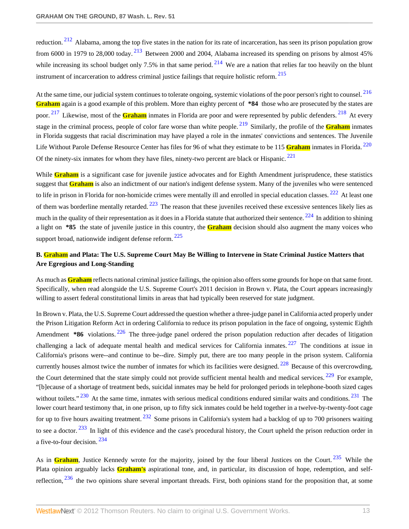<span id="page-12-3"></span><span id="page-12-2"></span><span id="page-12-1"></span>reduction.  $212$  Alabama, among the top five states in the nation for its rate of incarceration, has seen its prison population grow from 6000 in 1979 to 28,000 today.  $^{213}$  $^{213}$  $^{213}$  Between 2000 and 2004, Alabama increased its spending on prisons by almost 45% while increasing its school budget only 7.5% in that same period.  $214$  We are a nation that relies far too heavily on the blunt instrument of incarceration to address criminal justice failings that require holistic reform.  $215$ 

<span id="page-12-8"></span><span id="page-12-7"></span><span id="page-12-6"></span><span id="page-12-5"></span><span id="page-12-4"></span>At the same time, our judicial system continues to tolerate ongoing, systemic violations of the poor person's right to counsel. <sup>[216](#page-26-0)</sup> **Graham** again is a good example of this problem. More than eighty percent of **\*84** those who are prosecuted by the states are poor. [217](#page-26-1) Likewise, most of the **Graham** inmates in Florida are poor and were represented by public defenders. [218](#page-26-2) At every stage in the criminal process, people of color fare worse than white people. [219](#page-26-3) Similarly, the profile of the **Graham** inmates in Florida suggests that racial discrimination may have played a role in the inmates' convictions and sentences. The Juvenile Life Without Parole Defense Resource Center has files for 96 of what they estimate to be 115 **Graham** inmates in Florida. [220](#page-26-4) Of the ninety-six inmates for whom they have files, ninety-two percent are black or Hispanic.  $221$ 

<span id="page-12-13"></span><span id="page-12-12"></span><span id="page-12-11"></span><span id="page-12-10"></span><span id="page-12-9"></span>While **Graham** is a significant case for juvenile justice advocates and for Eighth Amendment jurisprudence, these statistics suggest that **Graham** is also an indictment of our nation's indigent defense system. Many of the juveniles who were sentenced to life in prison in Florida for non-homicide crimes were mentally ill and enrolled in special education classes. <sup>[222](#page-26-6)</sup> At least one of them was borderline mentally retarded.  $223$  The reason that these juveniles received these excessive sentences likely lies as much in the quality of their representation as it does in a Florida statute that authorized their sentence. <sup>[224](#page-26-8)</sup> In addition to shining a light on **\*85** the state of juvenile justice in this country, the **Graham** decision should also augment the many voices who support broad, nationwide indigent defense reform.  $225$ 

# <span id="page-12-14"></span><span id="page-12-0"></span>**B. Graham and Plata: The U.S. Supreme Court May Be Willing to Intervene in State Criminal Justice Matters that Are Egregious and Long-Standing**

As much as **Graham** reflects national criminal justice failings, the opinion also offers some grounds for hope on that same front. Specifically, when read alongside the U.S. Supreme Court's 2011 decision in Brown v. Plata, the Court appears increasingly willing to assert federal constitutional limits in areas that had typically been reserved for state judgment.

<span id="page-12-18"></span><span id="page-12-17"></span><span id="page-12-16"></span><span id="page-12-15"></span>In Brown v. Plata, the U.S. Supreme Court addressed the question whether a three-judge panel in California acted properly under the Prison Litigation Reform Act in ordering California to reduce its prison population in the face of ongoing, systemic Eighth Amendment **\*86** violations. <sup>[226](#page-27-0)</sup> The three-judge panel ordered the prison population reduction after decades of litigation challenging a lack of adequate mental health and medical services for California inmates.  $227$  The conditions at issue in California's prisons were--and continue to be--dire. Simply put, there are too many people in the prison system. California currently houses almost twice the number of inmates for which its facilities were designed.  $228$  Because of this overcrowding, the Court determined that the state simply could not provide sufficient mental health and medical services. <sup>[229](#page-27-3)</sup> For example, "[b]ecause of a shortage of treatment beds, suicidal inmates may be held for prolonged periods in telephone-booth sized cages without toilets."  $^{230}$  $^{230}$  $^{230}$  At the same time, inmates with serious medical conditions endured similar waits and conditions.  $^{231}$  $^{231}$  $^{231}$  The lower court heard testimony that, in one prison, up to fifty sick inmates could be held together in a twelve-by-twenty-foot cage for up to five hours awaiting treatment.  $232$  Some prisons in California's system had a backlog of up to 700 prisoners waiting to see a doctor.  $^{233}$  $^{233}$  $^{233}$  In light of this evidence and the case's procedural history, the Court upheld the prison reduction order in a five-to-four decision. [234](#page-27-8)

<span id="page-12-25"></span><span id="page-12-24"></span><span id="page-12-23"></span><span id="page-12-22"></span><span id="page-12-21"></span><span id="page-12-20"></span><span id="page-12-19"></span>As in **Graham**, Justice Kennedy wrote for the majority, joined by the four liberal Justices on the Court. <sup>[235](#page-27-9)</sup> While the Plata opinion arguably lacks **Graham's** aspirational tone, and, in particular, its discussion of hope, redemption, and selfreflection,  $^{236}$  $^{236}$  $^{236}$  the two opinions share several important threads. First, both opinions stand for the proposition that, at some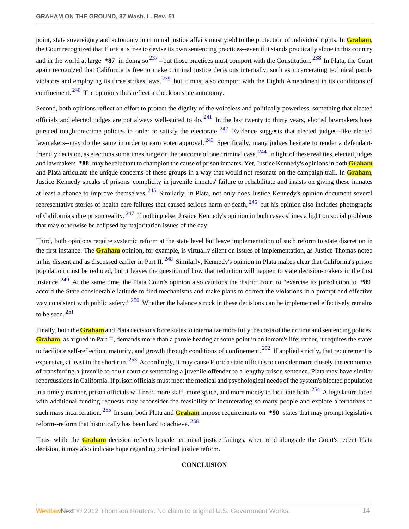<span id="page-13-2"></span><span id="page-13-1"></span>point, state sovereignty and autonomy in criminal justice affairs must yield to the protection of individual rights. In **Graham**, the Court recognized that Florida is free to devise its own sentencing practices--even if it stands practically alone in this country and in the world at large  $*87$  in doing so  $^{237}$  $^{237}$  $^{237}$ -but those practices must comport with the Constitution.  $^{238}$  $^{238}$  $^{238}$  In Plata, the Court again recognized that California is free to make criminal justice decisions internally, such as incarcerating technical parole violators and employing its three strikes laws,  $^{239}$  $^{239}$  $^{239}$  but it must also comport with the Eighth Amendment in its conditions of confinement. <sup>[240](#page-27-14)</sup> The opinions thus reflect a check on state autonomy.

<span id="page-13-8"></span><span id="page-13-7"></span><span id="page-13-6"></span><span id="page-13-5"></span><span id="page-13-4"></span><span id="page-13-3"></span>Second, both opinions reflect an effort to protect the dignity of the voiceless and politically powerless, something that elected officials and elected judges are not always well-suited to do.  $241$  In the last twenty to thirty years, elected lawmakers have pursued tough-on-crime policies in order to satisfy the electorate.  $242$  Evidence suggests that elected judges--like elected lawmakers--may do the same in order to earn voter approval.  $243$  Specifically, many judges hesitate to render a defendant-friendly decision, as elections sometimes hinge on the outcome of one criminal case. <sup>[244](#page-27-18)</sup> In light of these realities, elected judges and lawmakers **\*88** may be reluctant to champion the cause of prison inmates. Yet, Justice Kennedy's opinions in both **Graham** and Plata articulate the unique concerns of these groups in a way that would not resonate on the campaign trail. In **Graham**, Justice Kennedy speaks of prisons' complicity in juvenile inmates' failure to rehabilitate and insists on giving these inmates at least a chance to improve themselves. <sup>[245](#page-28-0)</sup> Similarly, in Plata, not only does Justice Kennedy's opinion document several representative stories of health care failures that caused serious harm or death,  $246$  but his opinion also includes photographs of California's dire prison reality.  $247$  If nothing else, Justice Kennedy's opinion in both cases shines a light on social problems that may otherwise be eclipsed by majoritarian issues of the day.

<span id="page-13-13"></span><span id="page-13-12"></span><span id="page-13-11"></span><span id="page-13-10"></span><span id="page-13-9"></span>Third, both opinions require systemic reform at the state level but leave implementation of such reform to state discretion in the first instance. The **Graham** opinion, for example, is virtually silent on issues of implementation, as Justice Thomas noted in his dissent and as discussed earlier in Part II. <sup>[248](#page-28-3)</sup> Similarly, Kennedy's opinion in Plata makes clear that California's prison population must be reduced, but it leaves the question of how that reduction will happen to state decision-makers in the first instance. [249](#page-28-4) At the same time, the Plata Court's opinion also cautions the district court to "exercise its jurisdiction to **\*89** accord the State considerable latitude to find mechanisms and make plans to correct the violations in a prompt and effective way consistent with public safety."  $\frac{250}{250}$  $\frac{250}{250}$  $\frac{250}{250}$  Whether the balance struck in these decisions can be implemented effectively remains to be seen. [251](#page-28-6)

<span id="page-13-17"></span><span id="page-13-15"></span><span id="page-13-14"></span>Finally, both the **Graham** and Plata decisions force states to internalize more fully the costs of their crime and sentencing polices. **Graham**, as argued in Part II, demands more than a parole hearing at some point in an inmate's life; rather, it requires the states to facilitate self-reflection, maturity, and growth through conditions of confinement.  $^{252}$  $^{252}$  $^{252}$  If applied strictly, that requirement is expensive, at least in the short run.  $^{253}$  $^{253}$  $^{253}$  Accordingly, it may cause Florida state officials to consider more closely the economics of transferring a juvenile to adult court or sentencing a juvenile offender to a lengthy prison sentence. Plata may have similar repercussions in California. If prison officials must meet the medical and psychological needs of the system's bloated population in a timely manner, prison officials will need more staff, more space, and more money to facilitate both. <sup>[254](#page-28-9)</sup> A legislature faced with additional funding requests may reconsider the feasibility of incarcerating so many people and explore alternatives to such mass incarceration. [255](#page-28-10) In sum, both Plata and **Graham** impose requirements on **\*90** states that may prompt legislative reform--reform that historically has been hard to achieve. [256](#page-28-11)

<span id="page-13-19"></span><span id="page-13-0"></span>Thus, while the **Graham** decision reflects broader criminal justice failings, when read alongside the Court's recent Plata decision, it may also indicate hope regarding criminal justice reform.

### <span id="page-13-20"></span><span id="page-13-18"></span><span id="page-13-16"></span>**CONCLUSION**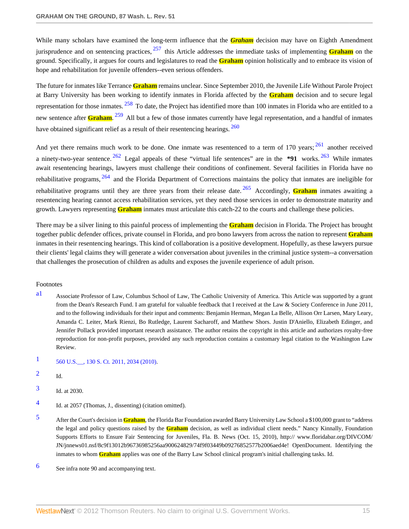<span id="page-14-7"></span>While many scholars have examined the long-term influence that the *Graham* decision may have on Eighth Amendment jurisprudence and on sentencing practices, [257](#page-28-12) this Article addresses the immediate tasks of implementing **Graham** on the ground. Specifically, it argues for courts and legislatures to read the **Graham** opinion holistically and to embrace its vision of hope and rehabilitation for juvenile offenders--even serious offenders.

<span id="page-14-9"></span><span id="page-14-8"></span>The future for inmates like Terrance **Graham** remains unclear. Since September 2010, the Juvenile Life Without Parole Project at Barry University has been working to identify inmates in Florida affected by the **Graham** decision and to secure legal representation for those inmates.  $\frac{258}{10}$  $\frac{258}{10}$  $\frac{258}{10}$  To date, the Project has identified more than 100 inmates in Florida who are entitled to a new sentence after **Graham**. [259](#page-29-0) All but a few of those inmates currently have legal representation, and a handful of inmates have obtained significant relief as a result of their resentencing hearings. [260](#page-29-1)

<span id="page-14-14"></span><span id="page-14-13"></span><span id="page-14-12"></span><span id="page-14-11"></span><span id="page-14-10"></span>And yet there remains much work to be done. One inmate was resentenced to a term of 170 years;  $^{261}$  $^{261}$  $^{261}$  another received a ninety-two-year sentence. [262](#page-29-3) Legal appeals of these "virtual life sentences" are in the **\*91** works. [263](#page-29-4) While inmates await resentencing hearings, lawyers must challenge their conditions of confinement. Several facilities in Florida have no rehabilitative programs,  $264$  and the Florida Department of Corrections maintains the policy that inmates are ineligible for rehabilitative programs until they are three years from their release date. [265](#page-29-6) Accordingly, **Graham** inmates awaiting a resentencing hearing cannot access rehabilitation services, yet they need those services in order to demonstrate maturity and growth. Lawyers representing **Graham** inmates must articulate this catch-22 to the courts and challenge these policies.

<span id="page-14-15"></span>There may be a silver lining to this painful process of implementing the **Graham** decision in Florida. The Project has brought together public defender offices, private counsel in Florida, and pro bono lawyers from across the nation to represent **Graham** inmates in their resentencing hearings. This kind of collaboration is a positive development. Hopefully, as these lawyers pursue their clients' legal claims they will generate a wider conversation about juveniles in the criminal justice system--a conversation that challenges the prosecution of children as adults and exposes the juvenile experience of adult prison.

#### Footnotes

- <span id="page-14-0"></span>[a1](#page-0-1) Associate Professor of Law, Columbus School of Law, The Catholic University of America. This Article was supported by a grant from the Dean's Research Fund. I am grateful for valuable feedback that I received at the Law & Society Conference in June 2011, and to the following individuals for their input and comments: Benjamin Herman, Megan La Belle, Allison Orr Larsen, Mary Leary, Amanda C. Leiter, Mark Rienzi, Bo Rutledge, Laurent Sacharoff, and Matthew Shors. Justin D'Aniello, Elizabeth Edinger, and Jennifer Pollack provided important research assistance. The author retains the copyright in this article and authorizes royalty-free reproduction for non-profit purposes, provided any such reproduction contains a customary legal citation to the Washington Law Review.
- <span id="page-14-1"></span>[1](#page-0-2) [560 U.S.\\_\\_, 130 S. Ct. 2011, 2034 \(2010\)](http://www.westlaw.com/Link/Document/FullText?findType=Y&serNum=2022052221&pubNum=708&originationContext=document&vr=3.0&rs=cblt1.0&transitionType=DocumentItem&contextData=(sc.Search)#co_pp_sp_708_2034).
- <span id="page-14-2"></span>[2](#page-0-3) Id.
- <span id="page-14-3"></span>[3](#page-1-0) Id. at 2030.
- <span id="page-14-4"></span>[4](#page-1-1) Id. at 2057 (Thomas, J., dissenting) (citation omitted).
- <span id="page-14-5"></span>[5](#page-1-2) After the Court's decision in **Graham**, the Florida Bar Foundation awarded Barry University Law School a \$100,000 grant to "address the legal and policy questions raised by the **Graham** decision, as well as individual client needs." Nancy Kinnally, Foundation Supports Efforts to Ensure Fair Sentencing for Juveniles, Fla. B. News (Oct. 15, 2010), http:// www.floridabar.org/DIVCOM/ JN/jnnews01.nsf/8c9f13012b96736985256aa900624829/74f9f03449b09276852577b2006aed4e! OpenDocument. Identifying the inmates to whom **Graham** applies was one of the Barry Law School clinical program's initial challenging tasks. Id.
- <span id="page-14-6"></span>[6](#page-1-3) See infra note 90 and accompanying text.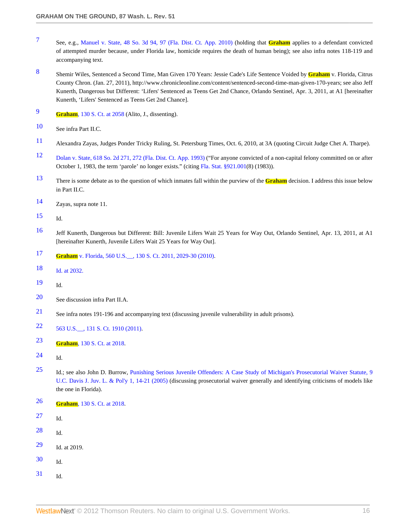- <span id="page-15-0"></span> See, e.g., [Manuel v. State, 48 So. 3d 94, 97 \(Fla. Dist. Ct. App. 2010\)](http://www.westlaw.com/Link/Document/FullText?findType=Y&serNum=2023550350&pubNum=3926&originationContext=document&vr=3.0&rs=cblt1.0&transitionType=DocumentItem&contextData=(sc.Search)#co_pp_sp_3926_97) (holding that **Graham** applies to a defendant convicted of attempted murder because, under Florida law, homicide requires the death of human being); see also infra notes 118-119 and accompanying text.
- <span id="page-15-1"></span> Shemir Wiles, Sentenced a Second Time, Man Given 170 Years: Jessie Cade's Life Sentence Voided by **Graham** v. Florida, Citrus County Chron. (Jan. 27, 2011), http://www.chronicleonline.com/content/sentenced-second-time-man-given-170-years; see also Jeff Kunerth, Dangerous but Different: 'Lifers' Sentenced as Teens Get 2nd Chance, Orlando Sentinel, Apr. 3, 2011, at A1 [hereinafter Kunerth, 'Lifers' Sentenced as Teens Get 2nd Chance].
- <span id="page-15-2"></span>**Graham**[, 130 S. Ct. at 2058](http://www.westlaw.com/Link/Document/FullText?findType=Y&serNum=2022052221&pubNum=708&originationContext=document&vr=3.0&rs=cblt1.0&transitionType=DocumentItem&contextData=(sc.Search)#co_pp_sp_708_2058) (Alito, J., dissenting).
- <span id="page-15-3"></span>See infra Part II.C.
- <span id="page-15-4"></span>Alexandra Zayas, Judges Ponder Tricky Ruling, St. Petersburg Times, Oct. 6, 2010, at 3A (quoting Circuit Judge Chet A. Tharpe).
- <span id="page-15-5"></span> [Dolan v. State, 618 So. 2d 271, 272 \(Fla. Dist. Ct. App. 1993\)](http://www.westlaw.com/Link/Document/FullText?findType=Y&serNum=1993079590&pubNum=735&originationContext=document&vr=3.0&rs=cblt1.0&transitionType=DocumentItem&contextData=(sc.Search)#co_pp_sp_735_272) ("For anyone convicted of a non-capital felony committed on or after October 1, 1983, the term 'parole' no longer exists." (citing [Fla. Stat. §921.001\(](http://www.westlaw.com/Link/Document/FullText?findType=L&pubNum=1000006&cite=FLSTS921.001&originatingDoc=Ic9987848803511e18b05fdf15589d8e8&refType=LQ&originationContext=document&vr=3.0&rs=cblt1.0&transitionType=DocumentItem&contextData=(sc.Search))8) (1983)).
- <span id="page-15-6"></span> There is some debate as to the question of which inmates fall within the purview of the **Graham** decision. I address this issue below in Part II.C.
- <span id="page-15-7"></span>Zayas, supra note 11.
- <span id="page-15-8"></span>Id.
- <span id="page-15-9"></span> Jeff Kunerth, Dangerous but Different: Bill: Juvenile Lifers Wait 25 Years for Way Out, Orlando Sentinel, Apr. 13, 2011, at A1 [hereinafter Kunerth, Juvenile Lifers Wait 25 Years for Way Out].
- <span id="page-15-10"></span>**Graham** [v. Florida, 560 U.S.\\_\\_, 130 S. Ct. 2011, 2029-30 \(2010\).](http://www.westlaw.com/Link/Document/FullText?findType=Y&serNum=2022052221&pubNum=708&originationContext=document&vr=3.0&rs=cblt1.0&transitionType=DocumentItem&contextData=(sc.Search)#co_pp_sp_708_2029)
- <span id="page-15-11"></span>[Id. at 2032.](http://www.westlaw.com/Link/Document/FullText?findType=Y&serNum=2022052221&originationContext=document&vr=3.0&rs=cblt1.0&transitionType=DocumentItem&contextData=(sc.Search))
- <span id="page-15-12"></span>Id.
- <span id="page-15-13"></span>See discussion infra Part II.A.
- <span id="page-15-14"></span>See infra notes 191-196 and accompanying text (discussing juvenile vulnerability in adult prisons).
- <span id="page-15-15"></span>[563 U.S.\\_\\_, 131 S. Ct. 1910 \(2011\).](http://www.westlaw.com/Link/Document/FullText?findType=Y&serNum=2025330790&pubNum=708&originationContext=document&vr=3.0&rs=cblt1.0&transitionType=DocumentItem&contextData=(sc.Search))
- <span id="page-15-16"></span>**Graham**[, 130 S. Ct. at 2018](http://www.westlaw.com/Link/Document/FullText?findType=Y&serNum=2022052221&pubNum=708&originationContext=document&vr=3.0&rs=cblt1.0&transitionType=DocumentItem&contextData=(sc.Search)#co_pp_sp_708_2018).
- <span id="page-15-17"></span>Id.
- <span id="page-15-18"></span> Id.; see also John D. Burrow, [Punishing Serious Juvenile Offenders: A Case Study of Michigan's Prosecutorial Waiver Statute, 9](http://www.westlaw.com/Link/Document/FullText?findType=Y&serNum=0303361900&pubNum=169622&originationContext=document&vr=3.0&rs=cblt1.0&transitionType=DocumentItem&contextData=(sc.Search)#co_pp_sp_169622_14) [U.C. Davis J. Juv. L. & Pol'y 1, 14-21 \(2005\)](http://www.westlaw.com/Link/Document/FullText?findType=Y&serNum=0303361900&pubNum=169622&originationContext=document&vr=3.0&rs=cblt1.0&transitionType=DocumentItem&contextData=(sc.Search)#co_pp_sp_169622_14) (discussing prosecutorial waiver generally and identifying criticisms of models like the one in Florida).
- <span id="page-15-19"></span>**Graham**[, 130 S. Ct. at 2018](http://www.westlaw.com/Link/Document/FullText?findType=Y&serNum=2022052221&pubNum=708&originationContext=document&vr=3.0&rs=cblt1.0&transitionType=DocumentItem&contextData=(sc.Search)#co_pp_sp_708_2018).
- <span id="page-15-20"></span>Id.
- <span id="page-15-21"></span>Id.
- <span id="page-15-22"></span>Id. at 2019.
- <span id="page-15-23"></span>Id.
- <span id="page-15-24"></span>Id.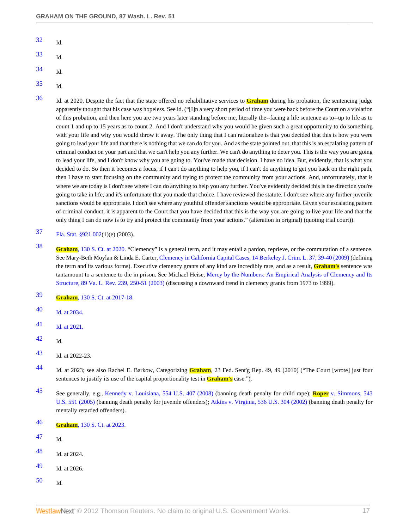- <span id="page-16-0"></span>[32](#page-2-14) Id.
- <span id="page-16-1"></span>[33](#page-2-15) Id.
- <span id="page-16-2"></span>[34](#page-2-16) Id.
- <span id="page-16-3"></span>[35](#page-2-17) Id.

<span id="page-16-4"></span>[36](#page-2-18) Id. at 2020. Despite the fact that the state offered no rehabilitative services to **Graham** during his probation, the sentencing judge apparently thought that his case was hopeless. See id. ("[I]n a very short period of time you were back before the Court on a violation of this probation, and then here you are two years later standing before me, literally the--facing a life sentence as to--up to life as to count 1 and up to 15 years as to count 2. And I don't understand why you would be given such a great opportunity to do something with your life and why you would throw it away. The only thing that I can rationalize is that you decided that this is how you were going to lead your life and that there is nothing that we can do for you. And as the state pointed out, that this is an escalating pattern of criminal conduct on your part and that we can't help you any further. We can't do anything to deter you. This is the way you are going to lead your life, and I don't know why you are going to. You've made that decision. I have no idea. But, evidently, that is what you decided to do. So then it becomes a focus, if I can't do anything to help you, if I can't do anything to get you back on the right path, then I have to start focusing on the community and trying to protect the community from your actions. And, unfortunately, that is where we are today is I don't see where I can do anything to help you any further. You've evidently decided this is the direction you're going to take in life, and it's unfortunate that you made that choice. I have reviewed the statute. I don't see where any further juvenile sanctions would be appropriate. I don't see where any youthful offender sanctions would be appropriate. Given your escalating pattern of criminal conduct, it is apparent to the Court that you have decided that this is the way you are going to live your life and that the only thing I can do now is to try and protect the community from your actions." (alteration in original) (quoting trial court)).

# <span id="page-16-5"></span>[37](#page-2-19) [Fla. Stat. §921.002](http://www.westlaw.com/Link/Document/FullText?findType=L&pubNum=1000006&cite=FLSTS921.002&originatingDoc=Ic9987848803511e18b05fdf15589d8e8&refType=LQ&originationContext=document&vr=3.0&rs=cblt1.0&transitionType=DocumentItem&contextData=(sc.Search))(1)(e) (2003).

- <span id="page-16-6"></span>[38](#page-2-20) **Graham**[, 130 S. Ct. at 2020.](http://www.westlaw.com/Link/Document/FullText?findType=Y&serNum=2022052221&pubNum=708&originationContext=document&vr=3.0&rs=cblt1.0&transitionType=DocumentItem&contextData=(sc.Search)#co_pp_sp_708_2020) "Clemency" is a general term, and it may entail a pardon, reprieve, or the commutation of a sentence. See Mary-Beth Moylan & Linda E. Carter, [Clemency in California Capital Cases, 14 Berkeley J. Crim. L. 37, 39-40 \(2009\)](http://www.westlaw.com/Link/Document/FullText?findType=Y&serNum=0348279339&pubNum=198412&originationContext=document&vr=3.0&rs=cblt1.0&transitionType=DocumentItem&contextData=(sc.Search)#co_pp_sp_198412_39) (defining the term and its various forms). Executive clemency grants of any kind are incredibly rare, and as a result, **Graham's** sentence was tantamount to a sentence to die in prison. See Michael Heise, [Mercy by the Numbers: An Empirical Analysis of Clemency and Its](http://www.westlaw.com/Link/Document/FullText?findType=Y&serNum=0294192595&pubNum=1359&originationContext=document&vr=3.0&rs=cblt1.0&transitionType=DocumentItem&contextData=(sc.Search)#co_pp_sp_1359_250) [Structure, 89 Va. L. Rev. 239, 250-51 \(2003\)](http://www.westlaw.com/Link/Document/FullText?findType=Y&serNum=0294192595&pubNum=1359&originationContext=document&vr=3.0&rs=cblt1.0&transitionType=DocumentItem&contextData=(sc.Search)#co_pp_sp_1359_250) (discussing a downward trend in clemency grants from 1973 to 1999).
- <span id="page-16-7"></span>[39](#page-2-21) **Graham**[, 130 S. Ct. at 2017-18](http://www.westlaw.com/Link/Document/FullText?findType=Y&serNum=2022052221&pubNum=708&originationContext=document&vr=3.0&rs=cblt1.0&transitionType=DocumentItem&contextData=(sc.Search)#co_pp_sp_708_2017).
- <span id="page-16-8"></span>[40](#page-2-22) [Id. at 2034.](http://www.westlaw.com/Link/Document/FullText?findType=Y&serNum=2022052221&originationContext=document&vr=3.0&rs=cblt1.0&transitionType=DocumentItem&contextData=(sc.Search))
- <span id="page-16-9"></span>[41](#page-3-0) [Id. at 2021.](http://www.westlaw.com/Link/Document/FullText?findType=Y&serNum=2022052221&originationContext=document&vr=3.0&rs=cblt1.0&transitionType=DocumentItem&contextData=(sc.Search))
- <span id="page-16-10"></span>[42](#page-3-1) Id.
- <span id="page-16-11"></span>[43](#page-3-2) Id. at 2022-23.
- <span id="page-16-12"></span>[44](#page-3-3) Id. at 2023; see also Rachel E. Barkow, Categorizing **Graham**, 23 Fed. Sent'g Rep. 49, 49 (2010) ("The Court [wrote] just four sentences to justify its use of the capital proportionality test in **Graham's** case.").
- <span id="page-16-13"></span>[45](#page-3-4) See generally, e.g., [Kennedy v. Louisiana, 554 U.S. 407 \(2008\)](http://www.westlaw.com/Link/Document/FullText?findType=Y&serNum=2016379544&pubNum=780&originationContext=document&vr=3.0&rs=cblt1.0&transitionType=DocumentItem&contextData=(sc.Search)) (banning death penalty for child rape); **Roper** [v. Simmons, 543](http://www.westlaw.com/Link/Document/FullText?findType=Y&serNum=2006291922&pubNum=780&originationContext=document&vr=3.0&rs=cblt1.0&transitionType=DocumentItem&contextData=(sc.Search)) [U.S. 551 \(2005\)](http://www.westlaw.com/Link/Document/FullText?findType=Y&serNum=2006291922&pubNum=780&originationContext=document&vr=3.0&rs=cblt1.0&transitionType=DocumentItem&contextData=(sc.Search)) (banning death penalty for juvenile offenders); [Atkins v. Virginia, 536 U.S. 304 \(2002\)](http://www.westlaw.com/Link/Document/FullText?findType=Y&serNum=2002381685&pubNum=780&originationContext=document&vr=3.0&rs=cblt1.0&transitionType=DocumentItem&contextData=(sc.Search)) (banning death penalty for mentally retarded offenders).
- <span id="page-16-14"></span>[46](#page-3-5) **Graham**[, 130 S. Ct. at 2023](http://www.westlaw.com/Link/Document/FullText?findType=Y&serNum=2022052221&pubNum=708&originationContext=document&vr=3.0&rs=cblt1.0&transitionType=DocumentItem&contextData=(sc.Search)#co_pp_sp_708_2023).
- <span id="page-16-15"></span>[47](#page-3-6) Id.
- <span id="page-16-16"></span>[48](#page-3-7) Id. at 2024.
- <span id="page-16-17"></span>[49](#page-3-8) Id. at 2026.
- <span id="page-16-18"></span>[50](#page-3-9) Id.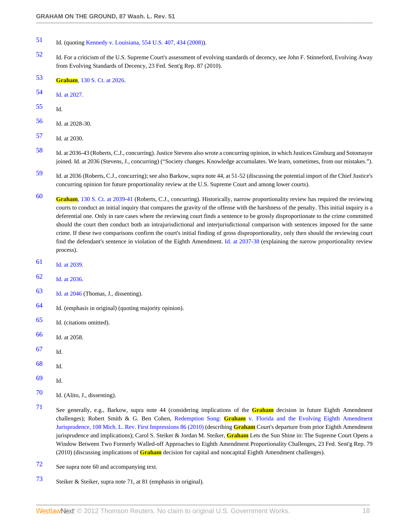- <span id="page-17-0"></span>[51](#page-3-10) Id. (quoting [Kennedy v. Louisiana, 554 U.S. 407, 434 \(2008\)](http://www.westlaw.com/Link/Document/FullText?findType=Y&serNum=2016379544&pubNum=780&originationContext=document&vr=3.0&rs=cblt1.0&transitionType=DocumentItem&contextData=(sc.Search)#co_pp_sp_780_434)).
- <span id="page-17-1"></span>[52](#page-3-11) Id. For a criticism of the U.S. Supreme Court's assessment of evolving standards of decency, see John F. Stinneford, Evolving Away from Evolving Standards of Decency, 23 Fed. Sent'g Rep. 87 (2010).
- <span id="page-17-2"></span>[53](#page-3-12) **Graham**[, 130 S. Ct. at 2026](http://www.westlaw.com/Link/Document/FullText?findType=Y&serNum=2022052221&pubNum=708&originationContext=document&vr=3.0&rs=cblt1.0&transitionType=DocumentItem&contextData=(sc.Search)#co_pp_sp_708_2026).
- <span id="page-17-3"></span>[54](#page-3-13) [Id. at 2027.](http://www.westlaw.com/Link/Document/FullText?findType=Y&serNum=2022052221&originationContext=document&vr=3.0&rs=cblt1.0&transitionType=DocumentItem&contextData=(sc.Search))
- <span id="page-17-4"></span>[55](#page-3-14) Id.
- <span id="page-17-5"></span>[56](#page-3-15) Id. at 2028-30.
- <span id="page-17-6"></span>[57](#page-3-16) Id. at 2030.
- <span id="page-17-7"></span>[58](#page-3-17) Id. at 2036-43 (Roberts, C.J., concurring). Justice Stevens also wrote a concurring opinion, in which Justices Ginsburg and Sotomayor joined. Id. at 2036 (Stevens, J., concurring) ("Society changes. Knowledge accumulates. We learn, sometimes, from our mistakes.").
- <span id="page-17-8"></span>[59](#page-3-18) Id. at 2036 (Roberts, C.J., concurring); see also Barkow, supra note 44, at 51-52 (discussing the potential import of the Chief Justice's concurring opinion for future proportionality review at the U.S. Supreme Court and among lower courts).
- <span id="page-17-9"></span>[60](#page-3-19) **Graham**[, 130 S. Ct. at 2039-41](http://www.westlaw.com/Link/Document/FullText?findType=Y&serNum=2022052221&pubNum=708&originationContext=document&vr=3.0&rs=cblt1.0&transitionType=DocumentItem&contextData=(sc.Search)#co_pp_sp_708_2039) (Roberts, C.J., concurring). Historically, narrow proportionality review has required the reviewing courts to conduct an initial inquiry that compares the gravity of the offense with the harshness of the penalty. This initial inquiry is a deferential one. Only in rare cases where the reviewing court finds a sentence to be grossly disproportionate to the crime committed should the court then conduct both an intrajurisdictional and interjurisdictional comparison with sentences imposed for the same crime. If these two comparisons confirm the court's initial finding of gross disproportionality, only then should the reviewing court find the defendant's sentence in violation of the Eighth Amendment. [Id. at 2037-38](http://www.westlaw.com/Link/Document/FullText?findType=Y&serNum=2022052221&originationContext=document&vr=3.0&rs=cblt1.0&transitionType=DocumentItem&contextData=(sc.Search)) (explaining the narrow proportionality review process).
- <span id="page-17-10"></span>[61](#page-3-20) [Id. at 2039.](http://www.westlaw.com/Link/Document/FullText?findType=Y&serNum=2022052221&originationContext=document&vr=3.0&rs=cblt1.0&transitionType=DocumentItem&contextData=(sc.Search))
- <span id="page-17-11"></span>[62](#page-3-21) [Id. at 2036.](http://www.westlaw.com/Link/Document/FullText?findType=Y&serNum=2022052221&originationContext=document&vr=3.0&rs=cblt1.0&transitionType=DocumentItem&contextData=(sc.Search))
- <span id="page-17-12"></span>[63](#page-3-22) [Id. at 2046](http://www.westlaw.com/Link/Document/FullText?findType=Y&serNum=2022052221&originationContext=document&vr=3.0&rs=cblt1.0&transitionType=DocumentItem&contextData=(sc.Search)) (Thomas, J., dissenting).
- <span id="page-17-13"></span>[64](#page-3-23) Id. (emphasis in original) (quoting majority opinion).
- <span id="page-17-14"></span>[65](#page-3-24) Id. (citations omitted).
- <span id="page-17-15"></span>[66](#page-4-1) Id. at 2058.
- <span id="page-17-16"></span>[67](#page-4-2) Id.
- <span id="page-17-17"></span>[68](#page-4-3) Id.
- <span id="page-17-18"></span>[69](#page-4-4) Id.
- <span id="page-17-19"></span>[70](#page-4-5) Id. (Alito, J., dissenting).
- <span id="page-17-20"></span>[71](#page-4-6) See generally, e.g., Barkow, supra note 44 (considering implications of the **Graham** decision in future Eighth Amendment challenges); Robert Smith & G. Ben Cohen, Redemption Song: **Graham** [v. Florida and the Evolving Eighth Amendment](http://www.westlaw.com/Link/Document/FullText?findType=Y&serNum=0353930385&pubNum=204203&originationContext=document&vr=3.0&rs=cblt1.0&transitionType=DocumentItem&contextData=(sc.Search)) [Jurisprudence, 108 Mich. L. Rev. First Impressions 86 \(2010\)](http://www.westlaw.com/Link/Document/FullText?findType=Y&serNum=0353930385&pubNum=204203&originationContext=document&vr=3.0&rs=cblt1.0&transitionType=DocumentItem&contextData=(sc.Search)) (describing **Graham** Court's departure from prior Eighth Amendment jurisprudence and implications); Carol S. Steiker & Jordan M. Steiker, **Graham** Lets the Sun Shine in: The Supreme Court Opens a Window Between Two Formerly Walled-off Approaches to Eighth Amendment Proportionality Challenges, 23 Fed. Sent'g Rep. 79 (2010) (discussing implications of **Graham** decision for capital and noncapital Eighth Amendment challenges).
- <span id="page-17-21"></span>[72](#page-4-7) See supra note 60 and accompanying text.
- <span id="page-17-22"></span>[73](#page-4-8) Steiker & Steiker, supra note 71, at 81 (emphasis in original).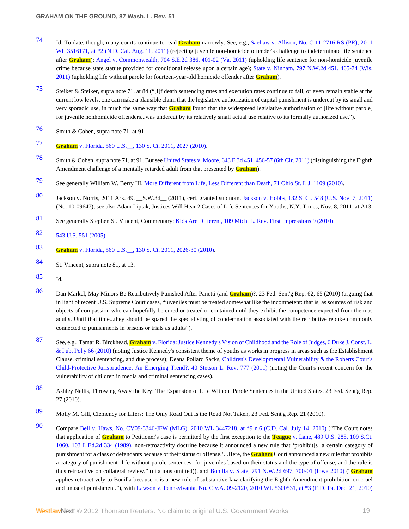- <span id="page-18-0"></span>[74](#page-4-9) Id. To date, though, many courts continue to read **Graham** narrowly. See, e.g., [Saeliaw v. Allison, No. C 11-2716 RS \(PR\), 2011](http://www.westlaw.com/Link/Document/FullText?findType=Y&serNum=2025855334&pubNum=0000999&originationContext=document&vr=3.0&rs=cblt1.0&transitionType=DocumentItem&contextData=(sc.Search)) [WL 3516171, at \\*2 \(N.D. Cal. Aug. 11, 2011\)](http://www.westlaw.com/Link/Document/FullText?findType=Y&serNum=2025855334&pubNum=0000999&originationContext=document&vr=3.0&rs=cblt1.0&transitionType=DocumentItem&contextData=(sc.Search)) (rejecting juvenile non-homicide offender's challenge to indeterminate life sentence after **Graham**); [Angel v. Commonwealth, 704 S.E.2d 386, 401-02 \(Va. 2011\)](http://www.westlaw.com/Link/Document/FullText?findType=Y&serNum=2024371127&pubNum=711&originationContext=document&vr=3.0&rs=cblt1.0&transitionType=DocumentItem&contextData=(sc.Search)#co_pp_sp_711_401) (upholding life sentence for non-homicide juvenile crime because state statute provided for conditional release upon a certain age); [State v. Ninham, 797 N.W.2d 451, 465-74 \(Wis.](http://www.westlaw.com/Link/Document/FullText?findType=Y&serNum=2025323864&pubNum=595&originationContext=document&vr=3.0&rs=cblt1.0&transitionType=DocumentItem&contextData=(sc.Search)#co_pp_sp_595_465) [2011\)](http://www.westlaw.com/Link/Document/FullText?findType=Y&serNum=2025323864&pubNum=595&originationContext=document&vr=3.0&rs=cblt1.0&transitionType=DocumentItem&contextData=(sc.Search)#co_pp_sp_595_465) (upholding life without parole for fourteen-year-old homicide offender after **Graham**).
- <span id="page-18-1"></span>[75](#page-4-10) Steiker & Steiker, supra note 71, at 84 ("[I]f death sentencing rates and execution rates continue to fall, or even remain stable at the current low levels, one can make a plausible claim that the legislative authorization of capital punishment is undercut by its small and very sporadic use, in much the same way that **Graham** found that the widespread legislative authorization of [life without parole] for juvenile nonhomicide offenders...was undercut by its relatively small actual use relative to its formally authorized use.").
- <span id="page-18-2"></span>[76](#page-4-11) Smith & Cohen, supra note 71, at 91.
- <span id="page-18-3"></span>[77](#page-4-12) **Graham** [v. Florida, 560 U.S.\\_\\_, 130 S. Ct. 2011, 2027 \(2010\).](http://www.westlaw.com/Link/Document/FullText?findType=Y&serNum=2022052221&pubNum=708&originationContext=document&vr=3.0&rs=cblt1.0&transitionType=DocumentItem&contextData=(sc.Search)#co_pp_sp_708_2027)
- <span id="page-18-4"></span>[78](#page-4-13) Smith & Cohen, supra note 71, at 91. But see [United States v. Moore, 643 F.3d 451, 456-57 \(6th Cir. 2011\)](http://www.westlaw.com/Link/Document/FullText?findType=Y&serNum=2025389054&pubNum=506&originationContext=document&vr=3.0&rs=cblt1.0&transitionType=DocumentItem&contextData=(sc.Search)#co_pp_sp_506_456) (distinguishing the Eighth Amendment challenge of a mentally retarded adult from that presented by **Graham**).
- <span id="page-18-5"></span>[79](#page-4-14) See generally William W. Berry III, [More Different from Life, Less Different than Death, 71 Ohio St. L.J. 1109 \(2010\)](http://www.westlaw.com/Link/Document/FullText?findType=Y&serNum=0357728170&pubNum=1216&originationContext=document&vr=3.0&rs=cblt1.0&transitionType=DocumentItem&contextData=(sc.Search)).
- <span id="page-18-6"></span>[80](#page-4-15) Jackson v. Norris, 2011 Ark. 49, \_\_S.W.3d\_\_ (2011), cert. granted sub nom. [Jackson v. Hobbs, 132 S. Ct. 548 \(U.S. Nov. 7, 2011\)](http://www.westlaw.com/Link/Document/FullText?findType=Y&serNum=2024865970&pubNum=708&originationContext=document&vr=3.0&rs=cblt1.0&transitionType=DocumentItem&contextData=(sc.Search)) (No. 10-09647); see also Adam Liptak, Justices Will Hear 2 Cases of Life Sentences for Youths, N.Y. Times, Nov. 8, 2011, at A13.
- <span id="page-18-7"></span>[81](#page-4-16) See generally Stephen St. Vincent, Commentary: [Kids Are Different, 109 Mich. L. Rev. First Impressions 9 \(2010\).](http://www.westlaw.com/Link/Document/FullText?findType=Y&serNum=0355771096&pubNum=204203&originationContext=document&vr=3.0&rs=cblt1.0&transitionType=DocumentItem&contextData=(sc.Search))
- <span id="page-18-8"></span>[82](#page-4-17) [543 U.S. 551 \(2005\).](http://www.westlaw.com/Link/Document/FullText?findType=Y&serNum=2006291922&pubNum=780&originationContext=document&vr=3.0&rs=cblt1.0&transitionType=DocumentItem&contextData=(sc.Search))
- <span id="page-18-9"></span>[83](#page-4-18) **Graham** [v. Florida, 560 U.S.\\_\\_, 130 S. Ct. 2011, 2026-30 \(2010\).](http://www.westlaw.com/Link/Document/FullText?findType=Y&serNum=2022052221&pubNum=708&originationContext=document&vr=3.0&rs=cblt1.0&transitionType=DocumentItem&contextData=(sc.Search)#co_pp_sp_708_2026)
- <span id="page-18-10"></span>[84](#page-5-2) St. Vincent, supra note 81, at 13.
- <span id="page-18-11"></span>[85](#page-5-3) Id.
- <span id="page-18-12"></span>[86](#page-5-4) Dan Markel, May Minors Be Retributively Punished After Panetti (and **Graham**)?, 23 Fed. Sent'g Rep. 62, 65 (2010) (arguing that in light of recent U.S. Supreme Court cases, "juveniles must be treated somewhat like the incompetent: that is, as sources of risk and objects of compassion who can hopefully be cured or treated or contained until they exhibit the competence expected from them as adults. Until that time...they should be spared the special sting of condemnation associated with the retributive rebuke commonly connected to punishments in prisons or trials as adults").
- <span id="page-18-13"></span>[87](#page-5-5) See, e.g., Tamar R. Birckhead, **Graham** [v. Florida: Justice Kennedy's Vision of Childhood and the Role of Judges, 6 Duke J. Const. L.](http://www.westlaw.com/Link/Document/FullText?findType=Y&serNum=0357458578&pubNum=206589&originationContext=document&vr=3.0&rs=cblt1.0&transitionType=DocumentItem&contextData=(sc.Search)) [& Pub. Pol'y 66 \(2010\)](http://www.westlaw.com/Link/Document/FullText?findType=Y&serNum=0357458578&pubNum=206589&originationContext=document&vr=3.0&rs=cblt1.0&transitionType=DocumentItem&contextData=(sc.Search)) (noting Justice Kennedy's consistent theme of youths as works in progress in areas such as the Establishment Clause, criminal sentencing, and due process); Deana Pollard Sacks, [Children's Developmental Vulnerability & the Roberts Court's](http://www.westlaw.com/Link/Document/FullText?findType=Y&serNum=0363819153&pubNum=1240&originationContext=document&vr=3.0&rs=cblt1.0&transitionType=DocumentItem&contextData=(sc.Search)) [Child-Protective Jurisprudence: An Emerging Trend?, 40 Stetson L. Rev. 777 \(2011\)](http://www.westlaw.com/Link/Document/FullText?findType=Y&serNum=0363819153&pubNum=1240&originationContext=document&vr=3.0&rs=cblt1.0&transitionType=DocumentItem&contextData=(sc.Search)) (noting the Court's recent concern for the vulnerability of children in media and criminal sentencing cases).
- <span id="page-18-14"></span>[88](#page-5-6) Ashley Nellis, Throwing Away the Key: The Expansion of Life Without Parole Sentences in the United States, 23 Fed. Sent'g Rep. 27 (2010).
- <span id="page-18-15"></span>[89](#page-5-7) Molly M. Gill, Clemency for Lifers: The Only Road Out Is the Road Not Taken, 23 Fed. Sent'g Rep. 21 (2010).
- <span id="page-18-16"></span>[90](#page-5-8) Compare [Bell v. Haws, No. CV09-3346-JFW \(MLG\), 2010 WL 3447218, at \\*9 n.6 \(C.D. Cal. July 14, 2010\)](http://www.westlaw.com/Link/Document/FullText?findType=Y&serNum=2022916861&pubNum=0000999&originationContext=document&vr=3.0&rs=cblt1.0&transitionType=DocumentItem&contextData=(sc.Search)) ("The Court notes that application of **Graham** to Petitioner's case is permitted by the first exception to the **Teague** [v. Lane, 489 U.S. 288, 109 S.Ct.](http://www.westlaw.com/Link/Document/FullText?findType=Y&serNum=1989027119&pubNum=708&originationContext=document&vr=3.0&rs=cblt1.0&transitionType=DocumentItem&contextData=(sc.Search)) [1060, 103 L.Ed.2d 334 \(1989\)](http://www.westlaw.com/Link/Document/FullText?findType=Y&serNum=1989027119&pubNum=708&originationContext=document&vr=3.0&rs=cblt1.0&transitionType=DocumentItem&contextData=(sc.Search)), non-retroactivity doctrine because it announced a new rule that 'prohibit[s] a certain category of punishment for a class of defendants because of their status or offense.'...Here, the **Graham** Court announced a new rule that prohibits a category of punishment--life without parole sentences--for juveniles based on their status and the type of offense, and the rule is thus retroactive on collateral review." (citations omitted)), and [Bonilla v. State, 791 N.W.2d 697, 700-01 \(Iowa 2010\)](http://www.westlaw.com/Link/Document/FullText?findType=Y&serNum=2024136334&pubNum=595&originationContext=document&vr=3.0&rs=cblt1.0&transitionType=DocumentItem&contextData=(sc.Search)#co_pp_sp_595_700) ("**Graham** applies retroactively to Bonilla because it is a new rule of substantive law clarifying the Eighth Amendment prohibition on cruel and unusual punishment."), with [Lawson v. Pennsylvania, No. Civ.A. 09-2120, 2010 WL 5300531, at \\*3 \(E.D. Pa. Dec. 21, 2010\)](http://www.westlaw.com/Link/Document/FullText?findType=Y&serNum=2024226956&pubNum=0000999&originationContext=document&vr=3.0&rs=cblt1.0&transitionType=DocumentItem&contextData=(sc.Search))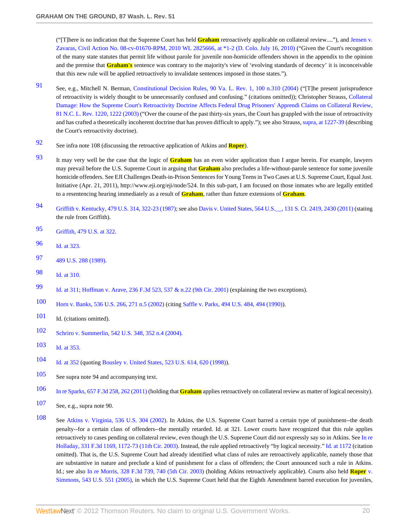("[T]here is no indication that the Supreme Court has held **Graham** retroactively applicable on collateral review...."), and [Jensen v.](http://www.westlaw.com/Link/Document/FullText?findType=Y&serNum=2022567821&pubNum=0000999&originationContext=document&vr=3.0&rs=cblt1.0&transitionType=DocumentItem&contextData=(sc.Search)) [Zavaras, Civil Action No. 08-cv-01670-RPM, 2010 WL 2825666, at \\*1-2 \(D. Colo. July 16, 2010\)](http://www.westlaw.com/Link/Document/FullText?findType=Y&serNum=2022567821&pubNum=0000999&originationContext=document&vr=3.0&rs=cblt1.0&transitionType=DocumentItem&contextData=(sc.Search)) ("Given the Court's recognition of the many state statutes that permit life without parole for juvenile non-homicide offenders shown in the appendix to the opinion and the premise that **Graham's** sentence was contrary to the majority's view of 'evolving standards of decency' it is inconceivable that this new rule will be applied retroactively to invalidate sentences imposed in those states.").

- <span id="page-19-0"></span>[91](#page-5-9) See, e.g., Mitchell N. Berman, [Constitutional Decision Rules, 90 Va. L. Rev. 1, 100 n.310 \(2004\)](http://www.westlaw.com/Link/Document/FullText?findType=Y&serNum=0297674434&pubNum=1359&originationContext=document&vr=3.0&rs=cblt1.0&transitionType=DocumentItem&contextData=(sc.Search)) ("[T]he present jurisprudence of retroactivity is widely thought to be unnecessarily confused and confusing." (citations omitted)); Christopher Strauss, [Collateral](http://www.westlaw.com/Link/Document/FullText?findType=Y&serNum=0293831538&pubNum=1199&originationContext=document&vr=3.0&rs=cblt1.0&transitionType=DocumentItem&contextData=(sc.Search)#co_pp_sp_1199_1222) [Damage: How the Supreme Court's Retroactivity Doctrine Affects Federal Drug Prisoners' Apprendi Claims on Collateral Review,](http://www.westlaw.com/Link/Document/FullText?findType=Y&serNum=0293831538&pubNum=1199&originationContext=document&vr=3.0&rs=cblt1.0&transitionType=DocumentItem&contextData=(sc.Search)#co_pp_sp_1199_1222) [81 N.C. L. Rev. 1220, 1222 \(2003\)](http://www.westlaw.com/Link/Document/FullText?findType=Y&serNum=0293831538&pubNum=1199&originationContext=document&vr=3.0&rs=cblt1.0&transitionType=DocumentItem&contextData=(sc.Search)#co_pp_sp_1199_1222) ("Over the course of the past thirty-six years, the Court has grappled with the issue of retroactivity and has crafted a theoretically incoherent doctrine that has proven difficult to apply."); see also Strauss, [supra, at 1227-39](http://www.westlaw.com/Link/Document/FullText?findType=Y&serNum=0293831538&originationContext=document&vr=3.0&rs=cblt1.0&transitionType=DocumentItem&contextData=(sc.Search)) (describing the Court's retroactivity doctrine).
- <span id="page-19-1"></span>[92](#page-5-10) See infra note 108 (discussing the retroactive application of Atkins and **Roper**).
- <span id="page-19-2"></span>[93](#page-5-11) It may very well be the case that the logic of **Graham** has an even wider application than I argue herein. For example, lawyers may prevail before the U.S. Supreme Court in arguing that **Graham** also precludes a life-without-parole sentence for some juvenile homicide offenders. See EJI Challenges Death-in-Prison Sentences for Young Teens in Two Cases at U.S. Supreme Court, Equal Just. Initiative (Apr. 21, 2011), http://www.eji.org/eji/node/524. In this sub-part, I am focused on those inmates who are legally entitled to a resentencing hearing immediately as a result of **Graham**, rather than future extensions of **Graham**.
- <span id="page-19-3"></span>[94](#page-5-12) [Griffith v. Kentucky, 479 U.S. 314, 322-23 \(1987\);](http://www.westlaw.com/Link/Document/FullText?findType=Y&serNum=1987004131&pubNum=780&originationContext=document&vr=3.0&rs=cblt1.0&transitionType=DocumentItem&contextData=(sc.Search)#co_pp_sp_780_322) see also [Davis v. United States, 564 U.S.\\_\\_, 131 S. Ct. 2419, 2430 \(2011\)](http://www.westlaw.com/Link/Document/FullText?findType=Y&serNum=2025498891&pubNum=708&originationContext=document&vr=3.0&rs=cblt1.0&transitionType=DocumentItem&contextData=(sc.Search)#co_pp_sp_708_2430) (stating the rule from Griffith).
- <span id="page-19-4"></span>[95](#page-5-13) [Griffith, 479 U.S. at 322](http://www.westlaw.com/Link/Document/FullText?findType=Y&serNum=1987004131&pubNum=780&originationContext=document&vr=3.0&rs=cblt1.0&transitionType=DocumentItem&contextData=(sc.Search)#co_pp_sp_780_322).
- <span id="page-19-5"></span>[96](#page-5-14) [Id. at 323.](http://www.westlaw.com/Link/Document/FullText?findType=Y&serNum=1987004131&originationContext=document&vr=3.0&rs=cblt1.0&transitionType=DocumentItem&contextData=(sc.Search))
- <span id="page-19-6"></span>[97](#page-5-15) [489 U.S. 288 \(1989\).](http://www.westlaw.com/Link/Document/FullText?findType=Y&serNum=1989027119&pubNum=780&originationContext=document&vr=3.0&rs=cblt1.0&transitionType=DocumentItem&contextData=(sc.Search))
- <span id="page-19-7"></span>[98](#page-5-16) [Id. at 310.](http://www.westlaw.com/Link/Document/FullText?findType=Y&serNum=1989027119&originationContext=document&vr=3.0&rs=cblt1.0&transitionType=DocumentItem&contextData=(sc.Search))
- <span id="page-19-8"></span>[99](#page-6-0) [Id. at 311;](http://www.westlaw.com/Link/Document/FullText?findType=Y&serNum=1989027119&originationContext=document&vr=3.0&rs=cblt1.0&transitionType=DocumentItem&contextData=(sc.Search)) [Hoffman v. Arave, 236 F.3d 523, 537 & n.22 \(9th Cir. 2001\)](http://www.westlaw.com/Link/Document/FullText?findType=Y&serNum=2001044170&pubNum=506&originationContext=document&vr=3.0&rs=cblt1.0&transitionType=DocumentItem&contextData=(sc.Search)#co_pp_sp_506_537) (explaining the two exceptions).
- <span id="page-19-9"></span>[100](#page-6-1) [Horn v. Banks, 536 U.S. 266, 271 n.5 \(2002\)](http://www.westlaw.com/Link/Document/FullText?findType=Y&serNum=2002373508&pubNum=780&originationContext=document&vr=3.0&rs=cblt1.0&transitionType=DocumentItem&contextData=(sc.Search)#co_pp_sp_780_271) (citing [Saffle v. Parks, 494 U.S. 484, 494 \(1990\)\)](http://www.westlaw.com/Link/Document/FullText?findType=Y&serNum=1990043806&pubNum=780&originationContext=document&vr=3.0&rs=cblt1.0&transitionType=DocumentItem&contextData=(sc.Search)#co_pp_sp_780_494).
- <span id="page-19-10"></span>[101](#page-6-2) Id. (citations omitted).
- <span id="page-19-11"></span>[102](#page-6-3) [Schriro v. Summerlin, 542 U.S. 348, 352 n.4 \(2004\)](http://www.westlaw.com/Link/Document/FullText?findType=Y&serNum=2004622663&pubNum=780&originationContext=document&vr=3.0&rs=cblt1.0&transitionType=DocumentItem&contextData=(sc.Search)#co_pp_sp_780_352).
- <span id="page-19-12"></span>[103](#page-6-4) [Id. at 353.](http://www.westlaw.com/Link/Document/FullText?findType=Y&serNum=2004622663&originationContext=document&vr=3.0&rs=cblt1.0&transitionType=DocumentItem&contextData=(sc.Search))
- <span id="page-19-13"></span>[104](#page-6-5) [Id. at 352](http://www.westlaw.com/Link/Document/FullText?findType=Y&serNum=2004622663&originationContext=document&vr=3.0&rs=cblt1.0&transitionType=DocumentItem&contextData=(sc.Search)) (quoting [Bousley v. United States, 523 U.S. 614, 620 \(1998\)](http://www.westlaw.com/Link/Document/FullText?findType=Y&serNum=1998108681&pubNum=780&originationContext=document&vr=3.0&rs=cblt1.0&transitionType=DocumentItem&contextData=(sc.Search)#co_pp_sp_780_620)).
- <span id="page-19-14"></span>[105](#page-6-6) See supra note 94 and accompanying text.
- <span id="page-19-15"></span>[106](#page-6-7) [In re Sparks, 657 F.3d 258, 262 \(2011\)](http://www.westlaw.com/Link/Document/FullText?findType=Y&serNum=2026164642&pubNum=506&originationContext=document&vr=3.0&rs=cblt1.0&transitionType=DocumentItem&contextData=(sc.Search)#co_pp_sp_506_262) (holding that **Graham** applies retroactively on collateral review as matter of logical necessity).
- <span id="page-19-16"></span>[107](#page-6-8) See, e.g., supra note 90.
- <span id="page-19-17"></span>[108](#page-6-9) See [Atkins v. Virginia, 536 U.S. 304 \(2002\).](http://www.westlaw.com/Link/Document/FullText?findType=Y&serNum=2002381685&pubNum=780&originationContext=document&vr=3.0&rs=cblt1.0&transitionType=DocumentItem&contextData=(sc.Search)) In Atkins, the U.S. Supreme Court barred a certain type of punishment--the death penalty--for a certain class of offenders--the mentally retarded. Id. at 321. Lower courts have recognized that this rule applies retroactively to cases pending on collateral review, even though the U.S. Supreme Court did not expressly say so in Atkins. See [In re](http://www.westlaw.com/Link/Document/FullText?findType=Y&serNum=2003378305&pubNum=506&originationContext=document&vr=3.0&rs=cblt1.0&transitionType=DocumentItem&contextData=(sc.Search)#co_pp_sp_506_1172) [Holladay, 331 F.3d 1169, 1172-73 \(11th Cir. 2003\)](http://www.westlaw.com/Link/Document/FullText?findType=Y&serNum=2003378305&pubNum=506&originationContext=document&vr=3.0&rs=cblt1.0&transitionType=DocumentItem&contextData=(sc.Search)#co_pp_sp_506_1172). Instead, the rule applied retroactively "by logical necessity." [Id. at 1172](http://www.westlaw.com/Link/Document/FullText?findType=Y&serNum=2003378305&originationContext=document&vr=3.0&rs=cblt1.0&transitionType=DocumentItem&contextData=(sc.Search)) (citation omitted). That is, the U.S. Supreme Court had already identified what class of rules are retroactively applicable, namely those that are substantive in nature and preclude a kind of punishment for a class of offenders; the Court announced such a rule in Atkins. Id.; see also [In re Morris, 328 F.3d 739, 740 \(5th Cir. 2003\)](http://www.westlaw.com/Link/Document/FullText?findType=Y&serNum=2003301651&pubNum=506&originationContext=document&vr=3.0&rs=cblt1.0&transitionType=DocumentItem&contextData=(sc.Search)#co_pp_sp_506_740) (holding Atkins retroactively applicable). Courts also held **[Roper](http://www.westlaw.com/Link/Document/FullText?findType=Y&serNum=2006291922&pubNum=780&originationContext=document&vr=3.0&rs=cblt1.0&transitionType=DocumentItem&contextData=(sc.Search))** v. [Simmons, 543 U.S. 551 \(2005\)](http://www.westlaw.com/Link/Document/FullText?findType=Y&serNum=2006291922&pubNum=780&originationContext=document&vr=3.0&rs=cblt1.0&transitionType=DocumentItem&contextData=(sc.Search)), in which the U.S. Supreme Court held that the Eighth Amendment barred execution for juveniles,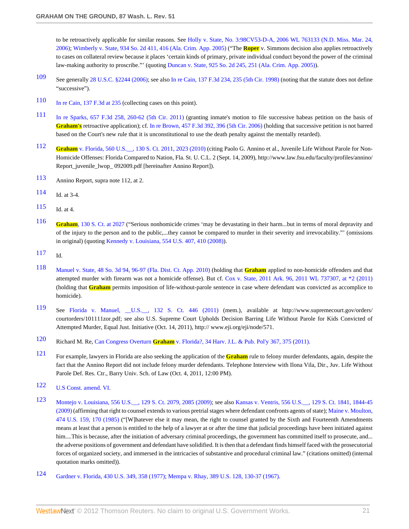to be retroactively applicable for similar reasons. See [Holly v. State, No. 3:98CV53-D-A, 2006 WL 763133 \(N.D. Miss. Mar. 24,](http://www.westlaw.com/Link/Document/FullText?findType=Y&serNum=2008780902&pubNum=0000999&originationContext=document&vr=3.0&rs=cblt1.0&transitionType=DocumentItem&contextData=(sc.Search)) [2006\);](http://www.westlaw.com/Link/Document/FullText?findType=Y&serNum=2008780902&pubNum=0000999&originationContext=document&vr=3.0&rs=cblt1.0&transitionType=DocumentItem&contextData=(sc.Search)) [Wimberly v. State, 934 So. 2d 411, 416 \(Ala. Crim. App. 2005\)](http://www.westlaw.com/Link/Document/FullText?findType=Y&serNum=2006537013&pubNum=735&originationContext=document&vr=3.0&rs=cblt1.0&transitionType=DocumentItem&contextData=(sc.Search)#co_pp_sp_735_416) ("The **Roper** v. Simmons decision also applies retroactively to cases on collateral review because it places 'certain kinds of primary, private individual conduct beyond the power of the criminal law-making authority to proscribe."' (quoting [Duncan v. State, 925 So. 2d 245, 251 \(Ala. Crim. App. 2005\)\)](http://www.westlaw.com/Link/Document/FullText?findType=Y&serNum=2006361726&pubNum=735&originationContext=document&vr=3.0&rs=cblt1.0&transitionType=DocumentItem&contextData=(sc.Search)#co_pp_sp_735_251).

- <span id="page-20-0"></span>[109](#page-6-10) See generally [28 U.S.C. §2244 \(2006\)](http://www.westlaw.com/Link/Document/FullText?findType=L&pubNum=1000546&cite=28USCAS2244&originatingDoc=Ic9987848803511e18b05fdf15589d8e8&refType=LQ&originationContext=document&vr=3.0&rs=cblt1.0&transitionType=DocumentItem&contextData=(sc.Search)); see also [In re Cain, 137 F.3d 234, 235 \(5th Cir. 1998\)](http://www.westlaw.com/Link/Document/FullText?findType=Y&serNum=1998072184&pubNum=506&originationContext=document&vr=3.0&rs=cblt1.0&transitionType=DocumentItem&contextData=(sc.Search)#co_pp_sp_506_235) (noting that the statute does not define "successive").
- <span id="page-20-1"></span>[110](#page-6-11) [In re Cain, 137 F.3d at 235](http://www.westlaw.com/Link/Document/FullText?findType=Y&serNum=1998072184&pubNum=506&originationContext=document&vr=3.0&rs=cblt1.0&transitionType=DocumentItem&contextData=(sc.Search)#co_pp_sp_506_235) (collecting cases on this point).
- <span id="page-20-2"></span>[111](#page-6-12) [In re Sparks, 657 F.3d 258, 260-62 \(5th Cir. 2011\)](http://www.westlaw.com/Link/Document/FullText?findType=Y&serNum=2026164642&pubNum=506&originationContext=document&vr=3.0&rs=cblt1.0&transitionType=DocumentItem&contextData=(sc.Search)#co_pp_sp_506_260) (granting inmate's motion to file successive habeas petition on the basis of **Graham's** retroactive application); cf. [In re Brown, 457 F.3d 392, 396 \(5th Cir. 2006\)](http://www.westlaw.com/Link/Document/FullText?findType=Y&serNum=2009573984&pubNum=506&originationContext=document&vr=3.0&rs=cblt1.0&transitionType=DocumentItem&contextData=(sc.Search)#co_pp_sp_506_396) (holding that successive petition is not barred based on the Court's new rule that it is unconstitutional to use the death penalty against the mentally retarded).
- <span id="page-20-3"></span>[112](#page-6-13) **Graham** v. Florida, 560 U.S. , 130 S. Ct. 2011, 2023 (2010) (citing Paolo G. Annino et al., Juvenile Life Without Parole for Non-Homicide Offenses: Florida Compared to Nation, Fla. St. U. C.L. 2 (Sept. 14, 2009), http://www.law.fsu.edu/faculty/profiles/annino/ Report\_juvenile\_lwop\_ 092009.pdf [hereinafter Annino Report]).
- <span id="page-20-4"></span>[113](#page-6-14) Annino Report, supra note 112, at 2.
- <span id="page-20-5"></span>[114](#page-6-15) Id. at 3-4.
- <span id="page-20-6"></span>[115](#page-6-16) Id. at 4.
- <span id="page-20-7"></span>[116](#page-6-17) **Graham**[, 130 S. Ct. at 2027](http://www.westlaw.com/Link/Document/FullText?findType=Y&serNum=2022052221&pubNum=708&originationContext=document&vr=3.0&rs=cblt1.0&transitionType=DocumentItem&contextData=(sc.Search)#co_pp_sp_708_2027) ("Serious nonhomicide crimes 'may be devastating in their harm...but in terms of moral depravity and of the injury to the person and to the public,...they cannot be compared to murder in their severity and irrevocability."' (omissions in original) (quoting [Kennedy v. Louisiana, 554 U.S. 407, 410 \(2008\)\)](http://www.westlaw.com/Link/Document/FullText?findType=Y&serNum=2016379544&pubNum=780&originationContext=document&vr=3.0&rs=cblt1.0&transitionType=DocumentItem&contextData=(sc.Search)#co_pp_sp_780_410).
- <span id="page-20-8"></span>[117](#page-6-18) Id.
- <span id="page-20-9"></span>[118](#page-7-1) [Manuel v. State, 48 So. 3d 94, 96-97 \(Fla. Dist. Ct. App. 2010\)](http://www.westlaw.com/Link/Document/FullText?findType=Y&serNum=2023550350&pubNum=3926&originationContext=document&vr=3.0&rs=cblt1.0&transitionType=DocumentItem&contextData=(sc.Search)#co_pp_sp_3926_96) (holding that **Graham** applied to non-homicide offenders and that attempted murder with firearm was not a homicide offense). But cf. [Cox v. State, 2011 Ark. 96, 2011 WL 737307, at \\*2 \(2011\)](http://www.westlaw.com/Link/Document/FullText?findType=Y&serNum=2024713696&pubNum=0000999&originationContext=document&vr=3.0&rs=cblt1.0&transitionType=DocumentItem&contextData=(sc.Search)) (holding that **Graham** permits imposition of life-without-parole sentence in case where defendant was convicted as accomplice to homicide).
- <span id="page-20-10"></span>[119](#page-7-2) See Florida v. Manuel, U.S., 132 S. Ct. 446 (2011) (mem.), available at http://www.supremecourt.gov/orders/ courtorders/101111zor.pdf; see also U.S. Supreme Court Upholds Decision Barring Life Without Parole for Kids Convicted of Attempted Murder, Equal Just. Initiative (Oct. 14, 2011), http:// www.eji.org/eji/node/571.
- <span id="page-20-11"></span>[120](#page-7-3) Richard M. Re, Can Congress Overturn **Graham** [v. Florida?, 34 Harv. J.L. & Pub. Pol'y 367, 375 \(2011\).](http://www.westlaw.com/Link/Document/FullText?findType=Y&serNum=0358030508&pubNum=1154&originationContext=document&vr=3.0&rs=cblt1.0&transitionType=DocumentItem&contextData=(sc.Search)#co_pp_sp_1154_375)
- <span id="page-20-12"></span>[121](#page-7-4) For example, lawyers in Florida are also seeking the application of the **Graham** rule to felony murder defendants, again, despite the fact that the Annino Report did not include felony murder defendants. Telephone Interview with Ilona Vila, Dir., Juv. Life Without Parole Def. Res. Ctr., Barry Univ. Sch. of Law (Oct. 4, 2011, 12:00 PM).
- <span id="page-20-13"></span>[122](#page-7-5) [U.S Const. amend. VI](http://www.westlaw.com/Link/Document/FullText?findType=L&pubNum=1000546&cite=USCOAMENDVI&originatingDoc=Ic9987848803511e18b05fdf15589d8e8&refType=LQ&originationContext=document&vr=3.0&rs=cblt1.0&transitionType=DocumentItem&contextData=(sc.Search)).
- <span id="page-20-14"></span>[123](#page-7-6) Montejo v. Louisiana, 556 U.S. . 129 S. Ct. 2079, 2085 (2009); see also Kansas v. Ventris, 556 U.S. . 129 S. Ct. 1841, 1844-45 [\(2009\)](http://www.westlaw.com/Link/Document/FullText?findType=Y&serNum=2018711787&pubNum=708&originationContext=document&vr=3.0&rs=cblt1.0&transitionType=DocumentItem&contextData=(sc.Search)#co_pp_sp_708_1844) (affirming that right to counsel extends to various pretrial stages where defendant confronts agents of state); [Maine v. Moulton,](http://www.westlaw.com/Link/Document/FullText?findType=Y&serNum=1985159881&pubNum=780&originationContext=document&vr=3.0&rs=cblt1.0&transitionType=DocumentItem&contextData=(sc.Search)#co_pp_sp_780_170) [474 U.S. 159, 170 \(1985\)](http://www.westlaw.com/Link/Document/FullText?findType=Y&serNum=1985159881&pubNum=780&originationContext=document&vr=3.0&rs=cblt1.0&transitionType=DocumentItem&contextData=(sc.Search)#co_pp_sp_780_170) ("[W]hatever else it may mean, the right to counsel granted by the Sixth and Fourteenth Amendments means at least that a person is entitled to the help of a lawyer at or after the time that judicial proceedings have been initiated against him....This is because, after the initiation of adversary criminal proceedings, the government has committed itself to prosecute, and... the adverse positions of government and defendant have solidified. It is then that a defendant finds himself faced with the prosecutorial forces of organized society, and immersed in the intricacies of substantive and procedural criminal law." (citations omitted) (internal quotation marks omitted)).
- <span id="page-20-15"></span>[124](#page-7-7) [Gardner v. Florida, 430 U.S. 349, 358 \(1977\);](http://www.westlaw.com/Link/Document/FullText?findType=Y&serNum=1977118750&pubNum=780&originationContext=document&vr=3.0&rs=cblt1.0&transitionType=DocumentItem&contextData=(sc.Search)#co_pp_sp_780_358) [Mempa v. Rhay, 389 U.S. 128, 130-37 \(1967\).](http://www.westlaw.com/Link/Document/FullText?findType=Y&serNum=1967103959&pubNum=780&originationContext=document&vr=3.0&rs=cblt1.0&transitionType=DocumentItem&contextData=(sc.Search)#co_pp_sp_780_130)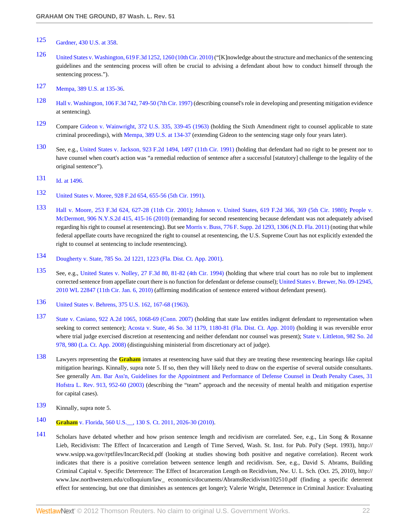# <span id="page-21-0"></span>[125](#page-7-8) [Gardner, 430 U.S. at 358](http://www.westlaw.com/Link/Document/FullText?findType=Y&serNum=1977118750&pubNum=780&originationContext=document&vr=3.0&rs=cblt1.0&transitionType=DocumentItem&contextData=(sc.Search)#co_pp_sp_780_358).

- <span id="page-21-1"></span>[126](#page-7-9) [United States v. Washington, 619 F.3d 1252, 1260 \(10th Cir. 2010\)](http://www.westlaw.com/Link/Document/FullText?findType=Y&serNum=2023184230&pubNum=506&originationContext=document&vr=3.0&rs=cblt1.0&transitionType=DocumentItem&contextData=(sc.Search)#co_pp_sp_506_1260) ("[K]nowledge about the structure and mechanics of the sentencing guidelines and the sentencing process will often be crucial to advising a defendant about how to conduct himself through the sentencing process.").
- <span id="page-21-2"></span>[127](#page-7-10) [Mempa, 389 U.S. at 135-36](http://www.westlaw.com/Link/Document/FullText?findType=Y&serNum=1967103959&pubNum=780&originationContext=document&vr=3.0&rs=cblt1.0&transitionType=DocumentItem&contextData=(sc.Search)#co_pp_sp_780_135).
- <span id="page-21-3"></span>[128](#page-7-11) [Hall v. Washington, 106 F.3d 742, 749-50 \(7th Cir. 1997\)](http://www.westlaw.com/Link/Document/FullText?findType=Y&serNum=1997046344&pubNum=506&originationContext=document&vr=3.0&rs=cblt1.0&transitionType=DocumentItem&contextData=(sc.Search)#co_pp_sp_506_749) (describing counsel's role in developing and presenting mitigation evidence at sentencing).
- <span id="page-21-4"></span>[129](#page-7-12) Compare [Gideon v. Wainwright, 372 U.S. 335, 339-45 \(1963\)](http://www.westlaw.com/Link/Document/FullText?findType=Y&serNum=1963125313&pubNum=780&originationContext=document&vr=3.0&rs=cblt1.0&transitionType=DocumentItem&contextData=(sc.Search)#co_pp_sp_780_339) (holding the Sixth Amendment right to counsel applicable to state criminal proceedings), with [Mempa, 389 U.S. at 134-37](http://www.westlaw.com/Link/Document/FullText?findType=Y&serNum=1967103959&pubNum=780&originationContext=document&vr=3.0&rs=cblt1.0&transitionType=DocumentItem&contextData=(sc.Search)#co_pp_sp_780_134) (extending Gideon to the sentencing stage only four years later).
- <span id="page-21-5"></span>[130](#page-7-13) See, e.g., [United States v. Jackson, 923 F.2d 1494, 1497 \(11th Cir. 1991\)](http://www.westlaw.com/Link/Document/FullText?findType=Y&serNum=1991032473&pubNum=350&originationContext=document&vr=3.0&rs=cblt1.0&transitionType=DocumentItem&contextData=(sc.Search)#co_pp_sp_350_1497) (holding that defendant had no right to be present nor to have counsel when court's action was "a remedial reduction of sentence after a successful [statutory] challenge to the legality of the original sentence").
- <span id="page-21-6"></span>[131](#page-7-14) [Id. at 1496.](http://www.westlaw.com/Link/Document/FullText?findType=Y&serNum=1991032473&originationContext=document&vr=3.0&rs=cblt1.0&transitionType=DocumentItem&contextData=(sc.Search))
- <span id="page-21-7"></span>[132](#page-7-15) [United States v. Moree, 928 F.2d 654, 655-56 \(5th Cir. 1991\)](http://www.westlaw.com/Link/Document/FullText?findType=Y&serNum=1991062614&pubNum=350&originationContext=document&vr=3.0&rs=cblt1.0&transitionType=DocumentItem&contextData=(sc.Search)#co_pp_sp_350_655).
- <span id="page-21-8"></span>[133](#page-7-16) [Hall v. Moore, 253 F.3d 624, 627-28 \(11th Cir. 2001\);](http://www.westlaw.com/Link/Document/FullText?findType=Y&serNum=2001486809&pubNum=506&originationContext=document&vr=3.0&rs=cblt1.0&transitionType=DocumentItem&contextData=(sc.Search)#co_pp_sp_506_627) [Johnson v. United States, 619 F.2d 366, 369 \(5th Cir. 1980\);](http://www.westlaw.com/Link/Document/FullText?findType=Y&serNum=1980112829&pubNum=350&originationContext=document&vr=3.0&rs=cblt1.0&transitionType=DocumentItem&contextData=(sc.Search)#co_pp_sp_350_369) [People v.](http://www.westlaw.com/Link/Document/FullText?findType=Y&serNum=2022821978&pubNum=602&originationContext=document&vr=3.0&rs=cblt1.0&transitionType=DocumentItem&contextData=(sc.Search)#co_pp_sp_602_415) [McDermott, 906 N.Y.S.2d 415, 415-16 \(2010\)](http://www.westlaw.com/Link/Document/FullText?findType=Y&serNum=2022821978&pubNum=602&originationContext=document&vr=3.0&rs=cblt1.0&transitionType=DocumentItem&contextData=(sc.Search)#co_pp_sp_602_415) (remanding for second resentencing because defendant was not adequately advised regarding his right to counsel at resentencing). But see [Morris v. Buss, 776 F. Supp. 2d 1293, 1306 \(N.D. Fla. 2011\)](http://www.westlaw.com/Link/Document/FullText?findType=Y&serNum=2024766464&pubNum=4637&originationContext=document&vr=3.0&rs=cblt1.0&transitionType=DocumentItem&contextData=(sc.Search)#co_pp_sp_4637_1306) (noting that while federal appellate courts have recognized the right to counsel at resentencing, the U.S. Supreme Court has not explicitly extended the right to counsel at sentencing to include resentencing).
- <span id="page-21-9"></span>[134](#page-7-17) [Dougherty v. State, 785 So. 2d 1221, 1223 \(Fla. Dist. Ct. App. 2001\)](http://www.westlaw.com/Link/Document/FullText?findType=Y&serNum=2001422965&pubNum=735&originationContext=document&vr=3.0&rs=cblt1.0&transitionType=DocumentItem&contextData=(sc.Search)#co_pp_sp_735_1223).
- <span id="page-21-10"></span>[135](#page-7-18) See, e.g., [United States v. Nolley, 27 F.3d 80, 81-82 \(4th Cir. 1994\)](http://www.westlaw.com/Link/Document/FullText?findType=Y&serNum=1994127529&pubNum=506&originationContext=document&vr=3.0&rs=cblt1.0&transitionType=DocumentItem&contextData=(sc.Search)#co_pp_sp_506_81) (holding that where trial court has no role but to implement corrected sentence from appellate court there is no function for defendant or defense counsel); [United States v. Brewer, No. 09-12945,](http://www.westlaw.com/Link/Document/FullText?findType=Y&serNum=2020992617&pubNum=0000999&originationContext=document&vr=3.0&rs=cblt1.0&transitionType=DocumentItem&contextData=(sc.Search)) [2010 WL 22847 \(11th Cir. Jan. 6, 2010\)](http://www.westlaw.com/Link/Document/FullText?findType=Y&serNum=2020992617&pubNum=0000999&originationContext=document&vr=3.0&rs=cblt1.0&transitionType=DocumentItem&contextData=(sc.Search)) (affirming modification of sentence entered without defendant present).
- <span id="page-21-11"></span>[136](#page-7-19) [United States v. Behrens, 375 U.S. 162, 167-68 \(1963\)](http://www.westlaw.com/Link/Document/FullText?findType=Y&serNum=1963125421&pubNum=780&originationContext=document&vr=3.0&rs=cblt1.0&transitionType=DocumentItem&contextData=(sc.Search)#co_pp_sp_780_167).
- <span id="page-21-12"></span>[137](#page-7-20) [State v. Casiano, 922 A.2d 1065, 1068-69 \(Conn. 2007\)](http://www.westlaw.com/Link/Document/FullText?findType=Y&serNum=2012302429&pubNum=162&originationContext=document&vr=3.0&rs=cblt1.0&transitionType=DocumentItem&contextData=(sc.Search)#co_pp_sp_162_1068) (holding that state law entitles indigent defendant to representation when seeking to correct sentence); [Acosta v. State, 46 So. 3d 1179, 1180-81 \(Fla. Dist. Ct. App. 2010\)](http://www.westlaw.com/Link/Document/FullText?findType=Y&serNum=2023621792&pubNum=3926&originationContext=document&vr=3.0&rs=cblt1.0&transitionType=DocumentItem&contextData=(sc.Search)#co_pp_sp_3926_1180) (holding it was reversible error where trial judge exercised discretion at resentencing and neither defendant nor counsel was present); [State v. Littleton, 982 So. 2d](http://www.westlaw.com/Link/Document/FullText?findType=Y&serNum=2015984177&pubNum=735&originationContext=document&vr=3.0&rs=cblt1.0&transitionType=DocumentItem&contextData=(sc.Search)#co_pp_sp_735_980) [978, 980 \(La. Ct. App. 2008\)](http://www.westlaw.com/Link/Document/FullText?findType=Y&serNum=2015984177&pubNum=735&originationContext=document&vr=3.0&rs=cblt1.0&transitionType=DocumentItem&contextData=(sc.Search)#co_pp_sp_735_980) (distinguishing ministerial from discretionary act of judge).
- <span id="page-21-13"></span>[138](#page-7-21) Lawyers representing the **Graham** inmates at resentencing have said that they are treating these resentencing hearings like capital mitigation hearings. Kinnally, supra note 5. If so, then they will likely need to draw on the expertise of several outside consultants. See generally [Am. Bar Ass'n, Guidelines for the Appointment and Performance of Defense Counsel in Death Penalty Cases, 31](http://www.westlaw.com/Link/Document/FullText?findType=Y&serNum=0296046731&pubNum=1160&originationContext=document&vr=3.0&rs=cblt1.0&transitionType=DocumentItem&contextData=(sc.Search)#co_pp_sp_1160_952) [Hofstra L. Rev. 913, 952-60 \(2003\)](http://www.westlaw.com/Link/Document/FullText?findType=Y&serNum=0296046731&pubNum=1160&originationContext=document&vr=3.0&rs=cblt1.0&transitionType=DocumentItem&contextData=(sc.Search)#co_pp_sp_1160_952) (describing the "team" approach and the necessity of mental health and mitigation expertise for capital cases).
- <span id="page-21-14"></span>[139](#page-7-22) Kinnally, supra note 5.
- <span id="page-21-15"></span>[140](#page-7-23) **Graham** [v. Florida, 560 U.S.\\_\\_, 130 S. Ct. 2011, 2026-30 \(2010\).](http://www.westlaw.com/Link/Document/FullText?findType=Y&serNum=2022052221&pubNum=708&originationContext=document&vr=3.0&rs=cblt1.0&transitionType=DocumentItem&contextData=(sc.Search)#co_pp_sp_708_2026)
- <span id="page-21-16"></span>[141](#page-7-24) Scholars have debated whether and how prison sentence length and recidivism are correlated. See, e.g., Lin Song & Roxanne Lieb, Recidivism: The Effect of Incarceration and Length of Time Served, Wash. St. Inst. for Pub. Pol'y (Sept. 1993), http:// www.wsipp.wa.gov/rptfiles/IncarcRecid.pdf (looking at studies showing both positive and negative correlation). Recent work indicates that there is a positive correlation between sentence length and recidivism. See, e.g., David S. Abrams, Building Criminal Capital v. Specific Deterrence: The Effect of Incarceration Length on Recidivism, Nw. U. L. Sch. (Oct. 25, 2010), http:// www.law.northwestern.edu/colloquium/law\_ economics/documents/AbramsRecidivism102510.pdf (finding a specific deterrent effect for sentencing, but one that diminishes as sentences get longer); Valerie Wright, Deterrence in Criminal Justice: Evaluating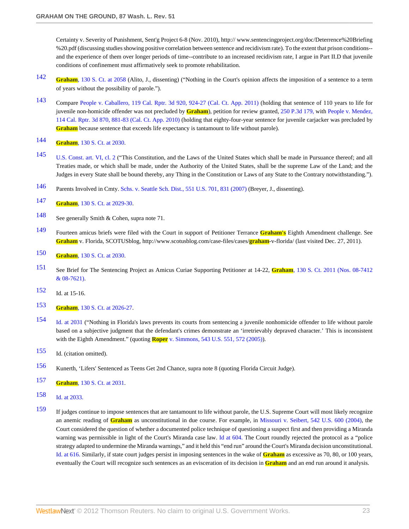Certainty v. Severity of Punishment, Sent'g Project 6-8 (Nov. 2010), http:// www.sentencingproject.org/doc/Deterrence%20Briefing %20.pdf (discussing studies showing positive correlation between sentence and recidivism rate). To the extent that prison conditions- and the experience of them over longer periods of time--contribute to an increased recidivism rate, I argue in Part II.D that juvenile conditions of confinement must affirmatively seek to promote rehabilitation.

- <span id="page-22-0"></span>[142](#page-8-1) **Graham**[, 130 S. Ct. at 2058](http://www.westlaw.com/Link/Document/FullText?findType=Y&serNum=2022052221&pubNum=708&originationContext=document&vr=3.0&rs=cblt1.0&transitionType=DocumentItem&contextData=(sc.Search)#co_pp_sp_708_2058) (Alito, J., dissenting) ("Nothing in the Court's opinion affects the imposition of a sentence to a term of years without the possibility of parole.").
- <span id="page-22-1"></span>[143](#page-8-2) Compare [People v. Caballero, 119 Cal. Rptr. 3d 920, 924-27 \(Cal. Ct. App. 2011\)](http://www.westlaw.com/Link/Document/FullText?findType=Y&serNum=2024393366&pubNum=7047&originationContext=document&vr=3.0&rs=cblt1.0&transitionType=DocumentItem&contextData=(sc.Search)#co_pp_sp_7047_924) (holding that sentence of 110 years to life for juvenile non-homicide offender was not precluded by **Graham**), petition for review granted, [250 P.3d 179,](http://www.westlaw.com/Link/Document/FullText?findType=Y&serNum=2025223507&pubNum=4645&originationContext=document&vr=3.0&rs=cblt1.0&transitionType=DocumentItem&contextData=(sc.Search)) with [People v. Mendez,](http://www.westlaw.com/Link/Document/FullText?findType=Y&serNum=2022898332&pubNum=7047&originationContext=document&vr=3.0&rs=cblt1.0&transitionType=DocumentItem&contextData=(sc.Search)#co_pp_sp_7047_881) [114 Cal. Rptr. 3d 870, 881-83 \(Cal. Ct. App. 2010\)](http://www.westlaw.com/Link/Document/FullText?findType=Y&serNum=2022898332&pubNum=7047&originationContext=document&vr=3.0&rs=cblt1.0&transitionType=DocumentItem&contextData=(sc.Search)#co_pp_sp_7047_881) (holding that eighty-four-year sentence for juvenile carjacker was precluded by **Graham** because sentence that exceeds life expectancy is tantamount to life without parole).
- <span id="page-22-2"></span>[144](#page-8-3) **Graham**[, 130 S. Ct. at 2030](http://www.westlaw.com/Link/Document/FullText?findType=Y&serNum=2022052221&pubNum=708&originationContext=document&vr=3.0&rs=cblt1.0&transitionType=DocumentItem&contextData=(sc.Search)#co_pp_sp_708_2030).
- <span id="page-22-3"></span>[145](#page-8-4) [U.S. Const. art. VI, cl. 2](http://www.westlaw.com/Link/Document/FullText?findType=L&pubNum=1000546&cite=USCOARTVICL2&originatingDoc=Ic9987848803511e18b05fdf15589d8e8&refType=LQ&originationContext=document&vr=3.0&rs=cblt1.0&transitionType=DocumentItem&contextData=(sc.Search)) ("This Constitution, and the Laws of the United States which shall be made in Pursuance thereof; and all Treaties made, or which shall be made, under the Authority of the United States, shall be the supreme Law of the Land; and the Judges in every State shall be bound thereby, any Thing in the Constitution or Laws of any State to the Contrary notwithstanding.").
- <span id="page-22-4"></span>[146](#page-8-5) Parents Involved in Cmty. [Schs. v. Seattle Sch. Dist., 551 U.S. 701, 831 \(2007\)](http://www.westlaw.com/Link/Document/FullText?findType=Y&serNum=2012563426&pubNum=780&originationContext=document&vr=3.0&rs=cblt1.0&transitionType=DocumentItem&contextData=(sc.Search)#co_pp_sp_780_831) (Breyer, J., dissenting).
- <span id="page-22-5"></span>[147](#page-8-6) **Graham**[, 130 S. Ct. at 2029-30](http://www.westlaw.com/Link/Document/FullText?findType=Y&serNum=2022052221&pubNum=708&originationContext=document&vr=3.0&rs=cblt1.0&transitionType=DocumentItem&contextData=(sc.Search)#co_pp_sp_708_2029).
- <span id="page-22-6"></span>[148](#page-8-7) See generally Smith & Cohen, supra note 71.
- <span id="page-22-7"></span>[149](#page-8-8) Fourteen amicus briefs were filed with the Court in support of Petitioner Terrance **Graham's** Eighth Amendment challenge. See **Graham** v. Florida, SCOTUSblog, http://www.scotusblog.com/case-files/cases/**graham**-v-florida/ (last visited Dec. 27, 2011).
- <span id="page-22-8"></span>[150](#page-8-9) **Graham**[, 130 S. Ct. at 2030](http://www.westlaw.com/Link/Document/FullText?findType=Y&serNum=2022052221&pubNum=708&originationContext=document&vr=3.0&rs=cblt1.0&transitionType=DocumentItem&contextData=(sc.Search)#co_pp_sp_708_2030).
- <span id="page-22-9"></span>[151](#page-8-10) See Brief for The Sentencing Project as Amicus Curiae Supporting Petitioner at 14-22, **Graham**[, 130 S. Ct. 2011 \(Nos. 08-7412](http://www.westlaw.com/Link/Document/FullText?findType=Y&serNum=2022052221&pubNum=708&originationContext=document&vr=3.0&rs=cblt1.0&transitionType=DocumentItem&contextData=(sc.Search)) [& 08-7621\)](http://www.westlaw.com/Link/Document/FullText?findType=Y&serNum=2022052221&pubNum=708&originationContext=document&vr=3.0&rs=cblt1.0&transitionType=DocumentItem&contextData=(sc.Search)).
- <span id="page-22-10"></span>[152](#page-8-11) Id. at 15-16.
- <span id="page-22-11"></span>[153](#page-8-12) **Graham**[, 130 S. Ct. at 2026-27](http://www.westlaw.com/Link/Document/FullText?findType=Y&serNum=2022052221&pubNum=708&originationContext=document&vr=3.0&rs=cblt1.0&transitionType=DocumentItem&contextData=(sc.Search)#co_pp_sp_708_2026).
- <span id="page-22-12"></span>[154](#page-8-13) [Id. at 2031](http://www.westlaw.com/Link/Document/FullText?findType=Y&serNum=2022052221&originationContext=document&vr=3.0&rs=cblt1.0&transitionType=DocumentItem&contextData=(sc.Search)) ("Nothing in Florida's laws prevents its courts from sentencing a juvenile nonhomicide offender to life without parole based on a subjective judgment that the defendant's crimes demonstrate an 'irretrievably depraved character.' This is inconsistent with the Eighth Amendment." (quoting **Roper** [v. Simmons, 543 U.S. 551, 572 \(2005\)\)](http://www.westlaw.com/Link/Document/FullText?findType=Y&serNum=2006291922&pubNum=780&originationContext=document&vr=3.0&rs=cblt1.0&transitionType=DocumentItem&contextData=(sc.Search)#co_pp_sp_780_572).
- <span id="page-22-13"></span>[155](#page-8-14) Id. (citation omitted).
- <span id="page-22-14"></span>[156](#page-8-15) Kunerth, 'Lifers' Sentenced as Teens Get 2nd Chance, supra note 8 (quoting Florida Circuit Judge).
- <span id="page-22-15"></span>[157](#page-8-16) **Graham**[, 130 S. Ct. at 2031](http://www.westlaw.com/Link/Document/FullText?findType=Y&serNum=2022052221&pubNum=708&originationContext=document&vr=3.0&rs=cblt1.0&transitionType=DocumentItem&contextData=(sc.Search)#co_pp_sp_708_2031).
- <span id="page-22-16"></span>[158](#page-9-2) [Id. at 2033.](http://www.westlaw.com/Link/Document/FullText?findType=Y&serNum=2022052221&originationContext=document&vr=3.0&rs=cblt1.0&transitionType=DocumentItem&contextData=(sc.Search))
- <span id="page-22-17"></span>[159](#page-9-3) If judges continue to impose sentences that are tantamount to life without parole, the U.S. Supreme Court will most likely recognize an anemic reading of **Graham** as unconstitutional in due course. For example, in [Missouri v. Seibert, 542 U.S. 600 \(2004\),](http://www.westlaw.com/Link/Document/FullText?findType=Y&serNum=2004633514&pubNum=780&originationContext=document&vr=3.0&rs=cblt1.0&transitionType=DocumentItem&contextData=(sc.Search)) the Court considered the question of whether a documented police technique of questioning a suspect first and then providing a Miranda warning was permissible in light of the Court's Miranda case law. [Id at 604.](http://www.westlaw.com/Link/Document/FullText?findType=Y&serNum=2004633514&originationContext=document&vr=3.0&rs=cblt1.0&transitionType=DocumentItem&contextData=(sc.Search)) The Court roundly rejected the protocol as a "police strategy adapted to undermine the Miranda warnings," and it held this "end run" around the Court's Miranda decision unconstitutional. [Id. at 616.](http://www.westlaw.com/Link/Document/FullText?findType=Y&serNum=2004633514&originationContext=document&vr=3.0&rs=cblt1.0&transitionType=DocumentItem&contextData=(sc.Search)) Similarly, if state court judges persist in imposing sentences in the wake of **Graham** as excessive as 70, 80, or 100 years, eventually the Court will recognize such sentences as an evisceration of its decision in **Graham** and an end run around it analysis.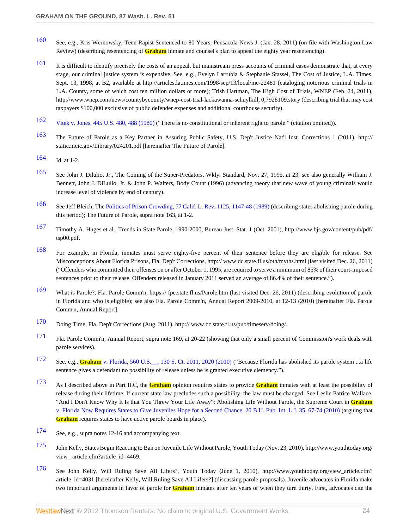- <span id="page-23-0"></span>[160](#page-9-4) See, e.g., Kris Wernowsky, Teen Rapist Sentenced to 80 Years, Pensacola News J. (Jan. 28, 2011) (on file with Washington Law Review) (describing resentencing of **Graham** inmate and counsel's plan to appeal the eighty year resentencing).
- <span id="page-23-1"></span>[161](#page-9-5) It is difficult to identify precisely the costs of an appeal, but mainstream press accounts of criminal cases demonstrate that, at every stage, our criminal justice system is expensive. See, e.g., Evelyn Larrubia & Stephanie Stassel, The Cost of Justice, L.A. Times, Sept. 13, 1998, at B2, available at http://articles.latimes.com/1998/sep/13/local/me-22481 (cataloging notorious criminal trials in L.A. County, some of which cost ten million dollars or more); Trish Hartman, The High Cost of Trials, WNEP (Feb. 24, 2011), http://www.wnep.com/news/countybycounty/wnep-cost-trial-lackawanna-schuylkill, 0,7928109.story (describing trial that may cost taxpayers \$100,000 exclusive of public defender expenses and additional courthouse security).
- <span id="page-23-2"></span>[162](#page-9-6) [Vitek v. Jones, 445 U.S. 480, 488 \(1980\)](http://www.westlaw.com/Link/Document/FullText?findType=Y&serNum=1980105873&pubNum=780&originationContext=document&vr=3.0&rs=cblt1.0&transitionType=DocumentItem&contextData=(sc.Search)#co_pp_sp_780_488) ("There is no constitutional or inherent right to parole." (citation omitted)).
- <span id="page-23-3"></span>[163](#page-9-7) The Future of Parole as a Key Partner in Assuring Public Safety, U.S. Dep't Justice Nat'l Inst. Corrections 1 (2011), http:// static.nicic.gov/Library/024201.pdf [hereinafter The Future of Parole].
- <span id="page-23-4"></span>[164](#page-9-8) Id. at 1-2.
- <span id="page-23-5"></span>[165](#page-9-9) See John J. Dilulio, Jr., The Coming of the Super-Predators, Wkly. Standard, Nov. 27, 1995, at 23; see also generally William J. Bennett, John J. DiLulio, Jr. & John P. Walters, Body Count (1996) (advancing theory that new wave of young criminals would increase level of violence by end of century).
- <span id="page-23-6"></span>[166](#page-9-10) See Jeff Bleich, The [Politics of Prison Crowding, 77 Calif. L. Rev. 1125, 1147-48 \(1989\)](http://www.westlaw.com/Link/Document/FullText?findType=Y&serNum=0101086431&pubNum=1107&originationContext=document&vr=3.0&rs=cblt1.0&transitionType=DocumentItem&contextData=(sc.Search)#co_pp_sp_1107_1147) (describing states abolishing parole during this period); The Future of Parole, supra note 163, at 1-2.
- <span id="page-23-7"></span>[167](#page-9-11) Timothy A. Huges et al., Trends in State Parole, 1990-2000, Bureau Just. Stat. 1 (Oct. 2001), http://www.bjs.gov/content/pub/pdf/ tsp00.pdf.
- <span id="page-23-8"></span>[168](#page-9-12) For example, in Florida, inmates must serve eighty-five percent of their sentence before they are eligible for release. See Misconceptions About Florida Prisons, Fla. Dep't Corrections, http:// www.dc.state.fl.us/oth/myths.html (last visited Dec. 26, 2011) ("Offenders who committed their offenses on or after October 1, 1995, are required to serve a minimum of 85% of their court-imposed sentences prior to their release. Offenders released in January 2011 served an average of 86.4% of their sentence.").
- <span id="page-23-9"></span>[169](#page-9-13) What is Parole?, Fla. Parole Comm'n, https:// fpc.state.fl.us/Parole.htm (last visited Dec. 26, 2011) (describing evolution of parole in Florida and who is eligible); see also Fla. Parole Comm'n, Annual Report 2009-2010, at 12-13 (2010) [hereinafter Fla. Parole Comm'n, Annual Report].
- <span id="page-23-10"></span>[170](#page-9-14) Doing Time, Fla. Dep't Corrections (Aug. 2011), http:// www.dc.state.fl.us/pub/timeserv/doing/.
- <span id="page-23-11"></span>[171](#page-9-15) Fla. Parole Comm'n, Annual Report, supra note 169, at 20-22 (showing that only a small percent of Commission's work deals with parole services).
- <span id="page-23-12"></span>[172](#page-9-16) See, e.g., **Graham** v. Florida, 560 U.S., 130 S. Ct. 2011, 2020 (2010) ("Because Florida has abolished its parole system ...a life sentence gives a defendant no possibility of release unless he is granted executive clemency.").
- <span id="page-23-13"></span>[173](#page-9-17) As I described above in Part II.C, the **Graham** opinion requires states to provide **Graham** inmates with at least the possibility of release during their lifetime. If current state law precludes such a possibility, the law must be changed. See Leslie Patrice Wallace, "And I Don't Know Why It Is that You Threw Your Life Away": Abolishing Life Without Parole, the Supreme Court in **[Graham](http://www.westlaw.com/Link/Document/FullText?findType=Y&serNum=0363245529&pubNum=102264&originationContext=document&vr=3.0&rs=cblt1.0&transitionType=DocumentItem&contextData=(sc.Search)#co_pp_sp_102264_67)** [v. Florida Now Requires States to Give Juveniles Hope for a Second Chance, 20 B.U. Pub. Int. L.J. 35, 67-74 \(2010\)](http://www.westlaw.com/Link/Document/FullText?findType=Y&serNum=0363245529&pubNum=102264&originationContext=document&vr=3.0&rs=cblt1.0&transitionType=DocumentItem&contextData=(sc.Search)#co_pp_sp_102264_67) (arguing that **Graham** requires states to have active parole boards in place).
- <span id="page-23-14"></span>[174](#page-9-18) See, e.g., supra notes 12-16 and accompanying text.
- <span id="page-23-15"></span>[175](#page-9-19) John Kelly, States Begin Reacting to Ban on Juvenile Life Without Parole, Youth Today (Nov. 23, 2010), http://www.youthtoday.org/ view article.cfm?article\_id=4469.
- <span id="page-23-16"></span>[176](#page-9-20) See John Kelly, Will Ruling Save All Lifers?, Youth Today (June 1, 2010), http://www.youthtoday.org/view\_article.cfm? article id=4031 [hereinafter Kelly, Will Ruling Save All Lifers?] (discussing parole proposals). Juvenile advocates in Florida make two important arguments in favor of parole for **Graham** inmates after ten years or when they turn thirty. First, advocates cite the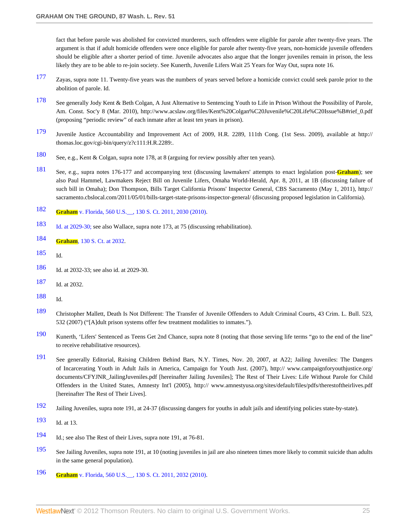fact that before parole was abolished for convicted murderers, such offenders were eligible for parole after twenty-five years. The argument is that if adult homicide offenders were once eligible for parole after twenty-five years, non-homicide juvenile offenders should be eligible after a shorter period of time. Juvenile advocates also argue that the longer juveniles remain in prison, the less likely they are to be able to re-join society. See Kunerth, Juvenile Lifers Wait 25 Years for Way Out, supra note 16.

- <span id="page-24-0"></span>[177](#page-9-21) Zayas, supra note 11. Twenty-five years was the numbers of years served before a homicide convict could seek parole prior to the abolition of parole. Id.
- <span id="page-24-1"></span>[178](#page-9-22) See generally Jody Kent & Beth Colgan, A Just Alternative to Sentencing Youth to Life in Prison Without the Possibility of Parole, Am. Const. Soc'y 8 (Mar. 2010), http://www.acslaw.org/files/Kent%20Colgan%C20Juvenile%C20Life%C20Issue%B#rief\_0.pdf (proposing "periodic review" of each inmate after at least ten years in prison).
- <span id="page-24-2"></span>[179](#page-10-1) Juvenile Justice Accountability and Improvement Act of 2009, H.R. 2289, 111th Cong. (1st Sess. 2009), available at http:// thomas.loc.gov/cgi-bin/query/z?c111:H.R.2289:.
- <span id="page-24-3"></span>[180](#page-10-2) See, e.g., Kent & Colgan, supra note 178, at 8 (arguing for review possibly after ten years).
- <span id="page-24-4"></span>[181](#page-10-3) See, e.g., supra notes 176-177 and accompanying text (discussing lawmakers' attempts to enact legislation post-**Graham**); see also Paul Hammel, Lawmakers Reject Bill on Juvenile Lifers, Omaha World-Herald, Apr. 8, 2011, at 1B (discussing failure of such bill in Omaha); Don Thompson, Bills Target California Prisons' Inspector General, CBS Sacramento (May 1, 2011), http:// sacramento.cbslocal.com/2011/05/01/bills-target-state-prisons-inspector-general/ (discussing proposed legislation in California).
- <span id="page-24-5"></span>[182](#page-10-4) **Graham** [v. Florida, 560 U.S.\\_\\_, 130 S. Ct. 2011, 2030 \(2010\).](http://www.westlaw.com/Link/Document/FullText?findType=Y&serNum=2022052221&pubNum=708&originationContext=document&vr=3.0&rs=cblt1.0&transitionType=DocumentItem&contextData=(sc.Search)#co_pp_sp_708_2030)
- <span id="page-24-6"></span>[183](#page-10-5) [Id. at 2029-30;](http://www.westlaw.com/Link/Document/FullText?findType=Y&serNum=2022052221&originationContext=document&vr=3.0&rs=cblt1.0&transitionType=DocumentItem&contextData=(sc.Search)) see also Wallace, supra note 173, at 75 (discussing rehabilitation).
- <span id="page-24-7"></span>[184](#page-10-6) **Graham**[, 130 S. Ct. at 2032](http://www.westlaw.com/Link/Document/FullText?findType=Y&serNum=2022052221&pubNum=708&originationContext=document&vr=3.0&rs=cblt1.0&transitionType=DocumentItem&contextData=(sc.Search)#co_pp_sp_708_2032).
- <span id="page-24-8"></span>[185](#page-10-7) Id.
- <span id="page-24-9"></span>[186](#page-10-8) Id. at 2032-33; see also id. at 2029-30.
- <span id="page-24-10"></span>[187](#page-10-9) Id. at 2032.
- <span id="page-24-11"></span>[188](#page-10-10) Id.
- <span id="page-24-12"></span>[189](#page-10-11) Christopher Mallett, Death Is Not Different: The Transfer of Juvenile Offenders to Adult Criminal Courts, 43 Crim. L. Bull. 523, 532 (2007) ("[A]dult prison systems offer few treatment modalities to inmates.").
- <span id="page-24-13"></span>[190](#page-10-12) Kunerth, 'Lifers' Sentenced as Teens Get 2nd Chance, supra note 8 (noting that those serving life terms "go to the end of the line" to receive rehabilitative resources).
- <span id="page-24-14"></span>[191](#page-10-13) See generally Editorial, Raising Children Behind Bars, N.Y. Times, Nov. 20, 2007, at A22; Jailing Juveniles: The Dangers of Incarcerating Youth in Adult Jails in America, Campaign for Youth Just. (2007), http:// www.campaignforyouthjustice.org/ documents/CFYJNR\_JailingJuveniles.pdf [hereinafter Jailing Juveniles]; The Rest of Their Lives: Life Without Parole for Child Offenders in the United States, Amnesty Int'l (2005), http:// www.amnestyusa.org/sites/default/files/pdfs/therestoftheirlives.pdf [hereinafter The Rest of Their Lives].
- <span id="page-24-15"></span>[192](#page-10-14) Jailing Juveniles, supra note 191, at 24-37 (discussing dangers for youths in adult jails and identifying policies state-by-state).
- <span id="page-24-16"></span>[193](#page-10-15) Id. at 13.
- <span id="page-24-17"></span>[194](#page-10-16) Id.; see also The Rest of their Lives, supra note 191, at 76-81.
- <span id="page-24-18"></span>[195](#page-10-17) See Jailing Juveniles, supra note 191, at 10 (noting juveniles in jail are also nineteen times more likely to commit suicide than adults in the same general population).
- <span id="page-24-19"></span>[196](#page-10-18) **Graham** [v. Florida, 560 U.S.\\_\\_, 130 S. Ct. 2011, 2032 \(2010\).](http://www.westlaw.com/Link/Document/FullText?findType=Y&serNum=2022052221&pubNum=708&originationContext=document&vr=3.0&rs=cblt1.0&transitionType=DocumentItem&contextData=(sc.Search)#co_pp_sp_708_2032)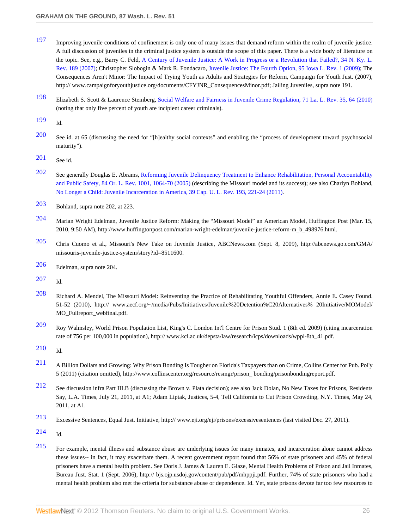- <span id="page-25-0"></span>[197](#page-10-19) Improving juvenile conditions of confinement is only one of many issues that demand reform within the realm of juvenile justice. A full discussion of juveniles in the criminal justice system is outside the scope of this paper. There is a wide body of literature on the topic. See, e.g., Barry C. Feld, [A Century of Juvenile Justice: A Work in Progress or a Revolution that Failed?, 34 N. Ky. L.](http://www.westlaw.com/Link/Document/FullText?findType=Y&serNum=0333839207&pubNum=1202&originationContext=document&vr=3.0&rs=cblt1.0&transitionType=DocumentItem&contextData=(sc.Search)) [Rev. 189 \(2007\)](http://www.westlaw.com/Link/Document/FullText?findType=Y&serNum=0333839207&pubNum=1202&originationContext=document&vr=3.0&rs=cblt1.0&transitionType=DocumentItem&contextData=(sc.Search)); Christopher Slobogin & Mark R. Fondacaro, [Juvenile Justice: The Fourth Option, 95 Iowa L. Rev. 1 \(2009\)](http://www.westlaw.com/Link/Document/FullText?findType=Y&serNum=0349158867&pubNum=1168&originationContext=document&vr=3.0&rs=cblt1.0&transitionType=DocumentItem&contextData=(sc.Search)); The Consequences Aren't Minor: The Impact of Trying Youth as Adults and Strategies for Reform, Campaign for Youth Just. (2007), http:// www.campaignforyouthjustice.org/documents/CFYJNR\_ConsequencesMinor.pdf; Jailing Juveniles, supra note 191.
- <span id="page-25-1"></span>[198](#page-10-20) Elizabeth S. Scott & Laurence Steinberg, [Social Welfare and Fairness in Juvenile Crime Regulation, 71 La. L. Rev. 35, 64 \(2010\)](http://www.westlaw.com/Link/Document/FullText?findType=Y&serNum=0356485587&pubNum=1181&originationContext=document&vr=3.0&rs=cblt1.0&transitionType=DocumentItem&contextData=(sc.Search)#co_pp_sp_1181_64) (noting that only five percent of youth are incipient career criminals).

<span id="page-25-2"></span>[199](#page-10-21) Id.

- <span id="page-25-3"></span>[200](#page-11-2) See id. at 65 (discussing the need for "[h]ealthy social contexts" and enabling the "process of development toward psychosocial maturity").
- <span id="page-25-4"></span> $201$  See id.
- <span id="page-25-5"></span>[202](#page-11-4) See generally Douglas E. Abrams, [Reforming Juvenile Delinquency Treatment to Enhance Rehabilitation, Personal Accountability](http://www.westlaw.com/Link/Document/FullText?findType=Y&serNum=0315470506&pubNum=1219&originationContext=document&vr=3.0&rs=cblt1.0&transitionType=DocumentItem&contextData=(sc.Search)#co_pp_sp_1219_1064) [and Public Safety, 84 Or. L. Rev. 1001, 1064-70 \(2005\)](http://www.westlaw.com/Link/Document/FullText?findType=Y&serNum=0315470506&pubNum=1219&originationContext=document&vr=3.0&rs=cblt1.0&transitionType=DocumentItem&contextData=(sc.Search)#co_pp_sp_1219_1064) (describing the Missouri model and its success); see also Charlyn Bohland, [No Longer a Child: Juvenile Incarceration in America, 39 Cap. U. L. Rev. 193, 221-24 \(2011\)](http://www.westlaw.com/Link/Document/FullText?findType=Y&serNum=0358271869&pubNum=2987&originationContext=document&vr=3.0&rs=cblt1.0&transitionType=DocumentItem&contextData=(sc.Search)#co_pp_sp_2987_221).
- <span id="page-25-6"></span>[203](#page-11-5) Bohland, supra note 202, at 223.
- <span id="page-25-7"></span>[204](#page-11-6) Marian Wright Edelman, Juvenile Justice Reform: Making the "Missouri Model" an American Model, Huffington Post (Mar. 15, 2010, 9:50 AM), http://www.huffingtonpost.com/marian-wright-edelman/juvenile-justice-reform-m\_b\_498976.html.
- <span id="page-25-8"></span>[205](#page-11-7) Chris Cuomo et al., Missouri's New Take on Juvenile Justice, ABCNews.com (Sept. 8, 2009), http://abcnews.go.com/GMA/ missouris-juvenile-justice-system/story?id=8511600.
- <span id="page-25-9"></span>[206](#page-11-8) Edelman, supra note 204.
- <span id="page-25-10"></span>[207](#page-11-9) Id.
- <span id="page-25-11"></span>[208](#page-11-10) Richard A. Mendel, The Missouri Model: Reinventing the Practice of Rehabilitating Youthful Offenders, Annie E. Casey Found. 51-52 (2010), http:// www.aecf.org/~/media/Pubs/Initiatives/Juvenile%20Detention%C20Alternatives% 20Initiative/MOModel/ MO\_Fullreport\_webfinal.pdf.
- <span id="page-25-12"></span>[209](#page-11-11) Roy Walmsley, World Prison Population List, King's C. London Int'l Centre for Prison Stud. 1 (8th ed. 2009) (citing incarceration rate of 756 per 100,000 in population), http:// www.kcl.ac.uk/depsta/law/research/icps/downloads/wppl-8th\_41.pdf.
- <span id="page-25-13"></span>[210](#page-11-12) Id.
- <span id="page-25-14"></span>[211](#page-11-13) A Billion Dollars and Growing: Why Prison Bonding Is Tougher on Florida's Taxpayers than on Crime, Collins Center for Pub. Pol'y 5 (2011) (citation omitted), http://www.collinscenter.org/resource/resmgr/prison\_ bonding/prisonbondingreport.pdf.
- <span id="page-25-15"></span>[212](#page-12-1) See discussion infra Part III.B (discussing the Brown v. Plata decision); see also Jack Dolan, No New Taxes for Prisons, Residents Say, L.A. Times, July 21, 2011, at A1; Adam Liptak, Justices, 5-4, Tell California to Cut Prison Crowding, N.Y. Times, May 24, 2011, at A1.
- <span id="page-25-16"></span>[213](#page-12-2) Excessive Sentences, Equal Just. Initiative, http:// www.eji.org/eji/prisons/excessivesentences (last visited Dec. 27, 2011).
- <span id="page-25-17"></span>[214](#page-12-3) Id.
- <span id="page-25-18"></span>[215](#page-12-4) For example, mental illness and substance abuse are underlying issues for many inmates, and incarceration alone cannot address these issues-- in fact, it may exacerbate them. A recent government report found that 56% of state prisoners and 45% of federal prisoners have a mental health problem. See Doris J. James & Lauren E. Glaze, Mental Health Problems of Prison and Jail Inmates, Bureau Just. Stat. 1 (Sept. 2006), http:// bjs.ojp.usdoj.gov/content/pub/pdf/mhppji.pdf. Further, 74% of state prisoners who had a mental health problem also met the criteria for substance abuse or dependence. Id. Yet, state prisons devote far too few resources to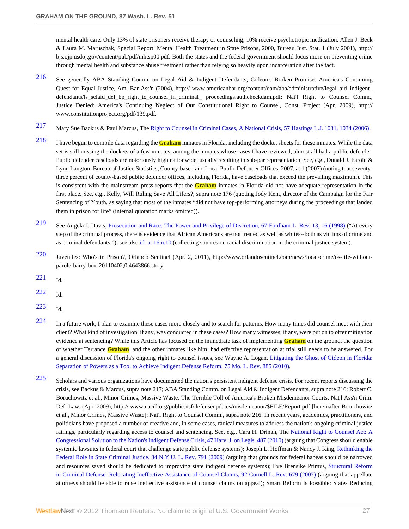mental health care. Only 13% of state prisoners receive therapy or counseling; 10% receive psychotropic medication. Allen J. Beck & Laura M. Maruschak, Special Report: Mental Health Treatment in State Prisons, 2000, Bureau Just. Stat. 1 (July 2001), http:// bjs.ojp.usdoj.gov/content/pub/pdf/mhtsp00.pdf. Both the states and the federal government should focus more on preventing crime through mental health and substance abuse treatment rather than relying so heavily upon incarceration after the fact.

- <span id="page-26-0"></span>[216](#page-12-5) See generally ABA Standing Comm. on Legal Aid & Indigent Defendants, Gideon's Broken Promise: America's Continuing Quest for Equal Justice, Am. Bar Ass'n (2004), http:// www.americanbar.org/content/dam/aba/administrative/legal aid indigent defendants/ls sclaid def bp\_right\_to\_counsel\_in\_criminal\_ proceedings.authcheckdam.pdf; Nat'l Right to Counsel Comm., Justice Denied: America's Continuing Neglect of Our Constitutional Right to Counsel, Const. Project (Apr. 2009), http:// www.constitutionproject.org/pdf/139.pdf.
- <span id="page-26-1"></span>[217](#page-12-6) Mary Sue Backus & Paul Marcus, The [Right to Counsel in Criminal Cases, A National Crisis, 57 Hastings L.J. 1031, 1034 \(2006\).](http://www.westlaw.com/Link/Document/FullText?findType=Y&serNum=0326051991&pubNum=1159&originationContext=document&vr=3.0&rs=cblt1.0&transitionType=DocumentItem&contextData=(sc.Search)#co_pp_sp_1159_1034)
- <span id="page-26-2"></span>[218](#page-12-7) I have begun to compile data regarding the **Graham** inmates in Florida, including the docket sheets for these inmates. While the data set is still missing the dockets of a few inmates, among the inmates whose cases I have reviewed, almost all had a public defender. Public defender caseloads are notoriously high nationwide, usually resulting in sub-par representation. See, e.g., Donald J. Farole & Lynn Langton, Bureau of Justice Statistics, County-based and Local Public Defender Offices, 2007, at 1 (2007) (noting that seventythree percent of county-based public defender offices, including Florida, have caseloads that exceed the prevailing maximum). This is consistent with the mainstream press reports that the **Graham** inmates in Florida did not have adequate representation in the first place. See, e.g., Kelly, Will Ruling Save All Lifers?, supra note 176 (quoting Jody Kent, director of the Campaign for the Fair Sentencing of Youth, as saying that most of the inmates "did not have top-performing attorneys during the proceedings that landed them in prison for life" (internal quotation marks omitted)).
- <span id="page-26-3"></span>[219](#page-12-8) See Angela J. Davis, [Prosecution and Race: The Power and Privilege of Discretion, 67 Fordham L. Rev. 13, 16 \(1998\)](http://www.westlaw.com/Link/Document/FullText?findType=Y&serNum=0110165968&pubNum=1142&originationContext=document&vr=3.0&rs=cblt1.0&transitionType=DocumentItem&contextData=(sc.Search)#co_pp_sp_1142_16) ("At every step of the criminal process, there is evidence that African Americans are not treated as well as whites--both as victims of crime and as criminal defendants."); see also [id. at 16 n.10](http://www.westlaw.com/Link/Document/FullText?findType=Y&serNum=0110165968&originationContext=document&vr=3.0&rs=cblt1.0&transitionType=DocumentItem&contextData=(sc.Search)) (collecting sources on racial discrimination in the criminal justice system).
- <span id="page-26-4"></span>[220](#page-12-9) Juveniles: Who's in Prison?, Orlando Sentinel (Apr. 2, 2011), http://www.orlandosentinel.com/news/local/crime/os-life-withoutparole-barry-box-20110402,0,4643866.story.
- <span id="page-26-5"></span>[221](#page-12-10) Id.
- <span id="page-26-6"></span>[222](#page-12-11) Id.
- <span id="page-26-7"></span>[223](#page-12-12) Id.
- <span id="page-26-8"></span>[224](#page-12-13) In a future work, I plan to examine these cases more closely and to search for patterns. How many times did counsel meet with their client? What kind of investigation, if any, was conducted in these cases? How many witnesses, if any, were put on to offer mitigation evidence at sentencing? While this Article has focused on the immediate task of implementing **Graham** on the ground, the question of whether Terrance **Graham**, and the other inmates like him, had effective representation at trial still needs to be answered. For a general discussion of Florida's ongoing right to counsel issues, see Wayne A. Logan, [Litigating the Ghost of Gideon in Florida:](http://www.westlaw.com/Link/Document/FullText?findType=Y&serNum=0356827708&pubNum=1196&originationContext=document&vr=3.0&rs=cblt1.0&transitionType=DocumentItem&contextData=(sc.Search)) [Separation of Powers as a Tool to Achieve Indigent Defense Reform, 75 Mo. L. Rev. 885 \(2010\).](http://www.westlaw.com/Link/Document/FullText?findType=Y&serNum=0356827708&pubNum=1196&originationContext=document&vr=3.0&rs=cblt1.0&transitionType=DocumentItem&contextData=(sc.Search))
- <span id="page-26-9"></span>[225](#page-12-14) Scholars and various organizations have documented the nation's persistent indigent defense crisis. For recent reports discussing the crisis, see Backus & Marcus, supra note 217; ABA Standing Comm. on Legal Aid & Indigent Defendants, supra note 216; Robert C. Boruchowitz et al., Minor Crimes, Massive Waste: The Terrible Toll of America's Broken Misdemeanor Courts, Nat'l Ass'n Crim. Def. Law. (Apr. 2009), http:// www.nacdl.org/public.nsf/defenseupdates/misdemeanor/\$FILE/Report.pdf [hereinafter Boruchowitz et al., Minor Crimes, Massive Waste]; Nat'l Right to Counsel Comm., supra note 216. In recent years, academics, practitioners, and politicians have proposed a number of creative and, in some cases, radical measures to address the nation's ongoing criminal justice failings, particularly regarding access to counsel and sentencing. See, e.g., Cara H. Drinan, The [National Right to Counsel Act: A](http://www.westlaw.com/Link/Document/FullText?findType=Y&serNum=0354334135&pubNum=1155&originationContext=document&vr=3.0&rs=cblt1.0&transitionType=DocumentItem&contextData=(sc.Search)) [Congressional Solution to the Nation's Indigent Defense Crisis, 47 Harv. J. on Legis. 487 \(2010\)](http://www.westlaw.com/Link/Document/FullText?findType=Y&serNum=0354334135&pubNum=1155&originationContext=document&vr=3.0&rs=cblt1.0&transitionType=DocumentItem&contextData=(sc.Search)) (arguing that Congress should enable systemic lawsuits in federal court that challenge state public defense systems); Joseph L. Hoffman & Nancy J. King, [Rethinking the](http://www.westlaw.com/Link/Document/FullText?findType=Y&serNum=0345812915&pubNum=1206&originationContext=document&vr=3.0&rs=cblt1.0&transitionType=DocumentItem&contextData=(sc.Search)) [Federal Role in State Criminal Justice, 84 N.Y.U. L. Rev. 791 \(2009\)](http://www.westlaw.com/Link/Document/FullText?findType=Y&serNum=0345812915&pubNum=1206&originationContext=document&vr=3.0&rs=cblt1.0&transitionType=DocumentItem&contextData=(sc.Search)) (arguing that grounds for federal habeas should be narrowed and resources saved should be dedicated to improving state indigent defense systems); Eve Brensike Primus, [Structural Reform](http://www.westlaw.com/Link/Document/FullText?findType=Y&serNum=0331821852&pubNum=1111&originationContext=document&vr=3.0&rs=cblt1.0&transitionType=DocumentItem&contextData=(sc.Search)) [in Criminal Defense: Relocating Ineffective Assistance of Counsel Claims, 92 Cornell L. Rev. 679 \(2007\)](http://www.westlaw.com/Link/Document/FullText?findType=Y&serNum=0331821852&pubNum=1111&originationContext=document&vr=3.0&rs=cblt1.0&transitionType=DocumentItem&contextData=(sc.Search)) (arguing that appellate attorneys should be able to raise ineffective assistance of counsel claims on appeal); Smart Reform Is Possible: States Reducing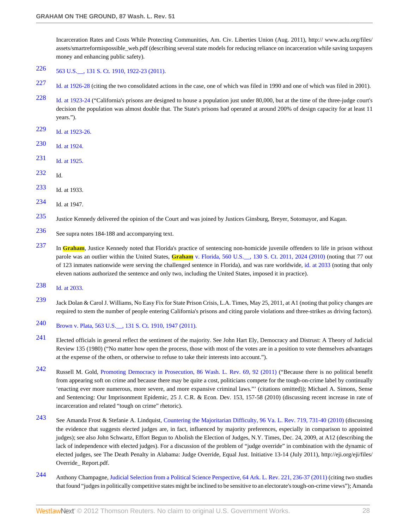Incarceration Rates and Costs While Protecting Communities, Am. Civ. Liberties Union (Aug. 2011), http:// www.aclu.org/files/ assets/smartreformispossible\_web.pdf (describing several state models for reducing reliance on incarceration while saving taxpayers money and enhancing public safety).

- <span id="page-27-0"></span>[226](#page-12-15) [563 U.S.\\_\\_, 131 S. Ct. 1910, 1922-23 \(2011\)](http://www.westlaw.com/Link/Document/FullText?findType=Y&serNum=2025330790&pubNum=708&originationContext=document&vr=3.0&rs=cblt1.0&transitionType=DocumentItem&contextData=(sc.Search)#co_pp_sp_708_1922).
- <span id="page-27-1"></span>[227](#page-12-16) [Id. at 1926-28](http://www.westlaw.com/Link/Document/FullText?findType=Y&serNum=2025330790&originationContext=document&vr=3.0&rs=cblt1.0&transitionType=DocumentItem&contextData=(sc.Search)) (citing the two consolidated actions in the case, one of which was filed in 1990 and one of which was filed in 2001).
- <span id="page-27-2"></span>[228](#page-12-17) [Id. at 1923-24](http://www.westlaw.com/Link/Document/FullText?findType=Y&serNum=2025330790&originationContext=document&vr=3.0&rs=cblt1.0&transitionType=DocumentItem&contextData=(sc.Search)) ("California's prisons are designed to house a population just under 80,000, but at the time of the three-judge court's decision the population was almost double that. The State's prisons had operated at around 200% of design capacity for at least 11 years.").
- <span id="page-27-3"></span>[229](#page-12-18) [Id. at 1923-26.](http://www.westlaw.com/Link/Document/FullText?findType=Y&serNum=2025330790&originationContext=document&vr=3.0&rs=cblt1.0&transitionType=DocumentItem&contextData=(sc.Search))
- <span id="page-27-4"></span>[230](#page-12-19) [Id. at 1924.](http://www.westlaw.com/Link/Document/FullText?findType=Y&serNum=2025330790&originationContext=document&vr=3.0&rs=cblt1.0&transitionType=DocumentItem&contextData=(sc.Search))
- <span id="page-27-5"></span>[231](#page-12-20) [Id. at 1925.](http://www.westlaw.com/Link/Document/FullText?findType=Y&serNum=2025330790&originationContext=document&vr=3.0&rs=cblt1.0&transitionType=DocumentItem&contextData=(sc.Search))
- <span id="page-27-6"></span>[232](#page-12-21) Id.
- <span id="page-27-7"></span>[233](#page-12-22) Id. at 1933.
- <span id="page-27-8"></span>[234](#page-12-23) Id. at 1947.
- <span id="page-27-9"></span>[235](#page-12-24) Justice Kennedy delivered the opinion of the Court and was joined by Justices Ginsburg, Breyer, Sotomayor, and Kagan.
- <span id="page-27-10"></span>[236](#page-12-25) See supra notes 184-188 and accompanying text.
- <span id="page-27-11"></span>[237](#page-13-1) In **Graham**, Justice Kennedy noted that Florida's practice of sentencing non-homicide juvenile offenders to life in prison without parole was an outlier within the United States, **Graham** [v. Florida, 560 U.S.\\_\\_, 130 S. Ct. 2011, 2024 \(2010\)](http://www.westlaw.com/Link/Document/FullText?findType=Y&serNum=2022052221&pubNum=708&originationContext=document&vr=3.0&rs=cblt1.0&transitionType=DocumentItem&contextData=(sc.Search)#co_pp_sp_708_2024) (noting that 77 out of 123 inmates nationwide were serving the challenged sentence in Florida), and was rare worldwide, [id. at 2033](http://www.westlaw.com/Link/Document/FullText?findType=Y&serNum=2022052221&originationContext=document&vr=3.0&rs=cblt1.0&transitionType=DocumentItem&contextData=(sc.Search)) (noting that only eleven nations authorized the sentence and only two, including the United States, imposed it in practice).
- <span id="page-27-12"></span>[238](#page-13-2) [Id. at 2033.](http://www.westlaw.com/Link/Document/FullText?findType=Y&serNum=2022052221&originationContext=document&vr=3.0&rs=cblt1.0&transitionType=DocumentItem&contextData=(sc.Search))
- <span id="page-27-13"></span>[239](#page-13-3) Jack Dolan & Carol J. Williams, No Easy Fix for State Prison Crisis, L.A. Times, May 25, 2011, at A1 (noting that policy changes are required to stem the number of people entering California's prisons and citing parole violations and three-strikes as driving factors).
- <span id="page-27-14"></span>[240](#page-13-4) [Brown v. Plata, 563 U.S.\\_\\_, 131 S. Ct. 1910, 1947 \(2011\).](http://www.westlaw.com/Link/Document/FullText?findType=Y&serNum=2025330790&pubNum=708&originationContext=document&vr=3.0&rs=cblt1.0&transitionType=DocumentItem&contextData=(sc.Search)#co_pp_sp_708_1947)
- <span id="page-27-15"></span>[241](#page-13-5) Elected officials in general reflect the sentiment of the majority. See John Hart Ely, Democracy and Distrust: A Theory of Judicial Review 135 (1980) ("No matter how open the process, those with most of the votes are in a position to vote themselves advantages at the expense of the others, or otherwise to refuse to take their interests into account.").
- <span id="page-27-16"></span>[242](#page-13-6) Russell M. Gold, [Promoting Democracy in Prosecution, 86 Wash. L. Rev. 69, 92 \(2011\)](http://www.westlaw.com/Link/Document/FullText?findType=Y&serNum=0360117217&pubNum=1281&originationContext=document&vr=3.0&rs=cblt1.0&transitionType=DocumentItem&contextData=(sc.Search)#co_pp_sp_1281_92) ("Because there is no political benefit from appearing soft on crime and because there may be quite a cost, politicians compete for the tough-on-crime label by continually 'enacting ever more numerous, more severe, and more expansive criminal laws."' (citations omitted)); Michael A. Simons, Sense and Sentencing: Our Imprisonment Epidemic, 25 J. C.R. & Econ. Dev. 153, 157-58 (2010) (discussing recent increase in rate of incarceration and related "tough on crime" rhetoric).
- <span id="page-27-17"></span>[243](#page-13-7) See Amanda Frost & Stefanie A. Lindquist, [Countering the Majoritarian Difficulty, 96 Va. L. Rev. 719, 731-40 \(2010\)](http://www.westlaw.com/Link/Document/FullText?findType=Y&serNum=0354056997&pubNum=1359&originationContext=document&vr=3.0&rs=cblt1.0&transitionType=DocumentItem&contextData=(sc.Search)#co_pp_sp_1359_731) (discussing the evidence that suggests elected judges are, in fact, influenced by majority preferences, especially in comparison to appointed judges); see also John Schwartz, Effort Begun to Abolish the Election of Judges, N.Y. Times, Dec. 24, 2009, at A12 (describing the lack of independence with elected judges). For a discussion of the problem of "judge override" in combination with the dynamic of elected judges, see The Death Penalty in Alabama: Judge Override, Equal Just. Initiative 13-14 (July 2011), http://eji.org/eji/files/ Override\_ Report.pdf.
- <span id="page-27-18"></span>[244](#page-13-8) Anthony Champagne, [Judicial Selection from a Political Science Perspective, 64 Ark. L. Rev. 221, 236-37 \(2011\)](http://www.westlaw.com/Link/Document/FullText?findType=Y&serNum=0362521241&pubNum=1095&originationContext=document&vr=3.0&rs=cblt1.0&transitionType=DocumentItem&contextData=(sc.Search)#co_pp_sp_1095_236) (citing two studies that found "judges in politically competitive states might be inclined to be sensitive to an electorate's tough-on-crime views"); Amanda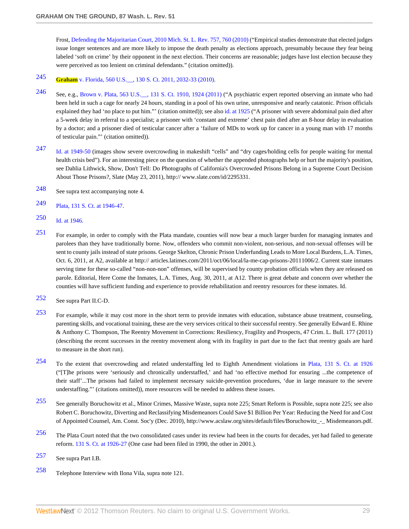Frost, [Defending the Majoritarian Court, 2010 Mich. St. L. Rev. 757, 760 \(2010\)](http://www.westlaw.com/Link/Document/FullText?findType=Y&serNum=0363629115&pubNum=168915&originationContext=document&vr=3.0&rs=cblt1.0&transitionType=DocumentItem&contextData=(sc.Search)#co_pp_sp_168915_760) ("Empirical studies demonstrate that elected judges issue longer sentences and are more likely to impose the death penalty as elections approach, presumably because they fear being labeled 'soft on crime' by their opponent in the next election. Their concerns are reasonable; judges have lost election because they were perceived as too lenient on criminal defendants." (citation omitted)).

<span id="page-28-0"></span>[245](#page-13-9) **Graham** [v. Florida, 560 U.S.\\_\\_, 130 S. Ct. 2011, 2032-33 \(2010\).](http://www.westlaw.com/Link/Document/FullText?findType=Y&serNum=2022052221&pubNum=708&originationContext=document&vr=3.0&rs=cblt1.0&transitionType=DocumentItem&contextData=(sc.Search)#co_pp_sp_708_2032)

- <span id="page-28-1"></span>[246](#page-13-10) See, e.g., [Brown v. Plata, 563 U.S.\\_\\_, 131 S. Ct. 1910, 1924 \(2011\)](http://www.westlaw.com/Link/Document/FullText?findType=Y&serNum=2025330790&pubNum=708&originationContext=document&vr=3.0&rs=cblt1.0&transitionType=DocumentItem&contextData=(sc.Search)#co_pp_sp_708_1924) ("A psychiatric expert reported observing an inmate who had been held in such a cage for nearly 24 hours, standing in a pool of his own urine, unresponsive and nearly catatonic. Prison officials explained they had 'no place to put him."' (citation omitted)); see also [id. at 1925](http://www.westlaw.com/Link/Document/FullText?findType=Y&serNum=2025330790&originationContext=document&vr=3.0&rs=cblt1.0&transitionType=DocumentItem&contextData=(sc.Search)) ("A prisoner with severe abdominal pain died after a 5-week delay in referral to a specialist; a prisoner with 'constant and extreme' chest pain died after an 8-hour delay in evaluation by a doctor; and a prisoner died of testicular cancer after a 'failure of MDs to work up for cancer in a young man with 17 months of testicular pain."' (citation omitted)).
- <span id="page-28-2"></span>[247](#page-13-11) [Id. at 1949-50](http://www.westlaw.com/Link/Document/FullText?findType=Y&serNum=2025330790&originationContext=document&vr=3.0&rs=cblt1.0&transitionType=DocumentItem&contextData=(sc.Search)) (images show severe overcrowding in makeshift "cells" and "dry cages/holding cells for people waiting for mental health crisis bed"). For an interesting piece on the question of whether the appended photographs help or hurt the majority's position, see Dahlia Lithwick, Show, Don't Tell: Do Photographs of California's Overcrowded Prisons Belong in a Supreme Court Decision About Those Prisons?, Slate (May 23, 2011), http:// www.slate.com/id/2295331.
- <span id="page-28-3"></span>[248](#page-13-12) See supra text accompanying note 4.
- <span id="page-28-4"></span>[249](#page-13-13) [Plata, 131 S. Ct. at 1946-47.](http://www.westlaw.com/Link/Document/FullText?findType=Y&serNum=2025330790&pubNum=708&originationContext=document&vr=3.0&rs=cblt1.0&transitionType=DocumentItem&contextData=(sc.Search)#co_pp_sp_708_1946)
- <span id="page-28-5"></span>[250](#page-13-14) [Id. at 1946.](http://www.westlaw.com/Link/Document/FullText?findType=Y&serNum=2025330790&originationContext=document&vr=3.0&rs=cblt1.0&transitionType=DocumentItem&contextData=(sc.Search))
- <span id="page-28-6"></span>[251](#page-13-15) For example, in order to comply with the Plata mandate, counties will now bear a much larger burden for managing inmates and parolees than they have traditionally borne. Now, offenders who commit non-violent, non-serious, and non-sexual offenses will be sent to county jails instead of state prisons. George Skelton, Chronic Prison Underfunding Leads to More Local Burdens, L.A. Times, Oct. 6, 2011, at A2, available at http:// articles.latimes.com/2011/oct/06/local/la-me-cap-prisons-20111006/2. Current state inmates serving time for these so-called "non-non-non" offenses, will be supervised by county probation officials when they are released on parole. Editorial, Here Come the Inmates, L.A. Times, Aug. 30, 2011, at A12. There is great debate and concern over whether the counties will have sufficient funding and experience to provide rehabilitation and reentry resources for these inmates. Id.
- <span id="page-28-7"></span>[252](#page-13-16) See supra Part II.C-D.
- <span id="page-28-8"></span>[253](#page-13-17) For example, while it may cost more in the short term to provide inmates with education, substance abuse treatment, counseling, parenting skills, and vocational training, these are the very services critical to their successful reentry. See generally Edward E. Rhine & Anthony C. Thompson, The Reentry Movement in Corrections: Resiliency, Fragility and Prospects, 47 Crim. L. Bull. 177 (2011) (describing the recent successes in the reentry movement along with its fragility in part due to the fact that reentry goals are hard to measure in the short run).
- <span id="page-28-9"></span>[254](#page-13-18) To the extent that overcrowding and related understaffing led to Eighth Amendment violations in [Plata, 131 S. Ct. at 1926](http://www.westlaw.com/Link/Document/FullText?findType=Y&serNum=2025330790&pubNum=708&originationContext=document&vr=3.0&rs=cblt1.0&transitionType=DocumentItem&contextData=(sc.Search)#co_pp_sp_708_1926) ("[T]he prisons were 'seriously and chronically understaffed,' and had 'no effective method for ensuring ...the competence of their staff'...The prisons had failed to implement necessary suicide-prevention procedures, 'due in large measure to the severe understaffing."' (citations omitted)), more resources will be needed to address these issues.
- <span id="page-28-10"></span>[255](#page-13-19) See generally Boruchowitz et al., Minor Crimes, Massive Waste, supra note 225; Smart Reform is Possible, supra note 225; see also Robert C. Boruchowitz, Diverting and Reclassifying Misdemeanors Could Save \$1 Billion Per Year: Reducing the Need for and Cost of Appointed Counsel, Am. Const. Soc'y (Dec. 2010), http://www.acslaw.org/sites/default/files/Boruchowitz\_-\_ Misdemeanors.pdf.
- <span id="page-28-11"></span>[256](#page-13-20) The Plata Court noted that the two consolidated cases under its review had been in the courts for decades, yet had failed to generate reform. [131 S. Ct. at 1926-27](http://www.westlaw.com/Link/Document/FullText?findType=Y&serNum=2025330790&pubNum=708&originationContext=document&vr=3.0&rs=cblt1.0&transitionType=DocumentItem&contextData=(sc.Search)#co_pp_sp_708_1926) (One case had been filed in 1990, the other in 2001.).
- <span id="page-28-12"></span>[257](#page-14-7) See supra Part I.B.
- <span id="page-28-13"></span>[258](#page-14-8) Telephone Interview with Ilona Vila, supra note 121.